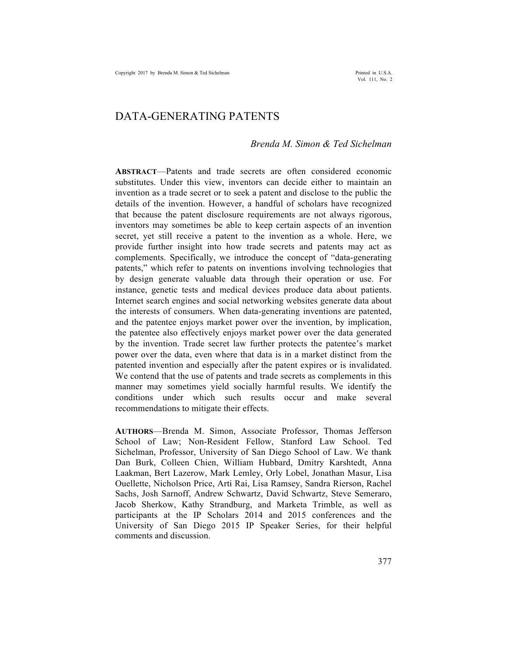# DATA-GENERATING PATENTS

## *Brenda M. Simon & Ted Sichelman*

**ABSTRACT**—Patents and trade secrets are often considered economic substitutes. Under this view, inventors can decide either to maintain an invention as a trade secret or to seek a patent and disclose to the public the details of the invention. However, a handful of scholars have recognized that because the patent disclosure requirements are not always rigorous, inventors may sometimes be able to keep certain aspects of an invention secret, yet still receive a patent to the invention as a whole. Here, we provide further insight into how trade secrets and patents may act as complements. Specifically, we introduce the concept of "data-generating patents," which refer to patents on inventions involving technologies that by design generate valuable data through their operation or use. For instance, genetic tests and medical devices produce data about patients. Internet search engines and social networking websites generate data about the interests of consumers. When data-generating inventions are patented, and the patentee enjoys market power over the invention, by implication, the patentee also effectively enjoys market power over the data generated by the invention. Trade secret law further protects the patentee's market power over the data, even where that data is in a market distinct from the patented invention and especially after the patent expires or is invalidated. We contend that the use of patents and trade secrets as complements in this manner may sometimes yield socially harmful results. We identify the conditions under which such results occur and make several recommendations to mitigate their effects.

**AUTHORS**—Brenda M. Simon, Associate Professor, Thomas Jefferson School of Law; Non-Resident Fellow, Stanford Law School. Ted Sichelman, Professor, University of San Diego School of Law. We thank Dan Burk, Colleen Chien, William Hubbard, Dmitry Karshtedt, Anna Laakman, Bert Lazerow, Mark Lemley, Orly Lobel, Jonathan Masur, Lisa Ouellette, Nicholson Price, Arti Rai, Lisa Ramsey, Sandra Rierson, Rachel Sachs, Josh Sarnoff, Andrew Schwartz, David Schwartz, Steve Semeraro, Jacob Sherkow, Kathy Strandburg, and Marketa Trimble, as well as participants at the IP Scholars 2014 and 2015 conferences and the University of San Diego 2015 IP Speaker Series, for their helpful comments and discussion.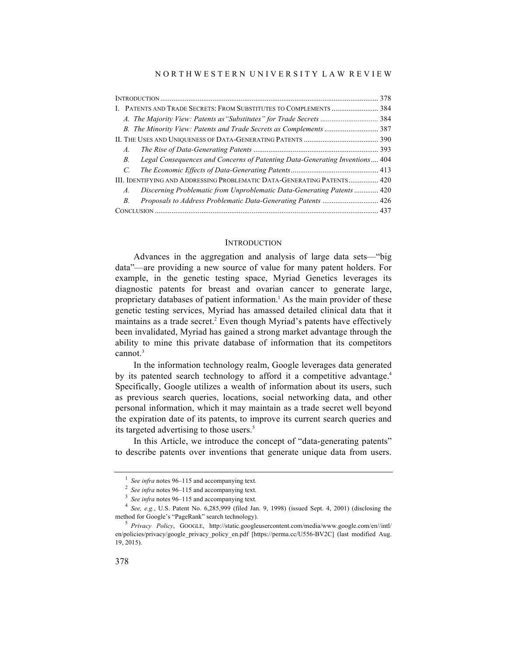|                                                                                           | 378 |
|-------------------------------------------------------------------------------------------|-----|
|                                                                                           |     |
| A. The Majority View: Patents as "Substitutes" for Trade Secrets                          | 384 |
|                                                                                           |     |
|                                                                                           |     |
| A.                                                                                        |     |
| Legal Consequences and Concerns of Patenting Data-Generating Inventions 404<br><i>B</i> . |     |
| C.                                                                                        |     |
| III. IDENTIFYING AND ADDRESSING PROBLEMATIC DATA-GENERATING PATENTS 420                   |     |
| Discerning Problematic from Unproblematic Data-Generating Patents 420<br>A.               |     |
| B.                                                                                        |     |
|                                                                                           |     |

#### **INTRODUCTION**

Advances in the aggregation and analysis of large data sets—"big data"—are providing a new source of value for many patent holders. For example, in the genetic testing space, Myriad Genetics leverages its diagnostic patents for breast and ovarian cancer to generate large, proprietary databases of patient information.<sup>1</sup> As the main provider of these genetic testing services, Myriad has amassed detailed clinical data that it maintains as a trade secret.<sup>2</sup> Even though Myriad's patents have effectively been invalidated, Myriad has gained a strong market advantage through the ability to mine this private database of information that its competitors cannot.<sup>3</sup>

In the information technology realm, Google leverages data generated by its patented search technology to afford it a competitive advantage.<sup>4</sup> Specifically, Google utilizes a wealth of information about its users, such as previous search queries, locations, social networking data, and other personal information, which it may maintain as a trade secret well beyond the expiration date of its patents, to improve its current search queries and its targeted advertising to those users.<sup>5</sup>

In this Article, we introduce the concept of "data-generating patents" to describe patents over inventions that generate unique data from users.

<sup>&</sup>lt;sup>1</sup> See infra notes 96–115 and accompanying text.<br>
<sup>2</sup> See infra notes 96–115 and accompanying text.<br>
<sup>3</sup> See infra notes 96–115 and accompanying text.<br>
<sup>4</sup> See, e.g., U.S. Patent No. 6,285,999 (filed Jan. 9, 1998) (issue method for Google's "PageRank" search technology).

<sup>5</sup> *Privacy Policy*, GOOGLE, http://static.googleusercontent.com/media/www.google.com/en//intl/ en/policies/privacy/google\_privacy\_policy\_en.pdf [https://perma.cc/U556-BV2C] (last modified Aug. 19, 2015).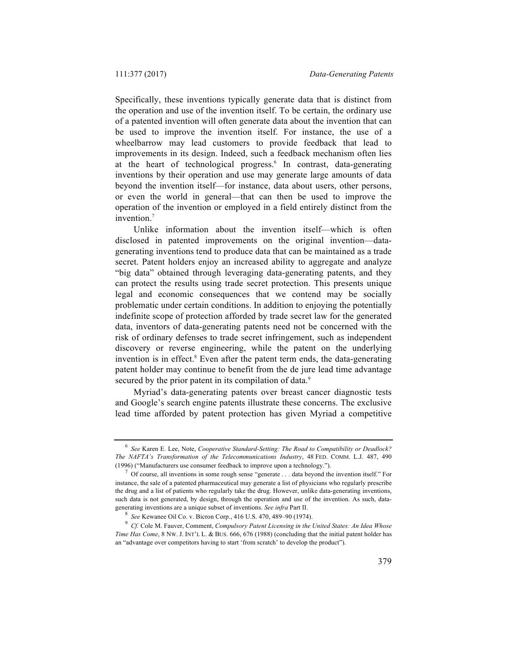Specifically, these inventions typically generate data that is distinct from the operation and use of the invention itself. To be certain, the ordinary use of a patented invention will often generate data about the invention that can be used to improve the invention itself. For instance, the use of a wheelbarrow may lead customers to provide feedback that lead to improvements in its design. Indeed, such a feedback mechanism often lies at the heart of technological progress.<sup>6</sup> In contrast, data-generating inventions by their operation and use may generate large amounts of data beyond the invention itself—for instance, data about users, other persons, or even the world in general—that can then be used to improve the operation of the invention or employed in a field entirely distinct from the invention.7

Unlike information about the invention itself—which is often disclosed in patented improvements on the original invention—datagenerating inventions tend to produce data that can be maintained as a trade secret. Patent holders enjoy an increased ability to aggregate and analyze "big data" obtained through leveraging data-generating patents, and they can protect the results using trade secret protection. This presents unique legal and economic consequences that we contend may be socially problematic under certain conditions. In addition to enjoying the potentially indefinite scope of protection afforded by trade secret law for the generated data, inventors of data-generating patents need not be concerned with the risk of ordinary defenses to trade secret infringement, such as independent discovery or reverse engineering, while the patent on the underlying invention is in effect. $8$  Even after the patent term ends, the data-generating patent holder may continue to benefit from the de jure lead time advantage secured by the prior patent in its compilation of data.<sup>9</sup>

Myriad's data-generating patents over breast cancer diagnostic tests and Google's search engine patents illustrate these concerns. The exclusive lead time afforded by patent protection has given Myriad a competitive

<sup>6</sup> *See* Karen E. Lee, Note, *Cooperative Standard-Setting: The Road to Compatibility or Deadlock? The NAFTA's Transformation of the Telecommunications Industry*, 48 FED. COMM. L.J. 487, 490 (1996) ("Manufacturers use consumer feedback to improve upon a technology.").

 $\sigma$  Of course, all inventions in some rough sense "generate ... data beyond the invention itself." For instance, the sale of a patented pharmaceutical may generate a list of physicians who regularly prescribe the drug and a list of patients who regularly take the drug. However, unlike data-generating inventions, such data is not generated, by design, through the operation and use of the invention. As such, datagenerating inventions are a unique subset of inventions. *See infra* Part II.

<sup>8</sup> *See* Kewanee Oil Co. v. Bicron Corp., 416 U.S. 470, 489–90 (1974).

<sup>9</sup> *Cf.* Cole M. Fauver, Comment, *Compulsory Patent Licensing in the United States: An Idea Whose Time Has Come*, 8 NW. J. INT'L L. & BUS. 666, 676 (1988) (concluding that the initial patent holder has an "advantage over competitors having to start 'from scratch' to develop the product").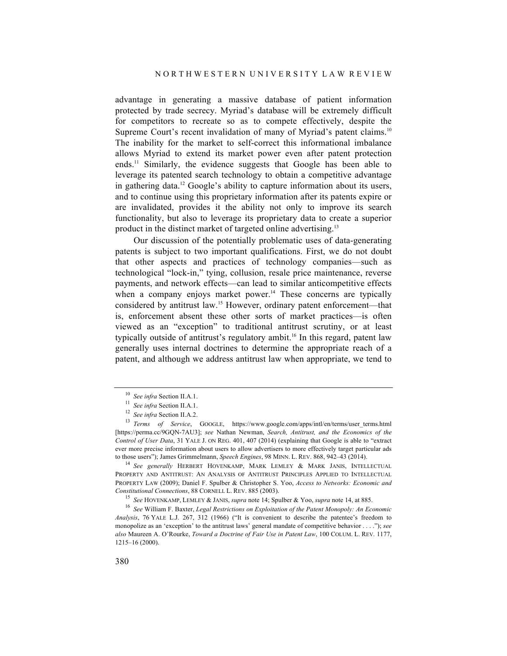### N O R T H W E S T E R N U N I V E R S I T Y L A W R E V I E W

advantage in generating a massive database of patient information protected by trade secrecy. Myriad's database will be extremely difficult for competitors to recreate so as to compete effectively, despite the Supreme Court's recent invalidation of many of Myriad's patent claims.<sup>10</sup> The inability for the market to self-correct this informational imbalance allows Myriad to extend its market power even after patent protection ends.11 Similarly, the evidence suggests that Google has been able to leverage its patented search technology to obtain a competitive advantage in gathering data.12 Google's ability to capture information about its users, and to continue using this proprietary information after its patents expire or are invalidated, provides it the ability not only to improve its search functionality, but also to leverage its proprietary data to create a superior product in the distinct market of targeted online advertising.13

Our discussion of the potentially problematic uses of data-generating patents is subject to two important qualifications. First, we do not doubt that other aspects and practices of technology companies—such as technological "lock-in," tying, collusion, resale price maintenance, reverse payments, and network effects—can lead to similar anticompetitive effects when a company enjoys market power.<sup>14</sup> These concerns are typically considered by antitrust law.15 However, ordinary patent enforcement—that is, enforcement absent these other sorts of market practices—is often viewed as an "exception" to traditional antitrust scrutiny, or at least typically outside of antitrust's regulatory ambit.<sup>16</sup> In this regard, patent law generally uses internal doctrines to determine the appropriate reach of a patent, and although we address antitrust law when appropriate, we tend to

<sup>15</sup> *See* HOVENKAMP, LEMLEY & JANIS, *supra* note 14; Spulber & Yoo, *supra* note 14, at 885.<br><sup>16</sup> *See* William F. Baxter, *Legal Restrictions on Exploitation of the Patent Monopoly: An Economic* 

<sup>&</sup>lt;sup>10</sup> *See infra* Section II.A.1.<br><sup>11</sup> *See infra* Section II.A.1.<br><sup>12</sup> *See infra* Section II.A.2.

<sup>&</sup>lt;sup>13</sup> *Terms of Service*, GOOGLE, https://www.google.com/apps/intl/en/terms/user\_terms.html [https://perma.cc/9GQN-7AU3]; *see* Nathan Newman, *Search, Antitrust, and the Economics of the Control of User Data*, 31 YALE J. ON REG. 401, 407 (2014) (explaining that Google is able to "extract ever more precise information about users to allow advertisers to more effectively target particular ads to those users"); James Grimmelmann, *Speech Engines*, 98 MINN. L. REV. 868, 942–43 (2014).

<sup>14</sup> *See generally* HERBERT HOVENKAMP, MARK LEMLEY & MARK JANIS, INTELLECTUAL PROPERTY AND ANTITRUST: AN ANALYSIS OF ANTITRUST PRINCIPLES APPLIED TO INTELLECTUAL PROPERTY LAW (2009); Daniel F. Spulber & Christopher S. Yoo, *Access to Networks: Economic and Constitutional Connections*, 88 CORNELL L. REV. 885 (2003).

*Analysis*, 76 YALE L.J. 267, 312 (1966) ("It is convenient to describe the patentee's freedom to monopolize as an 'exception' to the antitrust laws' general mandate of competitive behavior . . . ."); *see also* Maureen A. O'Rourke, *Toward a Doctrine of Fair Use in Patent Law*, 100 COLUM. L. REV. 1177, 1215–16 (2000).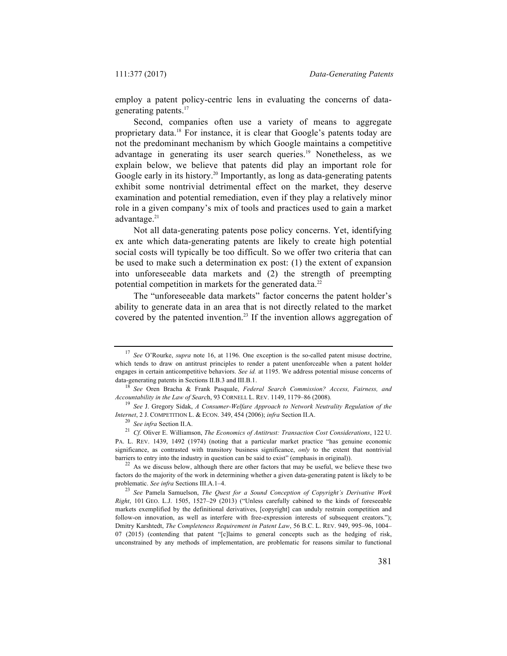employ a patent policy-centric lens in evaluating the concerns of datagenerating patents.<sup>17</sup>

Second, companies often use a variety of means to aggregate proprietary data.<sup>18</sup> For instance, it is clear that Google's patents today are not the predominant mechanism by which Google maintains a competitive advantage in generating its user search queries.<sup>19</sup> Nonetheless, as we explain below, we believe that patents did play an important role for Google early in its history.<sup>20</sup> Importantly, as long as data-generating patents exhibit some nontrivial detrimental effect on the market, they deserve examination and potential remediation, even if they play a relatively minor role in a given company's mix of tools and practices used to gain a market advantage.<sup>21</sup>

Not all data-generating patents pose policy concerns. Yet, identifying ex ante which data-generating patents are likely to create high potential social costs will typically be too difficult. So we offer two criteria that can be used to make such a determination ex post: (1) the extent of expansion into unforeseeable data markets and (2) the strength of preempting potential competition in markets for the generated data.<sup>22</sup>

The "unforeseeable data markets" factor concerns the patent holder's ability to generate data in an area that is not directly related to the market covered by the patented invention.<sup>23</sup> If the invention allows aggregation of

<sup>17</sup> *See* O'Rourke, *supra* note 16, at 1196. One exception is the so-called patent misuse doctrine, which tends to draw on antitrust principles to render a patent unenforceable when a patent holder engages in certain anticompetitive behaviors. *See id.* at 1195. We address potential misuse concerns of data-generating patents in Sections II.B.3 and III.B.1.

<sup>18</sup> *See* Oren Bracha & Frank Pasquale, *Federal Search Commission? Access, Fairness, and Accountability in the Law of Searc*h, 93 CORNELL L. REV. 1149, 1179–86 (2008).

<sup>19</sup> *See* J. Gregory Sidak, *A Consumer-Welfare Approach to Network Neutrality Regulation of the Internet*, 2 J. COMPETITION L. & ECON. 349, 454 (2006); *infra* Section II.A.<br><sup>20</sup> *See infra* Section II.A.

<sup>&</sup>lt;sup>21</sup> *Cf.* Oliver E. Williamson, *The Economics of Antitrust: Transaction Cost Considerations*, 122 U. PA. L. REV. 1439, 1492 (1974) (noting that a particular market practice "has genuine economic significance, as contrasted with transitory business significance, *only* to the extent that nontrivial barriers to entry into the industry in question can be said to exist" (emphasis in original)).

 $22$  As we discuss below, although there are other factors that may be useful, we believe these two factors do the majority of the work in determining whether a given data-generating patent is likely to be problematic. *See infra* Sections III.A.1–4.

<sup>23</sup> *See* Pamela Samuelson, *The Quest for a Sound Conception of Copyright's Derivative Work Right*, 101 GEO. L.J. 1505, 1527–29 (2013) ("Unless carefully cabined to the kinds of foreseeable markets exemplified by the definitional derivatives, [copyright] can unduly restrain competition and follow-on innovation, as well as interfere with free-expression interests of subsequent creators."); Dmitry Karshtedt, *The Completeness Requirement in Patent Law*, 56 B.C. L. REV. 949, 995–96, 1004– 07 (2015) (contending that patent "[c]laims to general concepts such as the hedging of risk, unconstrained by any methods of implementation, are problematic for reasons similar to functional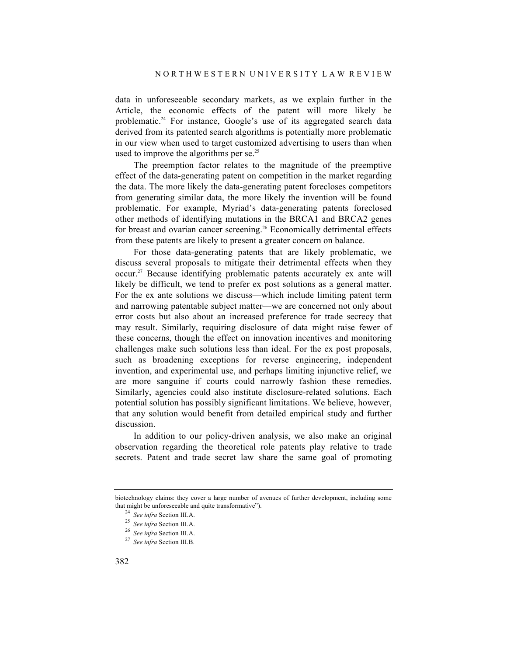data in unforeseeable secondary markets, as we explain further in the Article, the economic effects of the patent will more likely be problematic.24 For instance, Google's use of its aggregated search data derived from its patented search algorithms is potentially more problematic in our view when used to target customized advertising to users than when used to improve the algorithms per se. $25$ 

The preemption factor relates to the magnitude of the preemptive effect of the data-generating patent on competition in the market regarding the data. The more likely the data-generating patent forecloses competitors from generating similar data, the more likely the invention will be found problematic. For example, Myriad's data-generating patents foreclosed other methods of identifying mutations in the BRCA1 and BRCA2 genes for breast and ovarian cancer screening.<sup>26</sup> Economically detrimental effects from these patents are likely to present a greater concern on balance.

For those data-generating patents that are likely problematic, we discuss several proposals to mitigate their detrimental effects when they occur.27 Because identifying problematic patents accurately ex ante will likely be difficult, we tend to prefer ex post solutions as a general matter. For the ex ante solutions we discuss—which include limiting patent term and narrowing patentable subject matter—we are concerned not only about error costs but also about an increased preference for trade secrecy that may result. Similarly, requiring disclosure of data might raise fewer of these concerns, though the effect on innovation incentives and monitoring challenges make such solutions less than ideal. For the ex post proposals, such as broadening exceptions for reverse engineering, independent invention, and experimental use, and perhaps limiting injunctive relief, we are more sanguine if courts could narrowly fashion these remedies. Similarly, agencies could also institute disclosure-related solutions. Each potential solution has possibly significant limitations. We believe, however, that any solution would benefit from detailed empirical study and further discussion.

In addition to our policy-driven analysis, we also make an original observation regarding the theoretical role patents play relative to trade secrets. Patent and trade secret law share the same goal of promoting

biotechnology claims: they cover a large number of avenues of further development, including some that might be unforeseeable and quite transformative"). 24 *See infra* Section III.A.

<sup>25</sup> *See infra* Section III.A.

<sup>26</sup> *See infra* Section III.A.

<sup>27</sup> *See infra* Section III.B.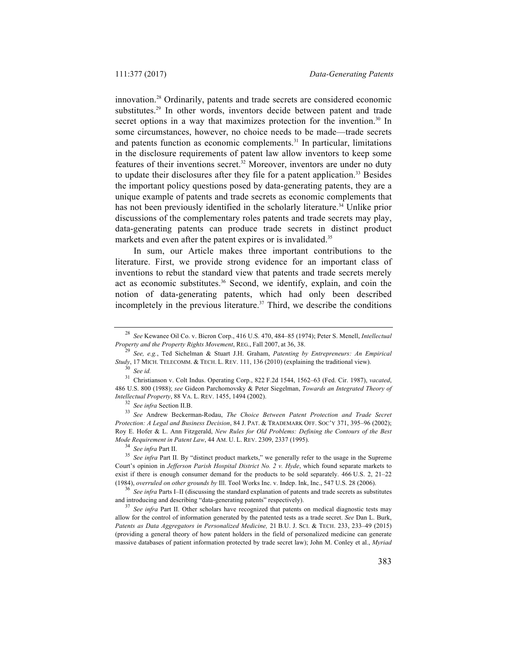innovation.28 Ordinarily, patents and trade secrets are considered economic substitutes.<sup>29</sup> In other words, inventors decide between patent and trade secret options in a way that maximizes protection for the invention.<sup>30</sup> In some circumstances, however, no choice needs to be made—trade secrets and patents function as economic complements. $31$  In particular, limitations in the disclosure requirements of patent law allow inventors to keep some features of their inventions secret.<sup>32</sup> Moreover, inventors are under no duty to update their disclosures after they file for a patent application.<sup>33</sup> Besides the important policy questions posed by data-generating patents, they are a unique example of patents and trade secrets as economic complements that has not been previously identified in the scholarly literature.<sup>34</sup> Unlike prior discussions of the complementary roles patents and trade secrets may play, data-generating patents can produce trade secrets in distinct product markets and even after the patent expires or is invalidated.<sup>35</sup>

In sum, our Article makes three important contributions to the literature. First, we provide strong evidence for an important class of inventions to rebut the standard view that patents and trade secrets merely act as economic substitutes.36 Second, we identify, explain, and coin the notion of data-generating patents, which had only been described incompletely in the previous literature. $37$  Third, we describe the conditions

<sup>28</sup> *See* Kewanee Oil Co. v. Bicron Corp., 416 U.S. 470, 484–85 (1974); Peter S. Menell, *Intellectual Property and the Property Rights Movement*, REG., Fall 2007, at 36, 38.

<sup>29</sup> *See, e.g.*, Ted Sichelman & Stuart J.H. Graham, *Patenting by Entrepreneurs: An Empirical Study*, 17 MICH. TELECOMM. & TECH. L. REV. 111, 136 (2010) (explaining the traditional view).

<sup>30</sup> *See id.*

<sup>31</sup> Christianson v. Colt Indus. Operating Corp., 822 F.2d 1544, 1562–63 (Fed. Cir. 1987), *vacated*, 486 U.S. 800 (1988); *see* Gideon Parchomovsky & Peter Siegelman, *Towards an Integrated Theory of Intellectual Property*, 88 VA. L. REV. 1455, 1494 (2002). 32 *See infra* Section II.B.

<sup>33</sup> *See* Andrew Beckerman-Rodau, *The Choice Between Patent Protection and Trade Secret Protection: A Legal and Business Decision*, 84 J. PAT. & TRADEMARK OFF. SOC'Y 371, 395–96 (2002); Roy E. Hofer & L. Ann Fitzgerald, *New Rules for Old Problems: Defining the Contours of the Best Mode Requirement in Patent Law*, 44 AM. U. L. REV. 2309, 2337 (1995).

<sup>34</sup> *See infra* Part II.

<sup>&</sup>lt;sup>35</sup> See infra Part II. By "distinct product markets," we generally refer to the usage in the Supreme Court's opinion in *Jefferson Parish Hospital District No. 2 v. Hyde*, which found separate markets to exist if there is enough consumer demand for the products to be sold separately. 466 U.S. 2, 21–22 (1984), *overruled on other grounds by* Ill. Tool Works Inc. v. Indep. Ink, Inc., 547 U.S. 28 (2006).

<sup>36</sup> *See infra* Parts I–II (discussing the standard explanation of patents and trade secrets as substitutes and introducing and describing "data-generating patents" respectively).

<sup>&</sup>lt;sup>37</sup> *See infra* Part II. Other scholars have recognized that patents on medical diagnostic tests may allow for the control of information generated by the patented tests as a trade secret. *See* Dan L. Burk, *Patents as Data Aggregators in Personalized Medicine,* 21 B.U. J. SCI. & TECH. 233, 233–49 (2015) (providing a general theory of how patent holders in the field of personalized medicine can generate massive databases of patient information protected by trade secret law); John M. Conley et al., *Myriad*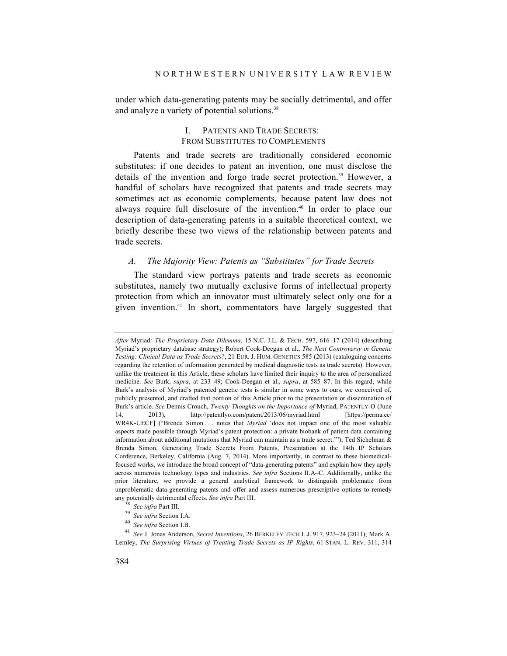under which data-generating patents may be socially detrimental, and offer and analyze a variety of potential solutions.<sup>38</sup>

## I. PATENTS AND TRADE SECRETS: FROM SUBSTITUTES TO COMPLEMENTS

Patents and trade secrets are traditionally considered economic substitutes: if one decides to patent an invention, one must disclose the details of the invention and forgo trade secret protection.<sup>39</sup> However, a handful of scholars have recognized that patents and trade secrets may sometimes act as economic complements, because patent law does not always require full disclosure of the invention.40 In order to place our description of data-generating patents in a suitable theoretical context, we briefly describe these two views of the relationship between patents and trade secrets.

## *A. The Majority View: Patents as "Substitutes" for Trade Secrets*

The standard view portrays patents and trade secrets as economic substitutes, namely two mutually exclusive forms of intellectual property protection from which an innovator must ultimately select only one for a given invention.41 In short, commentators have largely suggested that

*After* Myriad*: The Proprietary Data Dilemma*, 15 N.C. J.L. & TECH. 597, 616–17 (2014) (describing Myriad's proprietary database strategy); Robert Cook-Deegan et al., *The Next Controversy in Genetic Testing: Clinical Data as Trade Secrets?*, 21 EUR. J. HUM. GENETICS 585 (2013) (cataloguing concerns regarding the retention of information generated by medical diagnostic tests as trade secrets). However, unlike the treatment in this Article, these scholars have limited their inquiry to the area of personalized medicine. *See* Burk, *supra*, at 233–49; Cook-Deegan et al., *supra*, at 585–87. In this regard, while Burk's analysis of Myriad's patented genetic tests is similar in some ways to ours, we conceived of, publicly presented, and drafted that portion of this Article prior to the presentation or dissemination of Burk's article. *See* Dennis Crouch, *Twenty Thoughts on the Importance of* Myriad, PATENTLY-O (June 14, 2013), http://patentlyo.com/patent/2013/06/myriad.html [https://perma.cc/ WR4K-UECF] ("Brenda Simon ... notes that *Myriad* 'does not impact one of the most valuable aspects made possible through Myriad's patent protection: a private biobank of patient data containing information about additional mutations that Myriad can maintain as a trade secret.""); Ted Sichelman  $\&$ Brenda Simon, Generating Trade Secrets From Patents, Presentation at the 14th IP Scholars Conference, Berkeley, California (Aug. 7, 2014). More importantly, in contrast to these biomedicalfocused works, we introduce the broad concept of "data-generating patents" and explain how they apply across numerous technology types and industries. *See infra* Sections II.A–C. Additionally, unlike the prior literature, we provide a general analytical framework to distinguish problematic from unproblematic data-generating patents and offer and assess numerous prescriptive options to remedy any potentially detrimental effects. *See infra* Part III.<br><sup>38</sup> *See infra* Part III.<br><sup>39</sup> *See infra* Section I.A.

<sup>39</sup> *See infra* Section I.A. 40 *See infra* Section I.B. 41 *See* J. Jonas Anderson, *Secret Inventions*, 26 BERKELEY TECH L.J. 917, 923–24 (2011); Mark A. Lemley, *The Surprising Virtues of Treating Trade Secrets as IP Rights*, 61 STAN. L. REV. 311, 314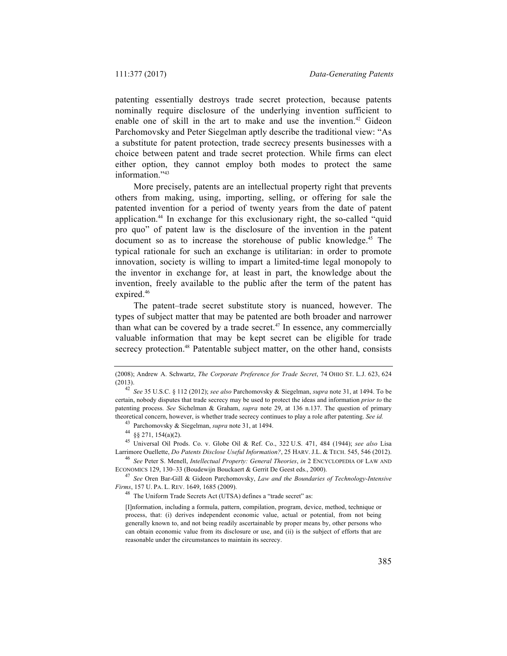patenting essentially destroys trade secret protection, because patents nominally require disclosure of the underlying invention sufficient to enable one of skill in the art to make and use the invention.<sup>42</sup> Gideon Parchomovsky and Peter Siegelman aptly describe the traditional view: "As a substitute for patent protection, trade secrecy presents businesses with a choice between patent and trade secret protection. While firms can elect either option, they cannot employ both modes to protect the same information."43

More precisely, patents are an intellectual property right that prevents others from making, using, importing, selling, or offering for sale the patented invention for a period of twenty years from the date of patent application.<sup>44</sup> In exchange for this exclusionary right, the so-called "quid pro quo" of patent law is the disclosure of the invention in the patent document so as to increase the storehouse of public knowledge.<sup>45</sup> The typical rationale for such an exchange is utilitarian: in order to promote innovation, society is willing to impart a limited-time legal monopoly to the inventor in exchange for, at least in part, the knowledge about the invention, freely available to the public after the term of the patent has expired.<sup>46</sup>

The patent–trade secret substitute story is nuanced, however. The types of subject matter that may be patented are both broader and narrower than what can be covered by a trade secret.<sup>47</sup> In essence, any commercially valuable information that may be kept secret can be eligible for trade secrecy protection.<sup>48</sup> Patentable subject matter, on the other hand, consists

<sup>43</sup> Parchomovsky & Siegelman, *supra* note 31, at 1494.

<sup>44</sup> §§ 271, 154(a)(2).

<sup>(2008);</sup> Andrew A. Schwartz, *The Corporate Preference for Trade Secret*, 74 OHIO ST. L.J. 623, 624 (2013). 42 *See* <sup>35</sup> U.S.C. § 112 (2012); *see also* Parchomovsky & Siegelman, *supra* note 31, at 1494. To be

certain, nobody disputes that trade secrecy may be used to protect the ideas and information *prior to* the patenting process. *See* Sichelman & Graham, *supra* note 29, at 136 n.137. The question of primary theoretical concern, however, is whether trade secrecy continues to play a role after patenting. *See id.*

<sup>45</sup> Universal Oil Prods. Co. v. Globe Oil & Ref. Co., 322 U.S. 471, 484 (1944); *see also* Lisa Larrimore Ouellette, *Do Patents Disclose Useful Information?*, 25 HARV. J.L. & TECH. 545, 546 (2012).

<sup>46</sup> *See* Peter S. Menell, *Intellectual Property: General Theories*, *in* 2 ENCYCLOPEDIA OF LAW AND ECONOMICS 129, 130–33 (Boudewijn Bouckaert & Gerrit De Geest eds., 2000). 47 *See* Oren Bar-Gill & Gideon Parchomovsky, *Law and the Boundaries of Technology-Intensive* 

*Firms*, 157 U. PA. L. REV. 1649, 1685 (2009).

<sup>&</sup>lt;sup>48</sup> The Uniform Trade Secrets Act (UTSA) defines a "trade secret" as:

<sup>[</sup>I]nformation, including a formula, pattern, compilation, program, device, method, technique or process, that: (i) derives independent economic value, actual or potential, from not being generally known to, and not being readily ascertainable by proper means by, other persons who can obtain economic value from its disclosure or use, and (ii) is the subject of efforts that are reasonable under the circumstances to maintain its secrecy.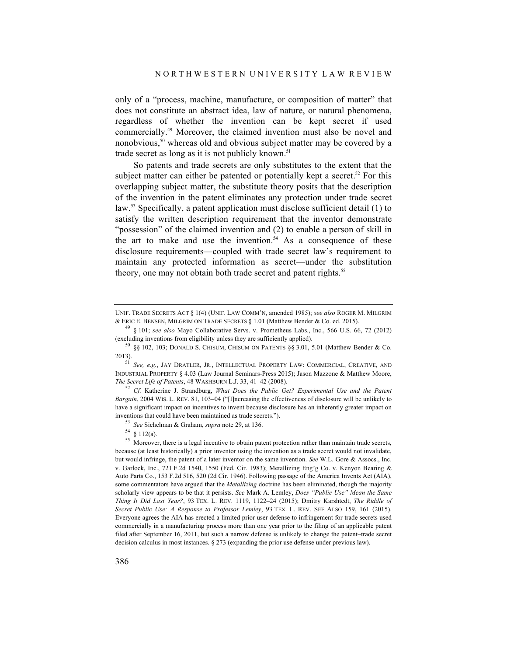only of a "process, machine, manufacture, or composition of matter" that does not constitute an abstract idea, law of nature, or natural phenomena, regardless of whether the invention can be kept secret if used commercially.49 Moreover, the claimed invention must also be novel and nonobvious,<sup>50</sup> whereas old and obvious subject matter may be covered by a trade secret as long as it is not publicly known. $51$ 

So patents and trade secrets are only substitutes to the extent that the subject matter can either be patented or potentially kept a secret.<sup>52</sup> For this overlapping subject matter, the substitute theory posits that the description of the invention in the patent eliminates any protection under trade secret law.53 Specifically, a patent application must disclose sufficient detail (1) to satisfy the written description requirement that the inventor demonstrate "possession" of the claimed invention and (2) to enable a person of skill in the art to make and use the invention.<sup>54</sup> As a consequence of these disclosure requirements—coupled with trade secret law's requirement to maintain any protected information as secret—under the substitution theory, one may not obtain both trade secret and patent rights.<sup>55</sup>

<sup>53</sup> *See* Sichelman & Graham, *supra* note 29, at 136.

UNIF. TRADE SECRETS ACT § 1(4) (UNIF. LAW COMM'N, amended 1985); *see also* ROGER M. MILGRIM & ERIC E. BENSEN, MILGRIM ON TRADE SECRETS § 1.01 (Matthew Bender & Co. ed. 2015).

<sup>49</sup> § 101; *see also* Mayo Collaborative Servs. v. Prometheus Labs., Inc., 566 U.S. 66, 72 (2012) (excluding inventions from eligibility unless they are sufficiently applied).

<sup>50</sup> §§ 102, 103; DONALD S. CHISUM, CHISUM ON PATENTS §§ 3.01, 5.01 (Matthew Bender & Co. 2013).

<sup>51</sup> *See, e.g.*, JAY DRATLER, JR., INTELLECTUAL PROPERTY LAW: COMMERCIAL, CREATIVE, AND INDUSTRIAL PROPERTY § 4.03 (Law Journal Seminars-Press 2015); Jason Mazzone & Matthew Moore, *The Secret Life of Patents*, 48 WASHBURN L.J. 33, 41–42 (2008).

<sup>52</sup> *Cf.* Katherine J. Strandburg, *What Does the Public Get? Experimental Use and the Patent Bargain*, 2004 WIS. L. REV. 81, 103–04 ("[I]ncreasing the effectiveness of disclosure will be unlikely to have a significant impact on incentives to invent because disclosure has an inherently greater impact on inventions that could have been maintained as trade secrets.").

<sup>&</sup>lt;sup>55</sup> Moreover, there is a legal incentive to obtain patent protection rather than maintain trade secrets, because (at least historically) a prior inventor using the invention as a trade secret would not invalidate, but would infringe, the patent of a later inventor on the same invention. *See* W.L. Gore & Assocs., Inc. v. Garlock, Inc., 721 F.2d 1540, 1550 (Fed. Cir. 1983); Metallizing Eng'g Co. v. Kenyon Bearing & Auto Parts Co., 153 F.2d 516, 520 (2d Cir. 1946). Following passage of the America Invents Act (AIA), some commentators have argued that the *Metallizing* doctrine has been eliminated, though the majority scholarly view appears to be that it persists. *See* Mark A. Lemley, *Does "Public Use" Mean the Same Thing It Did Last Year?*, 93 TEX. L. REV. 1119, 1122–24 (2015); Dmitry Karshtedt, *The Riddle of Secret Public Use: A Response to Professor Lemley*, 93 TEX. L. REV. SEE ALSO 159, 161 (2015). Everyone agrees the AIA has erected a limited prior user defense to infringement for trade secrets used commercially in a manufacturing process more than one year prior to the filing of an applicable patent filed after September 16, 2011, but such a narrow defense is unlikely to change the patent–trade secret decision calculus in most instances. § 273 (expanding the prior use defense under previous law).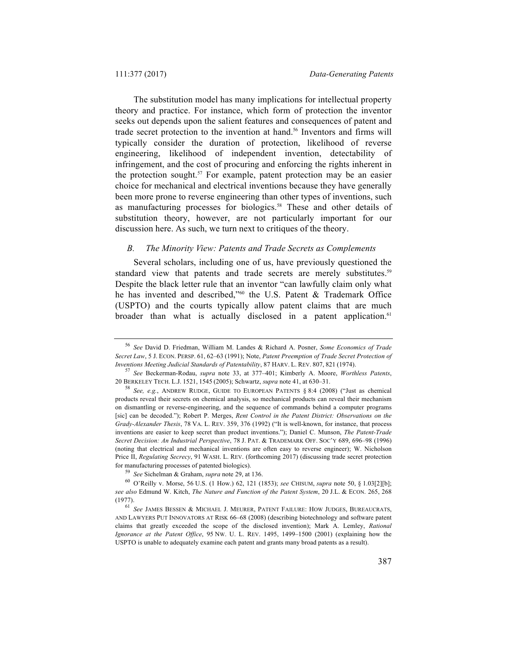The substitution model has many implications for intellectual property theory and practice. For instance, which form of protection the inventor seeks out depends upon the salient features and consequences of patent and trade secret protection to the invention at hand.<sup>56</sup> Inventors and firms will typically consider the duration of protection, likelihood of reverse engineering, likelihood of independent invention, detectability of infringement, and the cost of procuring and enforcing the rights inherent in the protection sought.<sup>57</sup> For example, patent protection may be an easier choice for mechanical and electrical inventions because they have generally been more prone to reverse engineering than other types of inventions, such as manufacturing processes for biologics.<sup>58</sup> These and other details of substitution theory, however, are not particularly important for our discussion here. As such, we turn next to critiques of the theory.

### *B. The Minority View: Patents and Trade Secrets as Complements*

Several scholars, including one of us, have previously questioned the standard view that patents and trade secrets are merely substitutes.<sup>59</sup> Despite the black letter rule that an inventor "can lawfully claim only what he has invented and described,"60 the U.S. Patent & Trademark Office (USPTO) and the courts typically allow patent claims that are much broader than what is actually disclosed in a patent application.<sup>61</sup>

<sup>59</sup> *See* Sichelman & Graham, *supra* note 29, at 136.

<sup>56</sup> *See* David D. Friedman, William M. Landes & Richard A. Posner, *Some Economics of Trade Secret Law*, 5 J. ECON. PERSP. 61, 62–63 (1991); Note, *Patent Preemption of Trade Secret Protection of Inventions Meeting Judicial Standards of Patentability*, 87 HARV. L. REV. 807, 821 (1974).

<sup>57</sup> *See* Beckerman-Rodau, *supra* note 33, at 377–401; Kimberly A. Moore, *Worthless Patents*, 20 BERKELEY TECH. L.J. 1521, 1545 (2005); Schwartz, *supra* note 41, at 630–31.

<sup>58</sup> *See, e.g.*, ANDREW RUDGE, GUIDE TO EUROPEAN PATENTS § 8:4 (2008) ("Just as chemical products reveal their secrets on chemical analysis, so mechanical products can reveal their mechanism on dismantling or reverse-engineering, and the sequence of commands behind a computer programs [sic] can be decoded."); Robert P. Merges, *Rent Control in the Patent District: Observations on the Grady-Alexander Thesis*, 78 VA. L. REV. 359, 376 (1992) ("It is well-known, for instance, that process inventions are easier to keep secret than product inventions."); Daniel C. Munson, *The Patent-Trade Secret Decision: An Industrial Perspective*, 78 J. PAT. & TRADEMARK OFF. SOC'Y 689, 696–98 (1996) (noting that electrical and mechanical inventions are often easy to reverse engineer); W. Nicholson Price II, *Regulating Secrecy*, 91 WASH. L. REV. (forthcoming 2017) (discussing trade secret protection for manufacturing processes of patented biologics).

<sup>60</sup> O'Reilly v. Morse, 56 U.S. (1 How.) 62, 121 (1853); *see* CHISUM, *supra* note 50, § 1.03[2][b]; *see also* Edmund W. Kitch, *The Nature and Function of the Patent System*, 20 J.L. & ECON. 265, 268 (1977). 61 *See* JAMES BESSEN & MICHAEL J. MEURER, PATENT FAILURE: HOW JUDGES, BUREAUCRATS,

AND LAWYERS PUT INNOVATORS AT RISK 66–68 (2008) (describing biotechnology and software patent claims that greatly exceeded the scope of the disclosed invention); Mark A. Lemley, *Rational Ignorance at the Patent Office*, 95 NW. U. L. REV. 1495, 1499–1500 (2001) (explaining how the USPTO is unable to adequately examine each patent and grants many broad patents as a result).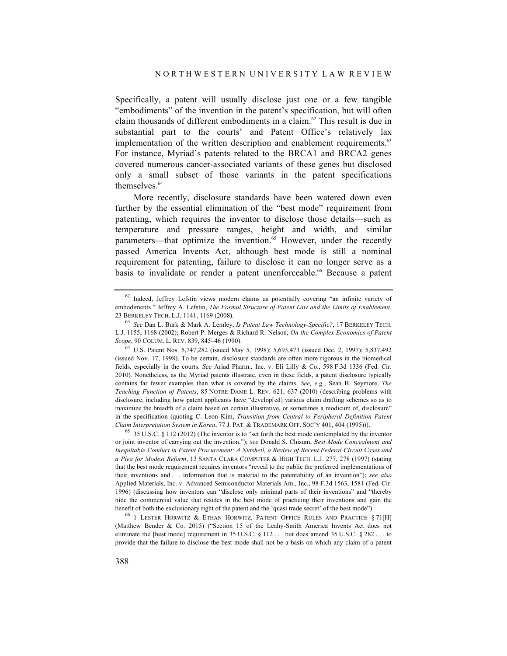Specifically, a patent will usually disclose just one or a few tangible "embodiments" of the invention in the patent's specification, but will often claim thousands of different embodiments in a claim. $62$  This result is due in substantial part to the courts' and Patent Office's relatively lax implementation of the written description and enablement requirements.<sup>63</sup> For instance, Myriad's patents related to the BRCA1 and BRCA2 genes covered numerous cancer-associated variants of these genes but disclosed only a small subset of those variants in the patent specifications themselves.<sup>64</sup>

More recently, disclosure standards have been watered down even further by the essential elimination of the "best mode" requirement from patenting, which requires the inventor to disclose those details—such as temperature and pressure ranges, height and width, and similar parameters—that optimize the invention.<sup>65</sup> However, under the recently passed America Invents Act, although best mode is still a nominal requirement for patenting, failure to disclose it can no longer serve as a basis to invalidate or render a patent unenforceable.<sup>66</sup> Because a patent

<sup>66</sup> 1 LESTER HORWITZ & ETHAN HORWITZ, PATENT OFFICE RULES AND PRACTICE § 71[H] (Matthew Bender & Co. 2015) ("Section 15 of the Leahy-Smith America Invents Act does not eliminate the [best mode] requirement in 35 U.S.C. § 112 . . . but does amend 35 U.S.C. § 282 . . . to provide that the failure to disclose the best mode shall not be a basis on which any claim of a patent

<sup>62</sup> Indeed, Jeffrey Lefstin views modern claims as potentially covering "an infinite variety of embodiments." Jeffrey A. Lefstin, *The Formal Structure of Patent Law and the Limits of Enablement*, 23 BERKELEY TECH. L.J. 1141, 1169 (2008).

<sup>63</sup> *See* Dan L. Burk & Mark A. Lemley, *Is Patent Law Technology-Specific?*, 17 BERKELEY TECH. L.J. 1155, 1168 (2002); Robert P. Merges & Richard R. Nelson, *On the Complex Economics of Patent Scope*, 90 COLUM. L. REV. 839, 845–46 (1990).

<sup>64</sup> U.S. Patent Nos. 5,747,282 (issued May 5, 1998); 5,693,473 (issued Dec. 2, 1997); 5,837,492 (issued Nov. 17, 1998). To be certain, disclosure standards are often more rigorous in the biomedical fields, especially in the courts. *See* Ariad Pharm., Inc. v. Eli Lilly & Co., 598 F.3d 1336 (Fed. Cir. 2010). Nonetheless, as the Myriad patents illustrate, even in these fields, a patent disclosure typically contains far fewer examples than what is covered by the claims. *See, e.g.*, Sean B. Seymore, *The Teaching Function of Patents*, 85 NOTRE DAME L. REV. 621, 637 (2010) (describing problems with disclosure, including how patent applicants have "develop[ed] various claim drafting schemes so as to maximize the breadth of a claim based on certain illustrative, or sometimes a modicum of, disclosure" in the specification (quoting C. Leon Kim, *Transition from Central to Peripheral Definition Patent Claim Interpretation System in Korea*, 77 J. PAT. & TRADEMARK OFF. SOC'Y 401, 404 (1995))).

 $^{65}$  35 U.S.C. § 112 (2012) (The inventor is to "set forth the best mode contemplated by the inventor or joint inventor of carrying out the invention."); *see* Donald S. Chisum, *Best Mode Concealment and Inequitable Conduct in Patent Procurement: A Nutshell, a Review of Recent Federal Circuit Cases and a Plea for Modest Reform*, 13 SANTA CLARA COMPUTER & HIGH TECH. L.J. 277, 278 (1997) (stating that the best mode requirement requires inventors "reveal to the public the preferred implementations of their inventions and . . . information that is material to the patentability of an invention"); *see also*  Applied Materials, Inc. v. Advanced Semiconductor Materials Am., Inc., 98 F.3d 1563, 1581 (Fed. Cir. 1996) (discussing how inventors can "disclose only minimal parts of their inventions" and "thereby hide the commercial value that resides in the best mode of practicing their inventions and gain the benefit of both the exclusionary right of the patent and the 'quasi trade secret' of the best mode").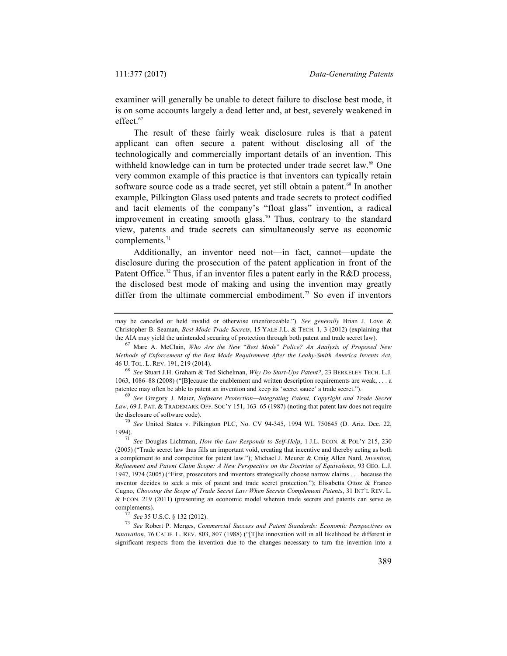examiner will generally be unable to detect failure to disclose best mode, it is on some accounts largely a dead letter and, at best, severely weakened in effect.<sup>67</sup>

The result of these fairly weak disclosure rules is that a patent applicant can often secure a patent without disclosing all of the technologically and commercially important details of an invention. This withheld knowledge can in turn be protected under trade secret law.<sup>68</sup> One very common example of this practice is that inventors can typically retain software source code as a trade secret, yet still obtain a patent.<sup>69</sup> In another example, Pilkington Glass used patents and trade secrets to protect codified and tacit elements of the company's "float glass" invention, a radical improvement in creating smooth glass.<sup>70</sup> Thus, contrary to the standard view, patents and trade secrets can simultaneously serve as economic complements.<sup>71</sup>

Additionally, an inventor need not—in fact, cannot—update the disclosure during the prosecution of the patent application in front of the Patent Office.<sup>72</sup> Thus, if an inventor files a patent early in the R&D process, the disclosed best mode of making and using the invention may greatly differ from the ultimate commercial embodiment.<sup>73</sup> So even if inventors

may be canceled or held invalid or otherwise unenforceable."). *See generally* Brian J. Love & Christopher B. Seaman, *Best Mode Trade Secrets*, 15 YALE J.L. & TECH. 1, 3 (2012) (explaining that the AIA may yield the unintended securing of protection through both patent and trade secret law).

<sup>67</sup> Marc A. McClain, *Who Are the New* "*Best Mode*" *Police? An Analysis of Proposed New Methods of Enforcement of the Best Mode Requirement After the Leahy-Smith America Invents Act*, 46 U. TOL. L. REV. 191, 219 (2014).

<sup>68</sup> *See* Stuart J.H. Graham & Ted Sichelman, *Why Do Start-Ups Patent?*, 23 BERKELEY TECH. L.J. 1063, 1086–88 (2008) ("[B]ecause the enablement and written description requirements are weak, . . . a patentee may often be able to patent an invention and keep its 'secret sauce' a trade secret.").

<sup>69</sup> *See* Gregory J. Maier, *Software Protection—Integrating Patent, Copyright and Trade Secret*  Law, 69 J. PAT. & TRADEMARK OFF. Soc'y 151, 163–65 (1987) (noting that patent law does not require the disclosure of software code). 70 *See* United States v. Pilkington PLC, No. CV 94-345, 1994 WL 750645 (D. Ariz. Dec. 22,

<sup>1994).</sup>

<sup>71</sup> *See* Douglas Lichtman, *How the Law Responds to Self-Help*, 1 J.L. ECON. & POL'Y 215, 230 (2005) ("Trade secret law thus fills an important void, creating that incentive and thereby acting as both a complement to and competitor for patent law."); Michael J. Meurer & Craig Allen Nard, *Invention, Refinement and Patent Claim Scope: A New Perspective on the Doctrine of Equivalents*, 93 GEO. L.J. 1947, 1974 (2005) ("First, prosecutors and inventors strategically choose narrow claims . . . because the inventor decides to seek a mix of patent and trade secret protection."); Elisabetta Ottoz & Franco Cugno, *Choosing the Scope of Trade Secret Law When Secrets Complement Patents*, 31 INT'L REV. L. & ECON. 219 (2011) (presenting an economic model wherein trade secrets and patents can serve as complements).

<sup>72</sup> *See* 35 U.S.C. § 132 (2012).

<sup>73</sup> *See* Robert P. Merges, *Commercial Success and Patent Standards: Economic Perspectives on Innovation*, 76 CALIF. L. REV. 803, 807 (1988) ("[T]he innovation will in all likelihood be different in significant respects from the invention due to the changes necessary to turn the invention into a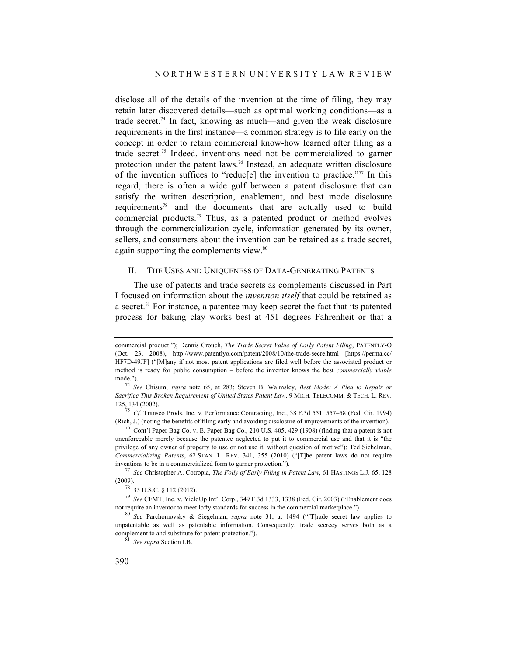disclose all of the details of the invention at the time of filing, they may retain later discovered details—such as optimal working conditions—as a trade secret.<sup>74</sup> In fact, knowing as much—and given the weak disclosure requirements in the first instance—a common strategy is to file early on the concept in order to retain commercial know-how learned after filing as a trade secret.75 Indeed, inventions need not be commercialized to garner protection under the patent laws.76 Instead, an adequate written disclosure of the invention suffices to "reduc[e] the invention to practice."77 In this regard, there is often a wide gulf between a patent disclosure that can satisfy the written description, enablement, and best mode disclosure requirements78 and the documents that are actually used to build commercial products.79 Thus, as a patented product or method evolves through the commercialization cycle, information generated by its owner, sellers, and consumers about the invention can be retained as a trade secret, again supporting the complements view.<sup>80</sup>

### II. THE USES AND UNIQUENESS OF DATA-GENERATING PATENTS

The use of patents and trade secrets as complements discussed in Part I focused on information about the *invention itself* that could be retained as a secret.<sup>81</sup> For instance, a patentee may keep secret the fact that its patented process for baking clay works best at 451 degrees Fahrenheit or that a

<sup>75</sup> *Cf.* Transco Prods. Inc. v. Performance Contracting, Inc., 38 F.3d 551, 557–58 (Fed. Cir. 1994) (Rich, J.) (noting the benefits of filing early and avoiding disclosure of improvements of the invention).

<sup>77</sup> *See* Christopher A. Cotropia, *The Folly of Early Filing in Patent Law*, 61 HASTINGS L.J. 65, 128  $(2009)$ .<br><sup>78</sup> 35 U.S.C. § 112 (2012).

commercial product."); Dennis Crouch, *The Trade Secret Value of Early Patent Filing*, PATENTLY-O (Oct. 23, 2008), http://www.patentlyo.com/patent/2008/10/the-trade-secre.html [https://perma.cc/ HF7D-49JF] ("[M]any if not most patent applications are filed well before the associated product or method is ready for public consumption – before the inventor knows the best *commercially viable*

mode."). 74 *See* Chisum, *supra* note 65, at 283; Steven B. Walmsley, *Best Mode: A Plea to Repair or Sacrifice This Broken Requirement of United States Patent Law*, 9 MICH. TELECOMM. & TECH. L. REV. 125, 134 (2002).

 $^{76}$  Cont'l Paper Bag Co. v. E. Paper Bag Co., 210 U.S. 405, 429 (1908) (finding that a patent is not unenforceable merely because the patentee neglected to put it to commercial use and that it is "the privilege of any owner of property to use or not use it, without question of motive"); Ted Sichelman, *Commercializing Patents*, 62 STAN. L. REV. 341, 355 (2010) ("[T]he patent laws do not require inventions to be in a commercialized form to garner protection.").

<sup>&</sup>lt;sup>79</sup> *See* CFMT, Inc. v. YieldUp Int'l Corp., 349 F.3d 1333, 1338 (Fed. Cir. 2003) ("Enablement does not require an inventor to meet lofty standards for success in the commercial marketplace."). <sup>80</sup> *See* Parchomovsky & Siegelman, *supra* note 31, at 1494 ("[T]rade secret law applies to

unpatentable as well as patentable information. Consequently, trade secrecy serves both as a complement to and substitute for patent protection."). 81 *See supra* Section I.B.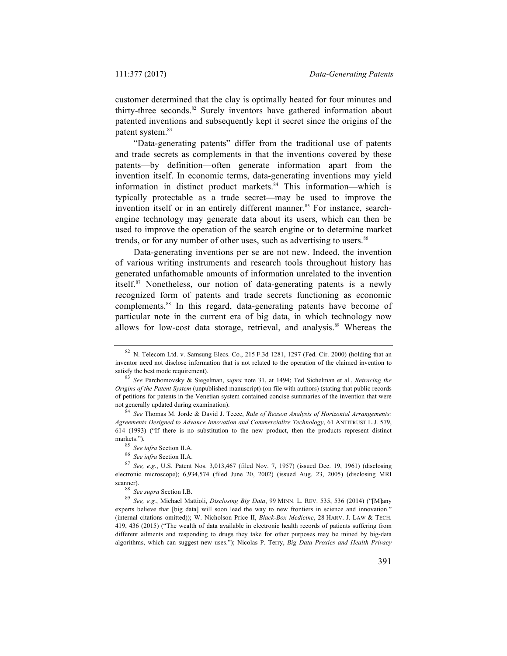customer determined that the clay is optimally heated for four minutes and thirty-three seconds. $82$  Surely inventors have gathered information about patented inventions and subsequently kept it secret since the origins of the patent system.<sup>83</sup>

"Data-generating patents" differ from the traditional use of patents and trade secrets as complements in that the inventions covered by these patents—by definition—often generate information apart from the invention itself. In economic terms, data-generating inventions may yield information in distinct product markets.<sup>84</sup> This information—which is typically protectable as a trade secret—may be used to improve the invention itself or in an entirely different manner.<sup>85</sup> For instance, searchengine technology may generate data about its users, which can then be used to improve the operation of the search engine or to determine market trends, or for any number of other uses, such as advertising to users.<sup>86</sup>

Data-generating inventions per se are not new. Indeed, the invention of various writing instruments and research tools throughout history has generated unfathomable amounts of information unrelated to the invention itself.87 Nonetheless, our notion of data-generating patents is a newly recognized form of patents and trade secrets functioning as economic complements.88 In this regard, data-generating patents have become of particular note in the current era of big data, in which technology now allows for low-cost data storage, retrieval, and analysis.<sup>89</sup> Whereas the

 $82$  N. Telecom Ltd. v. Samsung Elecs. Co., 215 F.3d 1281, 1297 (Fed. Cir. 2000) (holding that an inventor need not disclose information that is not related to the operation of the claimed invention to satisfy the best mode requirement).

<sup>83</sup> *See* Parchomovsky & Siegelman, *supra* note 31, at 1494; Ted Sichelman et al., *Retracing the Origins of the Patent System* (unpublished manuscript) (on file with authors) (stating that public records of petitions for patents in the Venetian system contained concise summaries of the invention that were not generally updated during examination).

<sup>84</sup> *See* Thomas M. Jorde & David J. Teece, *Rule of Reason Analysis of Horizontal Arrangements: Agreements Designed to Advance Innovation and Commercialize Technology*, 61 ANTITRUST L.J. 579, 614 (1993) ("If there is no substitution to the new product, then the products represent distinct markets.").

<sup>85</sup> *See infra* Section II.A.

<sup>&</sup>lt;sup>87</sup> *See, e.g.*, U.S. Patent Nos. 3,013,467 (filed Nov. 7, 1957) (issued Dec. 19, 1961) (disclosing electronic microscope); 6,934,574 (filed June 20, 2002) (issued Aug. 23, 2005) (disclosing MRI scanner).

<sup>88</sup> *See supra* Section I.B.

<sup>89</sup> *See, e.g.*, Michael Mattioli, *Disclosing Big Data*, 99 MINN. L. REV. 535, 536 (2014) ("[M]any experts believe that [big data] will soon lead the way to new frontiers in science and innovation." (internal citations omitted)); W. Nicholson Price II, *Black-Box Medicine*, 28 HARV. J. LAW & TECH. 419, 436 (2015) ("The wealth of data available in electronic health records of patients suffering from different ailments and responding to drugs they take for other purposes may be mined by big-data algorithms, which can suggest new uses."); Nicolas P. Terry, *Big Data Proxies and Health Privacy*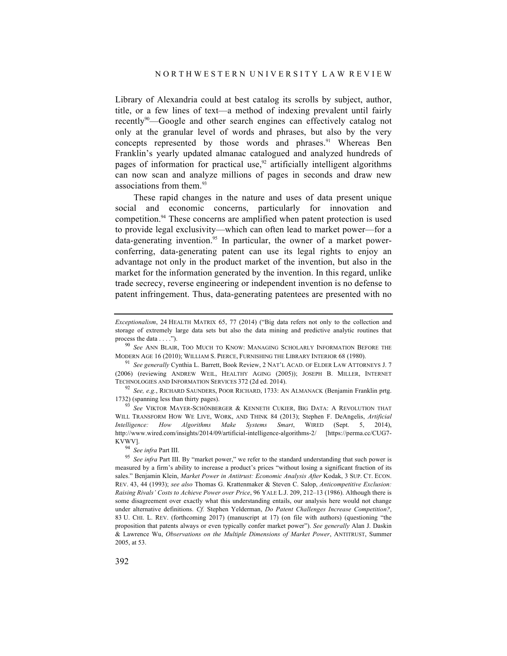Library of Alexandria could at best catalog its scrolls by subject, author, title, or a few lines of text—a method of indexing prevalent until fairly recently<sup>90</sup>—Google and other search engines can effectively catalog not only at the granular level of words and phrases, but also by the very concepts represented by those words and phrases.<sup>91</sup> Whereas Ben Franklin's yearly updated almanac catalogued and analyzed hundreds of pages of information for practical use, $92$  artificially intelligent algorithms can now scan and analyze millions of pages in seconds and draw new associations from them.93

These rapid changes in the nature and uses of data present unique social and economic concerns, particularly for innovation and competition.<sup>94</sup> These concerns are amplified when patent protection is used to provide legal exclusivity—which can often lead to market power—for a data-generating invention.<sup>95</sup> In particular, the owner of a market powerconferring, data-generating patent can use its legal rights to enjoy an advantage not only in the product market of the invention, but also in the market for the information generated by the invention. In this regard, unlike trade secrecy, reverse engineering or independent invention is no defense to patent infringement. Thus, data-generating patentees are presented with no

TECHNOLOGIES AND INFORMATION SERVICES 372 (2d ed. 2014).<br><sup>92</sup> *See, e.g.*, RICHARD SAUNDERS, POOR RICHARD, 1733: AN ALMANACK (Benjamin Franklin prtg. 1732) (spanning less than thirty pages).

<sup>93</sup> See VIKTOR MAYER-SCHÖNBERGER & KENNETH CUKIER, BIG DATA: A REVOLUTION THAT WILL TRANSFORM HOW WE LIVE, WORK, AND THINK 84 (2013); Stephen F. DeAngelis, *Artificial Intelligence: How Algorithms Make Systems Smart*, WIRED (Sept. 5, 2014), http://www.wired.com/insights/2014/09/artificial-intelligence-algorithms-2/ [https://perma.cc/CUG7- KVWV]. 94 *See infra* Part III.

*Exceptionalism*, 24 HEALTH MATRIX 65, 77 (2014) ("Big data refers not only to the collection and storage of extremely large data sets but also the data mining and predictive analytic routines that process the data . . . .").

<sup>90</sup> *See* ANN BLAIR, TOO MUCH TO KNOW: MANAGING SCHOLARLY INFORMATION BEFORE THE MODERN AGE 16 (2010); WILLIAM S. PIERCE, FURNISHING THE LIBRARY INTERIOR 68 (1980).

<sup>91</sup> *See generally* Cynthia L. Barrett, Book Review, 2 NAT'L ACAD. OF ELDER LAW ATTORNEYS J. 7 (2006) (reviewing ANDREW WEIL, HEALTHY AGING (2005)); JOSEPH B. MILLER, INTERNET

<sup>95</sup> *See infra* Part III. By "market power," we refer to the standard understanding that such power is measured by a firm's ability to increase a product's prices "without losing a significant fraction of its sales." Benjamin Klein, *Market Power in Antitrust: Economic Analysis After* Kodak, 3 SUP. CT. ECON. REV. 43, 44 (1993); *see also* Thomas G. Krattenmaker & Steven C. Salop, *Anticompetitive Exclusion: Raising Rivals' Costs to Achieve Power over Price*, 96 YALE L.J. 209, 212–13 (1986). Although there is some disagreement over exactly what this understanding entails, our analysis here would not change under alternative definitions. *Cf.* Stephen Yelderman, *Do Patent Challenges Increase Competition?*, 83 U. CHI. L. REV. (forthcoming 2017) (manuscript at 17) (on file with authors) (questioning "the proposition that patents always or even typically confer market power"). *See generally* Alan J. Daskin & Lawrence Wu, *Observations on the Multiple Dimensions of Market Power*, ANTITRUST, Summer 2005, at 53.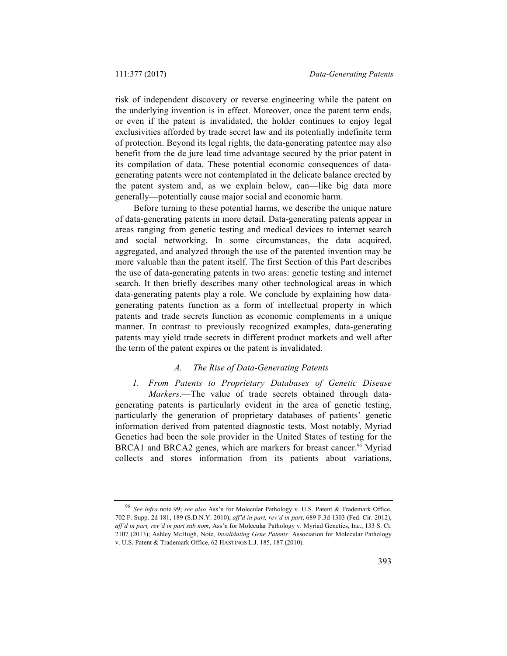risk of independent discovery or reverse engineering while the patent on the underlying invention is in effect. Moreover, once the patent term ends, or even if the patent is invalidated, the holder continues to enjoy legal exclusivities afforded by trade secret law and its potentially indefinite term of protection. Beyond its legal rights, the data-generating patentee may also benefit from the de jure lead time advantage secured by the prior patent in its compilation of data. These potential economic consequences of datagenerating patents were not contemplated in the delicate balance erected by the patent system and, as we explain below, can—like big data more generally—potentially cause major social and economic harm.

Before turning to these potential harms, we describe the unique nature of data-generating patents in more detail. Data-generating patents appear in areas ranging from genetic testing and medical devices to internet search and social networking. In some circumstances, the data acquired, aggregated, and analyzed through the use of the patented invention may be more valuable than the patent itself. The first Section of this Part describes the use of data-generating patents in two areas: genetic testing and internet search. It then briefly describes many other technological areas in which data-generating patents play a role. We conclude by explaining how datagenerating patents function as a form of intellectual property in which patents and trade secrets function as economic complements in a unique manner. In contrast to previously recognized examples, data-generating patents may yield trade secrets in different product markets and well after the term of the patent expires or the patent is invalidated.

### *A. The Rise of Data-Generating Patents*

*1. From Patents to Proprietary Databases of Genetic Disease Markers*.—The value of trade secrets obtained through datagenerating patents is particularly evident in the area of genetic testing, particularly the generation of proprietary databases of patients' genetic information derived from patented diagnostic tests. Most notably, Myriad Genetics had been the sole provider in the United States of testing for the BRCA1 and BRCA2 genes, which are markers for breast cancer.<sup>96</sup> Myriad collects and stores information from its patients about variations,

<sup>96</sup> *See infra* note 99; *see also* Ass'n for Molecular Pathology v. U.S. Patent & Trademark Office, 702 F. Supp. 2d 181, 189 (S.D.N.Y. 2010), *aff'd in part, rev'd in part*, 689 F.3d 1303 (Fed. Cir. 2012), *aff'd in part, rev'd in part sub nom*, Ass'n for Molecular Pathology v. Myriad Genetics, Inc., 133 S. Ct. 2107 (2013); Ashley McHugh, Note, *Invalidating Gene Patents:* Association for Molecular Pathology v. U.S. Patent & Trademark Office, 62 HASTINGS L.J. 185, 187 (2010).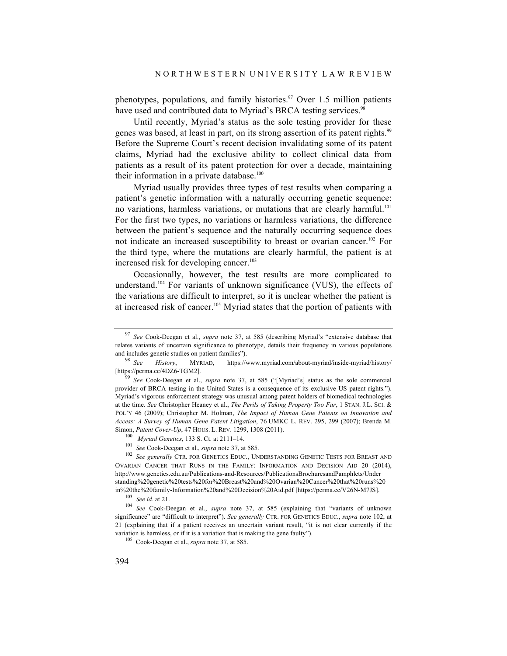phenotypes, populations, and family histories.<sup>97</sup> Over 1.5 million patients have used and contributed data to Myriad's BRCA testing services.<sup>98</sup>

Until recently, Myriad's status as the sole testing provider for these genes was based, at least in part, on its strong assertion of its patent rights.<sup>99</sup> Before the Supreme Court's recent decision invalidating some of its patent claims, Myriad had the exclusive ability to collect clinical data from patients as a result of its patent protection for over a decade, maintaining their information in a private database.<sup>100</sup>

Myriad usually provides three types of test results when comparing a patient's genetic information with a naturally occurring genetic sequence: no variations, harmless variations, or mutations that are clearly harmful.<sup>101</sup> For the first two types, no variations or harmless variations, the difference between the patient's sequence and the naturally occurring sequence does not indicate an increased susceptibility to breast or ovarian cancer.102 For the third type, where the mutations are clearly harmful, the patient is at increased risk for developing cancer.<sup>103</sup>

Occasionally, however, the test results are more complicated to understand.<sup>104</sup> For variants of unknown significance (VUS), the effects of the variations are difficult to interpret, so it is unclear whether the patient is at increased risk of cancer.<sup>105</sup> Myriad states that the portion of patients with

<sup>97</sup> *See* Cook-Deegan et al., *supra* note 37, at 585 (describing Myriad's "extensive database that relates variants of uncertain significance to phenotype, details their frequency in various populations and includes genetic studies on patient families").<br><sup>98</sup> See History, MYRIAD, https://v

History, MYRIAD, https://www.myriad.com/about-myriad/inside-myriad/history/ [https://perma.cc/4DZ6-TGM2]*.*

<sup>99</sup> *See* Cook-Deegan et al., *supra* note 37, at 585 ("[Myriad's] status as the sole commercial provider of BRCA testing in the United States is a consequence of its exclusive US patent rights."). Myriad's vigorous enforcement strategy was unusual among patent holders of biomedical technologies at the time. *See* Christopher Heaney et al., *The Perils of Taking Property Too Far*, 1 STAN. J.L. SCI. & POL'Y 46 (2009); Christopher M. Holman, *The Impact of Human Gene Patents on Innovation and Access: A Survey of Human Gene Patent Litigation*, 76 UMKC L. REV. 295, 299 (2007); Brenda M. Simon, *Patent Cover-Up*, 47 HOUS. L. REV. 1299, 1308 (2011).<br><sup>100</sup> *Myriad Genetics*, 133 S. Ct. at 2111–14.<br><sup>101</sup> *See* Cook-Deegan et al., *supra* note 37, at 585.

<sup>&</sup>lt;sup>102</sup> *See generally* CTR. FOR GENETICS EDUC., UNDERSTANDING GENETIC TESTS FOR BREAST AND OVARIAN CANCER THAT RUNS IN THE FAMILY: INFORMATION AND DECISION AID 20 (2014), http://www.genetics.edu.au/Publications-and-Resources/PublicationsBrochuresandPamphlets/Under standing%20genetic%20tests%20for%20Breast%20and%20Ovarian%20Cancer%20that%20runs%20 in%20the%20family-Information%20and%20Decision%20Aid.pdf [https://perma.cc/V26N-M7JS].

<sup>103</sup> *See id.* at 21.

<sup>104</sup> *See* Cook-Deegan et al., *supra* note 37, at 585 (explaining that "variants of unknown significance" are "difficult to interpret"). *See generally* CTR. FOR GENETICS EDUC., *supra* note 102, at 21 (explaining that if a patient receives an uncertain variant result, "it is not clear currently if the variation is harmless, or if it is a variation that is making the gene faulty"). 105 Cook-Deegan et al., *supra* note 37, at 585.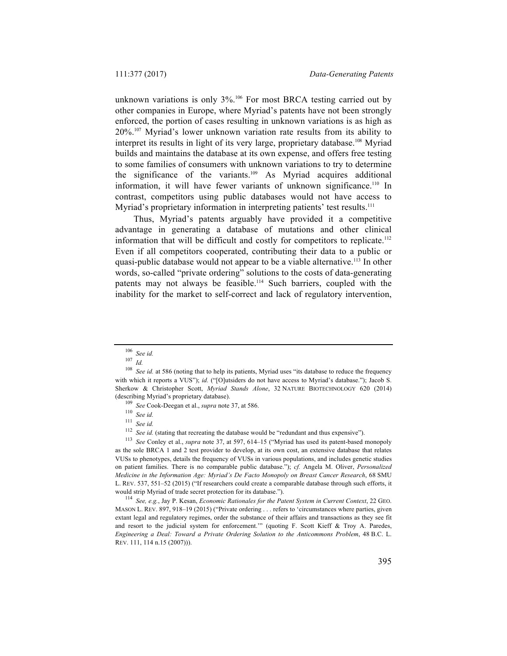unknown variations is only  $3\%$ <sup>106</sup> For most BRCA testing carried out by other companies in Europe, where Myriad's patents have not been strongly enforced, the portion of cases resulting in unknown variations is as high as 20%.107 Myriad's lower unknown variation rate results from its ability to interpret its results in light of its very large, proprietary database.<sup>108</sup> Myriad builds and maintains the database at its own expense, and offers free testing to some families of consumers with unknown variations to try to determine the significance of the variants.109 As Myriad acquires additional information, it will have fewer variants of unknown significance.<sup>110</sup> In contrast, competitors using public databases would not have access to Myriad's proprietary information in interpreting patients' test results.<sup>111</sup>

Thus, Myriad's patents arguably have provided it a competitive advantage in generating a database of mutations and other clinical information that will be difficult and costly for competitors to replicate.<sup>112</sup> Even if all competitors cooperated, contributing their data to a public or quasi-public database would not appear to be a viable alternative.113 In other words, so-called "private ordering" solutions to the costs of data-generating patents may not always be feasible.<sup>114</sup> Such barriers, coupled with the inability for the market to self-correct and lack of regulatory intervention,

<sup>106</sup> *See id.*

<sup>107</sup> *Id.*

<sup>&</sup>lt;sup>108</sup> *See id.* at 586 (noting that to help its patients, Myriad uses "its database to reduce the frequency with which it reports a VUS"); *id.* ("[O]utsiders do not have access to Myriad's database."); Jacob S. Sherkow & Christopher Scott, *Myriad Stands Alone*, 32 NATURE BIOTECHNOLOGY 620 (2014) (describing Myriad's proprietary database).

<sup>109</sup> *See* Cook-Deegan et al., *supra* note 37, at 586.

<sup>110</sup> *See id.* 

<sup>111</sup> *See id.*

<sup>&</sup>lt;sup>112</sup> *See id.* (stating that recreating the database would be "redundant and thus expensive").

<sup>113</sup> *See* Conley et al., *supra* note 37, at 597, 614–15 ("Myriad has used its patent-based monopoly as the sole BRCA 1 and 2 test provider to develop, at its own cost, an extensive database that relates VUSs to phenotypes, details the frequency of VUSs in various populations, and includes genetic studies on patient families. There is no comparable public database."); *cf.* Angela M. Oliver, *Personalized Medicine in the Information Age: Myriad's De Facto Monopoly on Breast Cancer Research*, 68 SMU L. REV. 537, 551–52 (2015) ("If researchers could create a comparable database through such efforts, it would strip Myriad of trade secret protection for its database.").

<sup>114</sup> *See, e.g.*, Jay P. Kesan, *Economic Rationales for the Patent System in Current Context*, 22 GEO. MASON L. REV. 897, 918–19 (2015) ("Private ordering . . . refers to 'circumstances where parties, given extant legal and regulatory regimes, order the substance of their affairs and transactions as they see fit and resort to the judicial system for enforcement.'" (quoting F. Scott Kieff & Troy A. Paredes, *Engineering a Deal: Toward a Private Ordering Solution to the Anticommons Problem*, 48 B.C. L. REV. 111, 114 n.15 (2007))).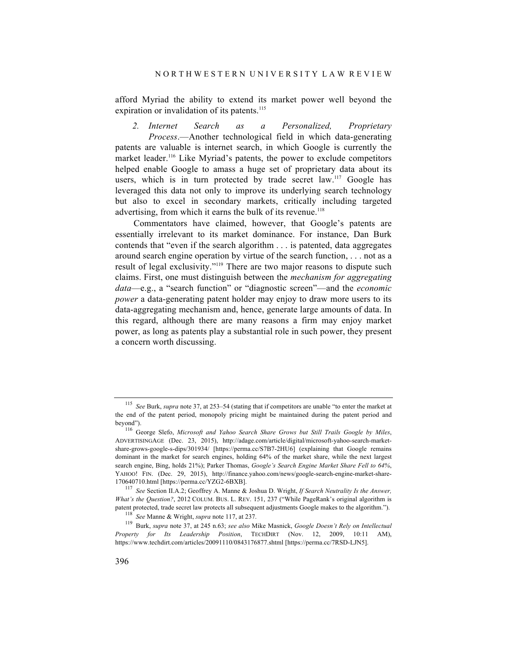afford Myriad the ability to extend its market power well beyond the expiration or invalidation of its patents.<sup>115</sup>

*2. Internet Search as a Personalized, Proprietary Process*.—Another technological field in which data-generating patents are valuable is internet search, in which Google is currently the market leader.<sup>116</sup> Like Myriad's patents, the power to exclude competitors helped enable Google to amass a huge set of proprietary data about its users, which is in turn protected by trade secret law.<sup>117</sup> Google has leveraged this data not only to improve its underlying search technology but also to excel in secondary markets, critically including targeted advertising, from which it earns the bulk of its revenue.<sup>118</sup>

Commentators have claimed, however, that Google's patents are essentially irrelevant to its market dominance. For instance, Dan Burk contends that "even if the search algorithm . . . is patented, data aggregates around search engine operation by virtue of the search function, . . . not as a result of legal exclusivity."119 There are two major reasons to dispute such claims. First, one must distinguish between the *mechanism for aggregating data*—e.g., a "search function" or "diagnostic screen"—and the *economic power* a data-generating patent holder may enjoy to draw more users to its data-aggregating mechanism and, hence, generate large amounts of data. In this regard, although there are many reasons a firm may enjoy market power, as long as patents play a substantial role in such power, they present a concern worth discussing.

See Burk, *supra* note 37, at 253–54 (stating that if competitors are unable "to enter the market at the end of the patent period, monopoly pricing might be maintained during the patent period and beyond").

<sup>116</sup> George Slefo, *Microsoft and Yahoo Search Share Grows but Still Trails Google by Miles*, ADVERTISINGAGE (Dec. 23, 2015), http://adage.com/article/digital/microsoft-yahoo-search-marketshare-grows-google-s-dips/301934/ [https://perma.cc/S7B7-2HU6] (explaining that Google remains dominant in the market for search engines, holding 64% of the market share, while the next largest search engine, Bing, holds 21%); Parker Thomas, *Google's Search Engine Market Share Fell to 64%*, YAHOO! FIN. (Dec. 29, 2015), http://finance.yahoo.com/news/google-search-engine-market-share-170640710.html [https://perma.cc/YZG2-6BXB].

<sup>117</sup> *See* Section II.A.2; Geoffrey A. Manne & Joshua D. Wright, *If Search Neutrality Is the Answer, What's the Question?*, 2012 COLUM. BUS. L. REV. 151, 237 ("While PageRank's original algorithm is patent protected, trade secret law protects all subsequent adjustments Google makes to the algorithm."). 118 *See* Manne & Wright, *supra* note 117, at 237.

<sup>119</sup> Burk, *supra* note 37, at 245 n.63; *see also* Mike Masnick, *Google Doesn't Rely on Intellectual Property for Its Leadership Position*, TECHDIRT (Nov. 12, 2009, 10:11 AM), https://www.techdirt.com/articles/20091110/0843176877.shtml [https://perma.cc/7RSD-LJN5].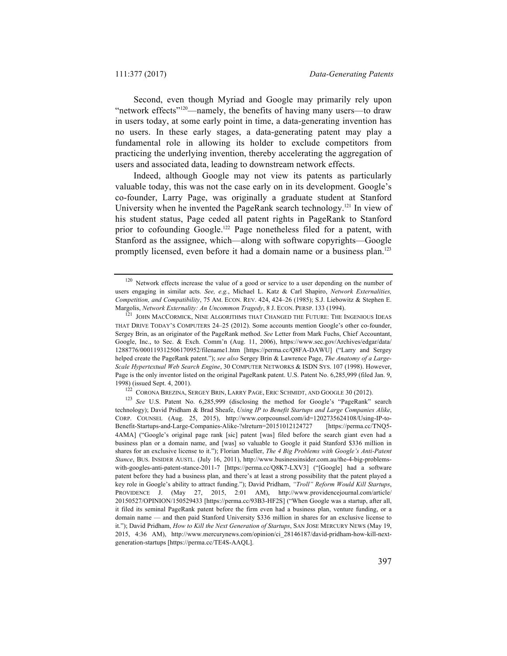Second, even though Myriad and Google may primarily rely upon "network effects"120—namely, the benefits of having many users—to draw in users today, at some early point in time, a data-generating invention has no users. In these early stages, a data-generating patent may play a fundamental role in allowing its holder to exclude competitors from practicing the underlying invention, thereby accelerating the aggregation of users and associated data, leading to downstream network effects.

Indeed, although Google may not view its patents as particularly valuable today, this was not the case early on in its development. Google's co-founder, Larry Page, was originally a graduate student at Stanford University when he invented the PageRank search technology.<sup>121</sup> In view of his student status, Page ceded all patent rights in PageRank to Stanford prior to cofounding Google.<sup>122</sup> Page nonetheless filed for a patent, with Stanford as the assignee, which—along with software copyrights—Google promptly licensed, even before it had a domain name or a business plan.<sup>123</sup>

<sup>&</sup>lt;sup>120</sup> Network effects increase the value of a good or service to a user depending on the number of users engaging in similar acts. *See, e.g.*, Michael L. Katz & Carl Shapiro, *Network Externalities, Competition, and Compatibility*, 75 AM. ECON. REV. 424, 424–26 (1985); S.J. Liebowitz & Stephen E. Margolis, *Network Externality: An Uncommon Tragedy*, 8 J. ECON. PERSP. 133 (1994).

<sup>&</sup>lt;sup>121</sup> JOHN MACCORMICK, NINE ALGORITHMS THAT CHANGED THE FUTURE: THE INGENIOUS IDEAS THAT DRIVE TODAY'S COMPUTERS 24–25 (2012). Some accounts mention Google's other co-founder, Sergey Brin, as an originator of the PageRank method. *See* Letter from Mark Fuchs, Chief Accountant, Google, Inc., to Sec. & Exch. Comm'n (Aug. 11, 2006), https://www.sec.gov/Archives/edgar/data/ 1288776/000119312506170952/filename1.htm [https://perma.cc/Q8FA-DAWU] ("Larry and Sergey helped create the PageRank patent."); *see also* Sergey Brin & Lawrence Page, *The Anatomy of a Large-Scale Hypertextual Web Search Engine*, 30 COMPUTER NETWORKS & ISDN SYS. 107 (1998). However, Page is the only inventor listed on the original PageRank patent. U.S. Patent No. 6,285,999 (filed Jan. 9, 1998) (issued Sept. 4, 2001).

<sup>122</sup> CORONA BREZINA, SERGEY BRIN, LARRY PAGE, ERIC SCHMIDT, AND GOOGLE 30 (2012).

<sup>123</sup> *See* U.S. Patent No. 6,285,999 (disclosing the method for Google's "PageRank" search technology); David Pridham & Brad Sheafe, *Using IP to Benefit Startups and Large Companies Alike*, CORP. COUNSEL (Aug. 25, 2015), http://www.corpcounsel.com/id=1202735624108/Using-IP-to-Benefit-Startups-and-Large-Companies-Alike-?slreturn=20151012124727 [https://perma.cc/TNQ5- 4AMA] ("Google's original page rank [sic] patent [was] filed before the search giant even had a business plan or a domain name, and [was] so valuable to Google it paid Stanford \$336 million in shares for an exclusive license to it."); Florian Mueller, *The 4 Big Problems with Google's Anti-Patent Stance*, BUS. INSIDER AUSTL. (July 16, 2011), http://www.businessinsider.com.au/the-4-big-problemswith-googles-anti-patent-stance-2011-7 [https://perma.cc/Q8K7-LXV3] ("[Google] had a software patent before they had a business plan, and there's at least a strong possibility that the patent played a key role in Google's ability to attract funding."); David Pridham, *"Troll" Reform Would Kill Startups*, PROVIDENCE J. (May 27, 2015, 2:01 AM), http://www.providencejournal.com/article/ 20150527/OPINION/150529433 [https://perma.cc/93B3-HF2S] ("When Google was a startup, after all, it filed its seminal PageRank patent before the firm even had a business plan, venture funding, or a domain name — and then paid Stanford University \$336 million in shares for an exclusive license to it."); David Pridham, *How to Kill the Next Generation of Startups*, SAN JOSE MERCURY NEWS (May 19, 2015, 4:36 AM), http://www.mercurynews.com/opinion/ci\_28146187/david-pridham-how-kill-nextgeneration-startups [https://perma.cc/TE4S-AAQL].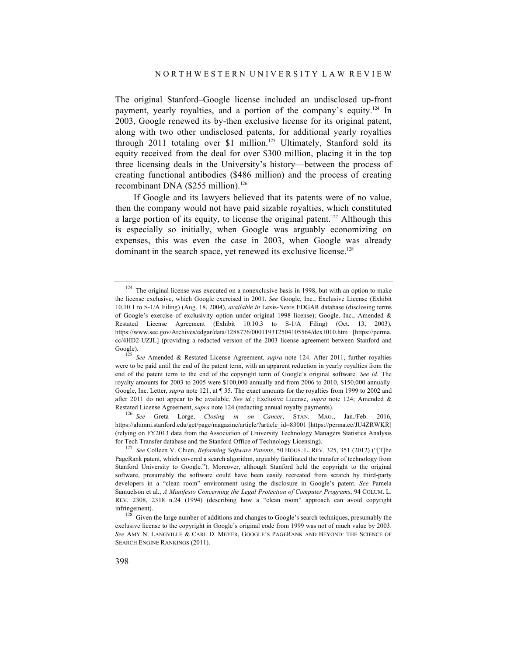The original Stanford–Google license included an undisclosed up-front payment, yearly royalties, and a portion of the company's equity.<sup>124</sup> In 2003, Google renewed its by-then exclusive license for its original patent, along with two other undisclosed patents, for additional yearly royalties through 2011 totaling over \$1 million.<sup>125</sup> Ultimately, Stanford sold its equity received from the deal for over \$300 million, placing it in the top three licensing deals in the University's history—between the process of creating functional antibodies (\$486 million) and the process of creating recombinant DNA (\$255 million).<sup>126</sup>

If Google and its lawyers believed that its patents were of no value, then the company would not have paid sizable royalties, which constituted a large portion of its equity, to license the original patent.<sup>127</sup> Although this is especially so initially, when Google was arguably economizing on expenses, this was even the case in 2003, when Google was already dominant in the search space, yet renewed its exclusive license.<sup>128</sup>

<sup>&</sup>lt;sup>124</sup> The original license was executed on a nonexclusive basis in 1998, but with an option to make the license exclusive, which Google exercised in 2001. *See* Google, Inc., Exclusive License (Exhibit 10.10.1 to S-1/A Filing) (Aug. 18, 2004), *available in* Lexis-Nexis EDGAR database (disclosing terms of Google's exercise of exclusivity option under original 1998 license); Google, Inc., Amended & Restated License Agreement (Exhibit 10.10.3 to S-1/A Filing) (Oct. 13, 2003), https://www.sec.gov/Archives/edgar/data/1288776/000119312504105564/dex1010.htm [https://perma. cc/4HD2-UZJL] (providing a redacted version of the 2003 license agreement between Stanford and Google).

<sup>125</sup> *See* Amended & Restated License Agreement*, supra* note 124. After 2011, further royalties were to be paid until the end of the patent term, with an apparent reduction in yearly royalties from the end of the patent term to the end of the copyright term of Google's original software. *See id.* The royalty amounts for 2003 to 2005 were \$100,000 annually and from 2006 to 2010, \$150,000 annually. Google, Inc. Letter, *supra* note 121, at ¶ 35. The exact amounts for the royalties from 1999 to 2002 and after 2011 do not appear to be available. *See id.*; Exclusive License, *supra* note 124; Amended & Restated License Agreement, *supra* note 124 (redacting annual royalty payments).

<sup>126</sup> *See* Greta Lorge, *Closing in on Cancer*, STAN. MAG., Jan./Feb. 2016, https://alumni.stanford.edu/get/page/magazine/article/?article\_id=83001 [https://perma.cc/JU4ZRWKR] (relying on FY2013 data from the Association of University Technology Managers Statistics Analysis for Tech Transfer database and the Stanford Office of Technology Licensing).

<sup>127</sup> *See* Colleen V. Chien, *Reforming Software Patents*, 50 HOUS. L. REV. 325, 351 (2012) ("[T]he PageRank patent, which covered a search algorithm, arguably facilitated the transfer of technology from Stanford University to Google."). Moreover, although Stanford held the copyright to the original software, presumably the software could have been easily recreated from scratch by third-party developers in a "clean room" environment using the disclosure in Google's patent. *See* Pamela Samuelson et al., *A Manifesto Concerning the Legal Protection of Computer Programs*, 94 COLUM. L. REV. 2308, 2318 n.24 (1994) (describing how a "clean room" approach can avoid copyright infringement).

<sup>&</sup>lt;sup>128</sup> Given the large number of additions and changes to Google's search techniques, presumably the exclusive license to the copyright in Google's original code from 1999 was not of much value by 2003. *See* AMY N. LANGVILLE & CARL D. MEYER, GOOGLE'S PAGERANK AND BEYOND: THE SCIENCE OF SEARCH ENGINE RANKINGS (2011).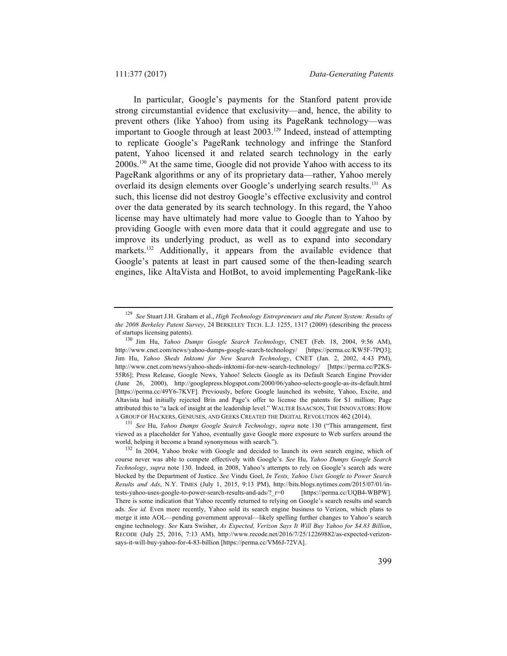In particular, Google's payments for the Stanford patent provide strong circumstantial evidence that exclusivity—and, hence, the ability to prevent others (like Yahoo) from using its PageRank technology—was important to Google through at least 2003.<sup>129</sup> Indeed, instead of attempting to replicate Google's PageRank technology and infringe the Stanford patent, Yahoo licensed it and related search technology in the early 2000s.130 At the same time, Google did not provide Yahoo with access to its PageRank algorithms or any of its proprietary data—rather, Yahoo merely overlaid its design elements over Google's underlying search results.131 As such, this license did not destroy Google's effective exclusivity and control over the data generated by its search technology. In this regard, the Yahoo license may have ultimately had more value to Google than to Yahoo by providing Google with even more data that it could aggregate and use to improve its underlying product, as well as to expand into secondary markets.<sup>132</sup> Additionally, it appears from the available evidence that Google's patents at least in part caused some of the then-leading search engines, like AltaVista and HotBot, to avoid implementing PageRank-like

<sup>131</sup> *See* Hu, *Yahoo Dumps Google Search Technology*, *supra* note 130 ("This arrangement, first viewed as a placeholder for Yahoo, eventually gave Google more exposure to Web surfers around the world, helping it become a brand synonymous with search.").

<sup>129</sup> *See* Stuart J.H. Graham et al., *High Technology Entrepreneurs and the Patent System: Results of the 2008 Berkeley Patent Survey*, 24 BERKELEY TECH. L.J. 1255, 1317 (2009) (describing the process of startups licensing patents).

<sup>130</sup> Jim Hu, *Yahoo Dumps Google Search Technology*, CNET (Feb. 18, 2004, 9:56 AM), http://www.cnet.com/news/yahoo-dumps-google-search-technology/ [https://perma.cc/KW5F-7PQ3]; Jim Hu, *Yahoo Sheds Inktomi for New Search Technology*, CNET (Jan. 2, 2002, 4:43 PM), http://www.cnet.com/news/yahoo-sheds-inktomi-for-new-search-technology/ [https://perma.cc/P2KS-55R6]; Press Release, Google News, Yahoo! Selects Google as its Default Search Engine Provider (June 26, 2000), http://googlepress.blogspot.com/2000/06/yahoo-selects-google-as-its-default.html [https://perma.cc/49Y6-7KVF]. Previously, before Google launched its website, Yahoo, Excite, and Altavista had initially rejected Brin and Page's offer to license the patents for \$1 million; Page attributed this to "a lack of insight at the leadership level." WALTER ISAACSON, THE INNOVATORS: HOW A GROUP OF HACKERS, GENIUSES, AND GEEKS CREATED THE DIGITAL REVOLUTION 462 (2014).

<sup>&</sup>lt;sup>132</sup> In 2004, Yahoo broke with Google and decided to launch its own search engine, which of course never was able to compete effectively with Google's. *See* Hu, *Yahoo Dumps Google Search Technology*, *supra* note 130. Indeed, in 2008, Yahoo's attempts to rely on Google's search ads were blocked by the Department of Justice. *See* Vindu Goel, *In Tests, Yahoo Uses Google to Power Search Results and Ads*, N.Y. TIMES (July 1, 2015, 9:13 PM), http://bits.blogs.nytimes.com/2015/07/01/intests-yahoo-uses-google-to-power-search-results-and-ads/?\_r=0 [https://perma.cc/UQB4-WBPW]. There is some indication that Yahoo recently returned to relying on Google's search results and search ads. *See id.* Even more recently, Yahoo sold its search engine business to Verizon, which plans to merge it into AOL—pending government approval—likely spelling further changes to Yahoo's search engine technology. *See* Kara Swisher, *As Expected, Verizon Says It Will Buy Yahoo for \$4.83 Billion*, RECODE (July 25, 2016, 7:13 AM), http://www.recode.net/2016/7/25/12269882/as-expected-verizonsays-it-will-buy-yahoo-for-4-83-billion [https://perma.cc/VM6J-72VA].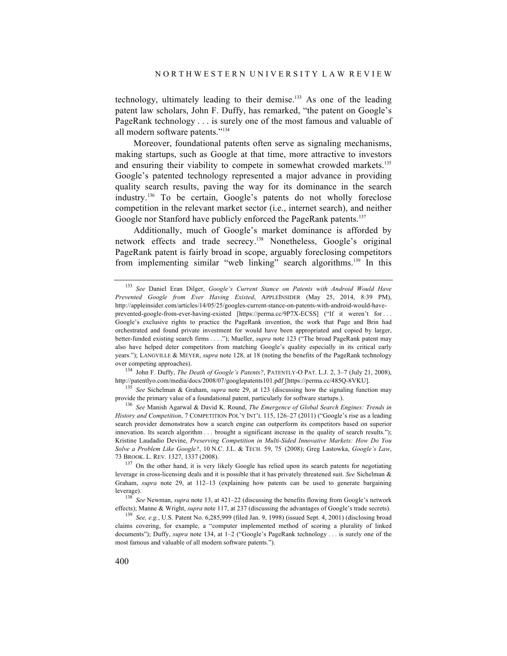technology, ultimately leading to their demise.<sup>133</sup> As one of the leading patent law scholars, John F. Duffy, has remarked, "the patent on Google's PageRank technology . . . is surely one of the most famous and valuable of all modern software patents."134

Moreover, foundational patents often serve as signaling mechanisms, making startups, such as Google at that time, more attractive to investors and ensuring their viability to compete in somewhat crowded markets.<sup>135</sup> Google's patented technology represented a major advance in providing quality search results, paving the way for its dominance in the search industry.136 To be certain, Google's patents do not wholly foreclose competition in the relevant market sector (i.e., internet search), and neither Google nor Stanford have publicly enforced the PageRank patents.<sup>137</sup>

Additionally, much of Google's market dominance is afforded by network effects and trade secrecy.<sup>138</sup> Nonetheless, Google's original PageRank patent is fairly broad in scope, arguably foreclosing competitors from implementing similar "web linking" search algorithms.<sup>139</sup> In this

<sup>134</sup> John F. Duffy, *The Death of Google's Patents?*, PATENTLY-O PAT. L.J. 2, 3–7 (July 21, 2008), http://patentlyo.com/media/docs/2008/07/googlepatents101.pdf [https://perma.cc/485Q-8VKU].

<sup>135</sup> *See* Sichelman & Graham, *supra* note 29, at 123 (discussing how the signaling function may provide the primary value of a foundational patent, particularly for software startups.).

<sup>136</sup> *See* Manish Agarwal & David K. Round, *The Emergence of Global Search Engines: Trends in History and Competition*, 7 COMPETITION POL'Y INT'L 115, 126–27 (2011) ("Google's rise as a leading search provider demonstrates how a search engine can outperform its competitors based on superior innovation. Its search algorithm . . . brought a significant increase in the quality of search results."); Kristine Laudadio Devine, *Preserving Competition in Multi-Sided Innovative Markets: How Do You Solve a Problem Like Google?*, 10 N.C. J.L. & TECH. 59, 75 (2008); Greg Lastowka, *Google's Law*, 73 BROOK. L. REV. 1327, 1337 (2008).

effects); Manne & Wright, *supra* note 117, at 237 (discussing the advantages of Google's trade secrets).

<sup>139</sup> *See, e.g.*, U.S. Patent No. 6,285,999 (filed Jan. 9, 1998) (issued Sept. 4, 2001) (disclosing broad claims covering, for example, a "computer implemented method of scoring a plurality of linked documents"); Duffy, *supra* note 134, at 1–2 ("Google's PageRank technology . . . is surely one of the most famous and valuable of all modern software patents.").

<sup>133</sup> *See* Daniel Eran Dilger, *Google's Current Stance on Patents with Android Would Have Prevented Google from Ever Having Existed*, APPLEINSIDER (May 25, 2014, 8:39 PM), http://appleinsider.com/articles/14/05/25/googles-current-stance-on-patents-with-android-would-haveprevented-google-from-ever-having-existed [https://perma.cc/9P7X-ECSS] ("If it weren't for ... Google's exclusive rights to practice the PageRank invention, the work that Page and Brin had orchestrated and found private investment for would have been appropriated and copied by larger, better-funded existing search firms . . . ."); Mueller, *supra* note 123 ("The broad PageRank patent may also have helped deter competitors from matching Google's quality especially in its critical early years."); LANGVILLE & MEYER, *supra* note 128, at 18 (noting the benefits of the PageRank technology over competing approaches).

<sup>&</sup>lt;sup>137</sup> On the other hand, it is very likely Google has relied upon its search patents for negotiating leverage in cross-licensing deals and it is possible that it has privately threatened suit. *See* Sichelman & Graham, *supra* note 29, at 112–13 (explaining how patents can be used to generate bargaining leverage). 138 *See* Newman, *supra* note 13, at 421–22 (discussing the benefits flowing from Google's network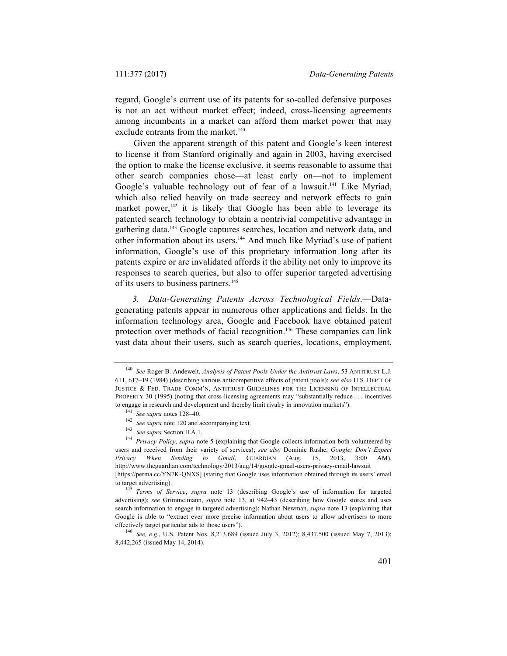regard, Google's current use of its patents for so-called defensive purposes is not an act without market effect; indeed, cross-licensing agreements among incumbents in a market can afford them market power that may exclude entrants from the market.<sup>140</sup>

Given the apparent strength of this patent and Google's keen interest to license it from Stanford originally and again in 2003, having exercised the option to make the license exclusive, it seems reasonable to assume that other search companies chose—at least early on—not to implement Google's valuable technology out of fear of a lawsuit.<sup>141</sup> Like Myriad, which also relied heavily on trade secrecy and network effects to gain market power, $142$  it is likely that Google has been able to leverage its patented search technology to obtain a nontrivial competitive advantage in gathering data.143 Google captures searches, location and network data, and other information about its users.<sup>144</sup> And much like Myriad's use of patient information, Google's use of this proprietary information long after its patents expire or are invalidated affords it the ability not only to improve its responses to search queries, but also to offer superior targeted advertising of its users to business partners.<sup>145</sup>

*3. Data-Generating Patents Across Technological Fields*.—Datagenerating patents appear in numerous other applications and fields. In the information technology area, Google and Facebook have obtained patent protection over methods of facial recognition.<sup>146</sup> These companies can link vast data about their users, such as search queries, locations, employment,

to target advertising).

<sup>140</sup> *See* Roger B. Andewelt, *Analysis of Patent Pools Under the Antitrust Laws*, 53 ANTITRUST L.J. 611, 617–19 (1984) (describing various anticompetitive effects of patent pools); *see also* U.S. DEP'T OF JUSTICE & FED. TRADE COMM'N, ANTITRUST GUIDELINES FOR THE LICENSING OF INTELLECTUAL PROPERTY 30 (1995) (noting that cross-licensing agreements may "substantially reduce . . . incentives to engage in research and development and thereby limit rivalry in innovation markets").

<sup>141</sup> *See supra* notes 128–40.

<sup>142</sup> *See supra* note 120 and accompanying text. 143 *See supra* Section II.A.1.

<sup>&</sup>lt;sup>144</sup> *Privacy Policy, supra* note 5 (explaining that Google collects information both volunteered by users and received from their variety of services); *see also* Dominic Rushe, *Google: Don't Expect Privacy When Sending to Gmail*, GUARDIAN (Aug. 15, 2013, 3:00 AM), http://www.theguardian.com/technology/2013/aug/14/google-gmail-users-privacy-email-lawsuit [https://perma.cc/YN7K-QNXS] (stating that Google uses information obtained through its users' email

<sup>145</sup> *Terms of Service*, *supra* note 13 (describing Google's use of information for targeted advertising); *see* Grimmelmann, *supra* note 13, at 942–43 (describing how Google stores and uses search information to engage in targeted advertising); Nathan Newman, *supra* note 13 (explaining that Google is able to "extract ever more precise information about users to allow advertisers to more effectively target particular ads to those users").

<sup>146</sup> *See, e.g.*, U.S. Patent Nos. 8,213,689 (issued July 3, 2012); 8,437,500 (issued May 7, 2013); 8,442,265 (issued May 14, 2014).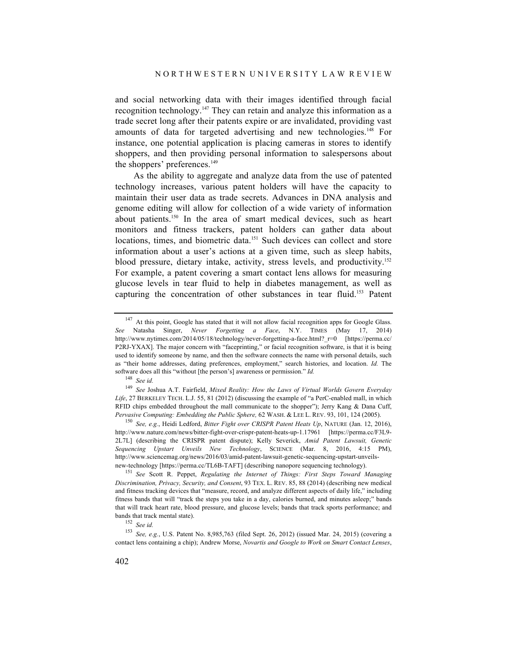and social networking data with their images identified through facial recognition technology.147 They can retain and analyze this information as a trade secret long after their patents expire or are invalidated, providing vast amounts of data for targeted advertising and new technologies.<sup>148</sup> For instance, one potential application is placing cameras in stores to identify shoppers, and then providing personal information to salespersons about the shoppers' preferences.<sup>149</sup>

As the ability to aggregate and analyze data from the use of patented technology increases, various patent holders will have the capacity to maintain their user data as trade secrets. Advances in DNA analysis and genome editing will allow for collection of a wide variety of information about patients.<sup>150</sup> In the area of smart medical devices, such as heart monitors and fitness trackers, patent holders can gather data about locations, times, and biometric data.<sup>151</sup> Such devices can collect and store information about a user's actions at a given time, such as sleep habits, blood pressure, dietary intake, activity, stress levels, and productivity.<sup>152</sup> For example, a patent covering a smart contact lens allows for measuring glucose levels in tear fluid to help in diabetes management, as well as capturing the concentration of other substances in tear fluid.153 Patent

<sup>148</sup> *See id.*

At this point, Google has stated that it will not allow facial recognition apps for Google Glass. *See* Natasha Singer, *Never Forgetting a Face*, N.Y. TIMES (May 17, 2014) http://www.nytimes.com/2014/05/18/technology/never-forgetting-a-face.html? r=0 [https://perma.cc/ P2RJ-YXAX]. The major concern with "faceprinting," or facial recognition software, is that it is being used to identify someone by name, and then the software connects the name with personal details, such as "their home addresses, dating preferences, employment," search histories, and location. *Id.* The software does all this "without [the person's] awareness or permission." *Id.*

<sup>149</sup> *See* Joshua A.T. Fairfield, *Mixed Reality: How the Laws of Virtual Worlds Govern Everyday Life*, 27 BERKELEY TECH. L.J. 55, 81 (2012) (discussing the example of "a PerC-enabled mall, in which RFID chips embedded throughout the mall communicate to the shopper"); Jerry Kang & Dana Cuff, *Pervasive Computing: Embedding the Public Sphere,* 62 WASH. & LEE L. REV. 93, 101, 124 (2005).

<sup>150</sup> *See, e.g.*, Heidi Ledford, *Bitter Fight over CRISPR Patent Heats Up*, NATURE (Jan. 12, 2016), http://www.nature.com/news/bitter-fight-over-crispr-patent-heats-up-1.17961 [https://perma.cc/F3L9- 2L7L] (describing the CRISPR patent dispute); Kelly Severick, *Amid Patent Lawsuit, Genetic Sequencing Upstart Unveils New Technology*, SCIENCE (Mar. 8, 2016, 4:15 PM), http://www.sciencemag.org/news/2016/03/amid-patent-lawsuit-genetic-sequencing-upstart-unveilsnew-technology [https://perma.cc/TL6B-TAFT] (describing nanopore sequencing technology).

<sup>151</sup> *See* Scott R. Peppet, *Regulating the Internet of Things: First Steps Toward Managing Discrimination, Privacy, Security, and Consent*, 93 TEX. L. REV. 85, 88 (2014) (describing new medical and fitness tracking devices that "measure, record, and analyze different aspects of daily life," including fitness bands that will "track the steps you take in a day, calories burned, and minutes asleep;" bands that will track heart rate, blood pressure, and glucose levels; bands that track sports performance; and bands that track mental state).

<sup>152</sup> *See id.*

<sup>153</sup> *See, e.g.*, U.S. Patent No. 8,985,763 (filed Sept. 26, 2012) (issued Mar. 24, 2015) (covering a contact lens containing a chip); Andrew Morse, *Novartis and Google to Work on Smart Contact Lenses*,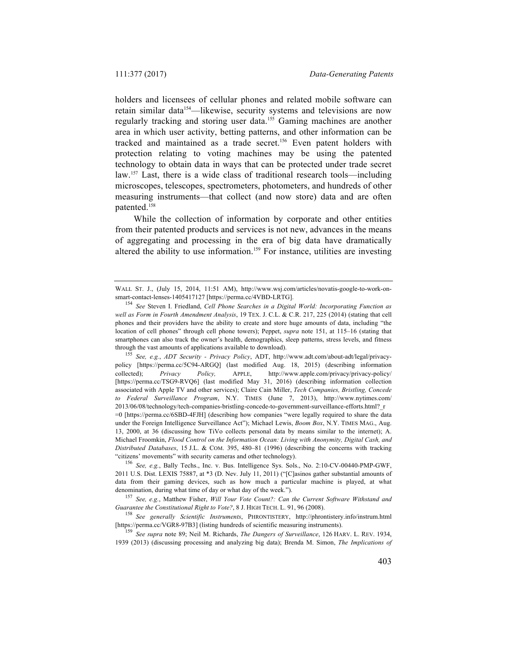holders and licensees of cellular phones and related mobile software can retain similar data<sup>154</sup>—likewise, security systems and televisions are now regularly tracking and storing user data.<sup>155</sup> Gaming machines are another area in which user activity, betting patterns, and other information can be tracked and maintained as a trade secret.<sup>156</sup> Even patent holders with protection relating to voting machines may be using the patented technology to obtain data in ways that can be protected under trade secret law.157 Last, there is a wide class of traditional research tools—including microscopes, telescopes, spectrometers, photometers, and hundreds of other measuring instruments—that collect (and now store) data and are often patented.<sup>158</sup>

While the collection of information by corporate and other entities from their patented products and services is not new, advances in the means of aggregating and processing in the era of big data have dramatically altered the ability to use information.<sup>159</sup> For instance, utilities are investing

WALL ST. J., (July 15, 2014, 11:51 AM), http://www.wsj.com/articles/novatis-google-to-work-onsmart-contact-lenses-1405417127 [https://perma.cc/4VBD-LRTG].

<sup>154</sup> *See* Steven I. Friedland, *Cell Phone Searches in a Digital World: Incorporating Function as well as Form in Fourth Amendment Analysis*, 19 TEX. J. C.L. & C.R. 217, 225 (2014) (stating that cell phones and their providers have the ability to create and store huge amounts of data, including "the location of cell phones" through cell phone towers); Peppet, *supra* note 151, at 115–16 (stating that smartphones can also track the owner's health, demographics, sleep patterns, stress levels, and fitness through the vast amounts of applications available to download).

<sup>155</sup> *See, e.g.*, *ADT Security - Privacy Policy*, ADT, http://www.adt.com/about-adt/legal/privacypolicy [https://perma.cc/5C94-ARGQ] (last modified Aug. 18, 2015) (describing information collected); *Privacy Policy,* APPLE, http://www.apple.com/privacy/privacy-policy/ [https://perma.cc/TSG9-RVQ6] (last modified May 31, 2016) (describing information collection associated with Apple TV and other services); Claire Cain Miller, *Tech Companies, Bristling, Concede to Federal Surveillance Program*, N.Y. TIMES (June 7, 2013), http://www.nytimes.com/ 2013/06/08/technology/tech-companies-bristling-concede-to-government-surveillance-efforts.html?\_r =0 [https://perma.cc/6SBD-4FJH] (describing how companies "were legally required to share the data under the Foreign Intelligence Surveillance Act"); Michael Lewis, *Boom Box*, N.Y. TIMES MAG., Aug. 13, 2000, at 36 (discussing how TiVo collects personal data by means similar to the internet); A. Michael Froomkin, *Flood Control on the Information Ocean: Living with Anonymity, Digital Cash, and Distributed Databases*, 15 J.L. & COM. 395, 480–81 (1996) (describing the concerns with tracking "citizens' movements" with security cameras and other technology).

<sup>156</sup> *See, e.g.*, Bally Techs., Inc. v. Bus. Intelligence Sys. Sols., No. 2:10-CV-00440-PMP-GWF, 2011 U.S. Dist. LEXIS 75887, at \*3 (D. Nev. July 11, 2011) ("[C]asinos gather substantial amounts of data from their gaming devices, such as how much a particular machine is played, at what denomination, during what time of day or what day of the week.").

<sup>157</sup> *See, e.g.*, Matthew Fisher, *Will Your Vote Count?: Can the Current Software Withstand and Guarantee the Constitutional Right to Vote?*, 8 J. HIGH TECH. L. 91, 96 (2008). 158 *See generally Scientific Instruments*, PHRONTISTERY, http://phrontistery.info/instrum.html

<sup>[</sup>https://perma.cc/VGR8-97B3] (listing hundreds of scientific measuring instruments).

<sup>159</sup> *See supra* note 89; Neil M. Richards, *The Dangers of Surveillance*, 126 HARV. L. REV. 1934, 1939 (2013) (discussing processing and analyzing big data); Brenda M. Simon, *The Implications of*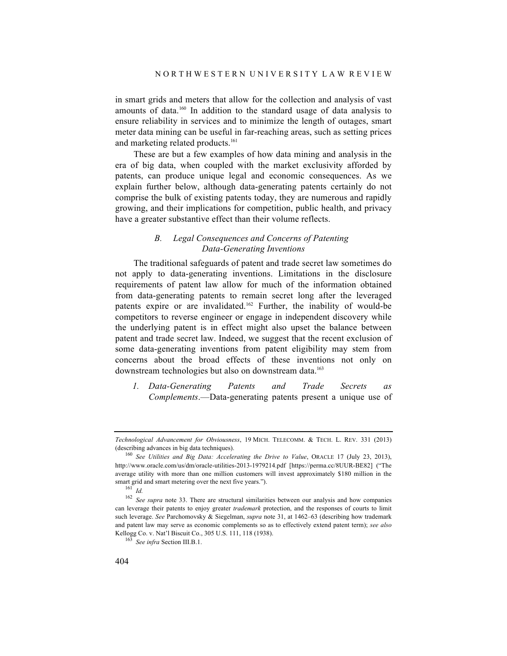in smart grids and meters that allow for the collection and analysis of vast amounts of data.160 In addition to the standard usage of data analysis to ensure reliability in services and to minimize the length of outages, smart meter data mining can be useful in far-reaching areas, such as setting prices and marketing related products.<sup>161</sup>

These are but a few examples of how data mining and analysis in the era of big data, when coupled with the market exclusivity afforded by patents, can produce unique legal and economic consequences. As we explain further below, although data-generating patents certainly do not comprise the bulk of existing patents today, they are numerous and rapidly growing, and their implications for competition, public health, and privacy have a greater substantive effect than their volume reflects.

## *B. Legal Consequences and Concerns of Patenting Data-Generating Inventions*

The traditional safeguards of patent and trade secret law sometimes do not apply to data-generating inventions. Limitations in the disclosure requirements of patent law allow for much of the information obtained from data-generating patents to remain secret long after the leveraged patents expire or are invalidated.162 Further, the inability of would-be competitors to reverse engineer or engage in independent discovery while the underlying patent is in effect might also upset the balance between patent and trade secret law. Indeed, we suggest that the recent exclusion of some data-generating inventions from patent eligibility may stem from concerns about the broad effects of these inventions not only on downstream technologies but also on downstream data.<sup>163</sup>

*1. Data-Generating Patents and Trade Secrets as Complements*.—Data-generating patents present a unique use of

*Technological Advancement for Obviousness*, 19 MICH. TELECOMM. & TECH. L. REV. 331 (2013) (describing advances in big data techniques). 160 *See Utilities and Big Data: Accelerating the Drive to Value*, ORACLE 17 (July 23, 2013),

http://www.oracle.com/us/dm/oracle-utilities-2013-1979214.pdf [https://perma.cc/8UUR-BE82] ("The average utility with more than one million customers will invest approximately \$180 million in the smart grid and smart metering over the next five years.").

<sup>161</sup> *Id.*

<sup>&</sup>lt;sup>162</sup> *See supra* note 33. There are structural similarities between our analysis and how companies can leverage their patents to enjoy greater *trademark* protection, and the responses of courts to limit such leverage. *See* Parchomovsky & Siegelman, *supra* note 31, at 1462–63 (describing how trademark and patent law may serve as economic complements so as to effectively extend patent term); *see also*  Kellogg Co. v. Nat'l Biscuit Co., 305 U.S. 111, 118 (1938).

<sup>163</sup> *See infra* Section III.B.1.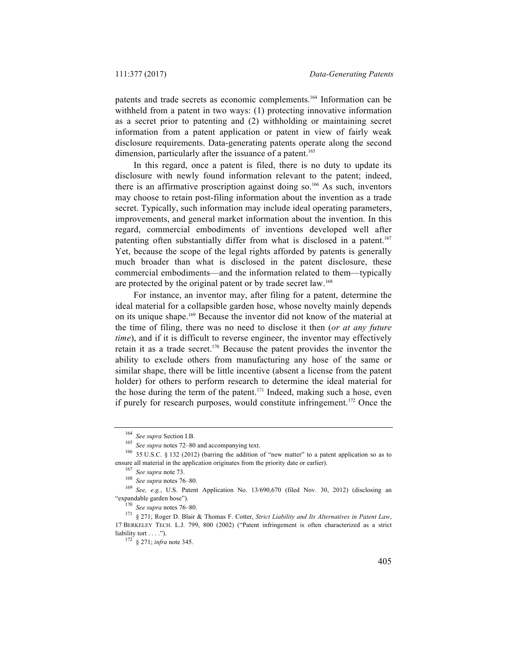patents and trade secrets as economic complements.164 Information can be withheld from a patent in two ways: (1) protecting innovative information as a secret prior to patenting and (2) withholding or maintaining secret information from a patent application or patent in view of fairly weak disclosure requirements. Data-generating patents operate along the second dimension, particularly after the issuance of a patent.<sup>165</sup>

In this regard, once a patent is filed, there is no duty to update its disclosure with newly found information relevant to the patent; indeed, there is an affirmative proscription against doing so.<sup>166</sup> As such, inventors may choose to retain post-filing information about the invention as a trade secret. Typically, such information may include ideal operating parameters, improvements, and general market information about the invention. In this regard, commercial embodiments of inventions developed well after patenting often substantially differ from what is disclosed in a patent.<sup>167</sup> Yet, because the scope of the legal rights afforded by patents is generally much broader than what is disclosed in the patent disclosure, these commercial embodiments—and the information related to them—typically are protected by the original patent or by trade secret law.<sup>168</sup>

For instance, an inventor may, after filing for a patent, determine the ideal material for a collapsible garden hose, whose novelty mainly depends on its unique shape.169 Because the inventor did not know of the material at the time of filing, there was no need to disclose it then (*or at any future time*), and if it is difficult to reverse engineer, the inventor may effectively retain it as a trade secret.170 Because the patent provides the inventor the ability to exclude others from manufacturing any hose of the same or similar shape, there will be little incentive (absent a license from the patent holder) for others to perform research to determine the ideal material for the hose during the term of the patent.<sup>171</sup> Indeed, making such a hose, even if purely for research purposes, would constitute infringement.172 Once the

<sup>164</sup> *See supra* Section I.B.

<sup>165</sup> *See supra* notes 72–80 and accompanying text.

<sup>&</sup>lt;sup>166</sup> 35 U.S.C. § 132 (2012) (barring the addition of "new matter" to a patent application so as to ensure all material in the application originates from the priority date or earlier).

<sup>167</sup> *See supra* note 73.

<sup>168</sup> *See supra* notes 76–80.

<sup>169</sup> *See, e.g.*, U.S. Patent Application No. 13/690,670 (filed Nov. 30, 2012) (disclosing an "expandable garden hose"). 170 *See supra* notes 76–80.

<sup>171</sup> § 271; Roger D. Blair & Thomas F. Cotter, *Strict Liability and Its Alternatives in Patent Law*, 17 BERKELEY TECH. L.J. 799, 800 (2002) ("Patent infringement is often characterized as a strict liability tort . . . .").

<sup>172</sup> § 271; *infra* note 345.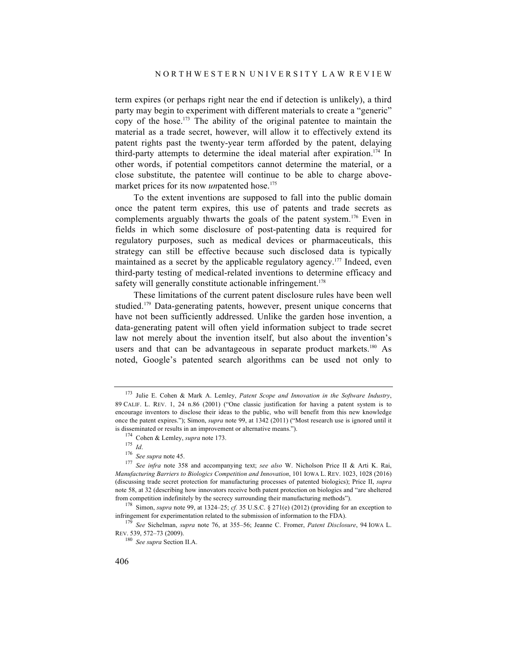term expires (or perhaps right near the end if detection is unlikely), a third party may begin to experiment with different materials to create a "generic" copy of the hose.<sup>173</sup> The ability of the original patentee to maintain the material as a trade secret, however, will allow it to effectively extend its patent rights past the twenty-year term afforded by the patent, delaying third-party attempts to determine the ideal material after expiration.<sup>174</sup> In other words, if potential competitors cannot determine the material, or a close substitute, the patentee will continue to be able to charge abovemarket prices for its now *un*patented hose.<sup>175</sup>

To the extent inventions are supposed to fall into the public domain once the patent term expires, this use of patents and trade secrets as complements arguably thwarts the goals of the patent system.<sup>176</sup> Even in fields in which some disclosure of post-patenting data is required for regulatory purposes, such as medical devices or pharmaceuticals, this strategy can still be effective because such disclosed data is typically maintained as a secret by the applicable regulatory agency.<sup>177</sup> Indeed, even third-party testing of medical-related inventions to determine efficacy and safety will generally constitute actionable infringement.<sup>178</sup>

These limitations of the current patent disclosure rules have been well studied.<sup>179</sup> Data-generating patents, however, present unique concerns that have not been sufficiently addressed. Unlike the garden hose invention, a data-generating patent will often yield information subject to trade secret law not merely about the invention itself, but also about the invention's users and that can be advantageous in separate product markets.<sup>180</sup> As noted, Google's patented search algorithms can be used not only to

<sup>173</sup> Julie E. Cohen & Mark A. Lemley, *Patent Scope and Innovation in the Software Industry*, 89 CALIF. L. REV. 1, 24 n.86 (2001) ("One classic justification for having a patent system is to encourage inventors to disclose their ideas to the public, who will benefit from this new knowledge once the patent expires."); Simon, *supra* note 99, at 1342 (2011) ("Most research use is ignored until it is disseminated or results in an improvement or alternative means.").

<sup>174</sup> Cohen & Lemley, *supra* note 173.

<sup>175</sup> *Id*.

<sup>176</sup> *See supra* note 45.

<sup>177</sup> *See infra* note 358 and accompanying text; *see also* W. Nicholson Price II & Arti K. Rai, *Manufacturing Barriers to Biologics Competition and Innovation*, 101 IOWA L. REV. 1023, 1028 (2016) (discussing trade secret protection for manufacturing processes of patented biologics); Price II, *supra*  note 58, at 32 (describing how innovators receive both patent protection on biologics and "are sheltered from competition indefinitely by the secrecy surrounding their manufacturing methods").

<sup>178</sup> Simon, *supra* note 99, at 1324–25; *cf.* 35 U.S.C. § 271(e) (2012) (providing for an exception to infringement for experimentation related to the submission of information to the FDA).

<sup>179</sup> *See* Sichelman, *supra* note 76, at 355–56; Jeanne C. Fromer, *Patent Disclosure*, 94 IOWA L. REV. 539, 572–73 (2009).

<sup>180</sup> *See supra* Section II.A.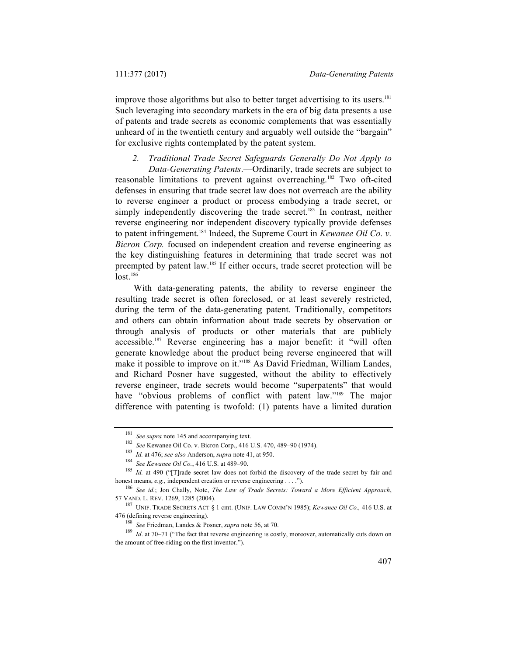improve those algorithms but also to better target advertising to its users.<sup>181</sup> Such leveraging into secondary markets in the era of big data presents a use of patents and trade secrets as economic complements that was essentially unheard of in the twentieth century and arguably well outside the "bargain" for exclusive rights contemplated by the patent system.

*2. Traditional Trade Secret Safeguards Generally Do Not Apply to Data-Generating Patents*.—Ordinarily, trade secrets are subject to reasonable limitations to prevent against overreaching.182 Two oft-cited defenses in ensuring that trade secret law does not overreach are the ability to reverse engineer a product or process embodying a trade secret, or simply independently discovering the trade secret.<sup>183</sup> In contrast, neither reverse engineering nor independent discovery typically provide defenses to patent infringement.184 Indeed, the Supreme Court in *Kewanee Oil Co. v. Bicron Corp.* focused on independent creation and reverse engineering as the key distinguishing features in determining that trade secret was not preempted by patent law.185 If either occurs, trade secret protection will be  $lost.<sup>186</sup>$ 

With data-generating patents, the ability to reverse engineer the resulting trade secret is often foreclosed, or at least severely restricted, during the term of the data-generating patent. Traditionally, competitors and others can obtain information about trade secrets by observation or through analysis of products or other materials that are publicly accessible.187 Reverse engineering has a major benefit: it "will often generate knowledge about the product being reverse engineered that will make it possible to improve on it."<sup>188</sup> As David Friedman, William Landes, and Richard Posner have suggested, without the ability to effectively reverse engineer, trade secrets would become "superpatents" that would have "obvious problems of conflict with patent law."<sup>189</sup> The major difference with patenting is twofold: (1) patents have a limited duration

<sup>181</sup> *See supra* note 145 and accompanying text.

<sup>182</sup> *See* Kewanee Oil Co. v. Bicron Corp., 416 U.S. 470, 489–90 (1974). 183 *Id.* at 476; *see also* Anderson, *supra* note 41, at 950.

<sup>&</sup>lt;sup>185</sup> *Id.* at 490 ("[T]rade secret law does not forbid the discovery of the trade secret by fair and honest means, *e.g.*, independent creation or reverse engineering . . . .").

<sup>186</sup> *See id.*; Jon Chally, Note, *The Law of Trade Secrets: Toward a More Efficient Approach*, 57 VAND. L. REV. 1269, 1285 (2004).

<sup>187</sup> UNIF. TRADE SECRETS ACT § 1 cmt. (UNIF. LAW COMM'N 1985); *Kewanee Oil Co.,* 416 U.S. at 476 (defining reverse engineering). 188 *See* Friedman, Landes & Posner, *supra* note 56, at 70.

<sup>&</sup>lt;sup>189</sup> *Id.* at 70–71 ("The fact that reverse engineering is costly, moreover, automatically cuts down on the amount of free-riding on the first inventor.").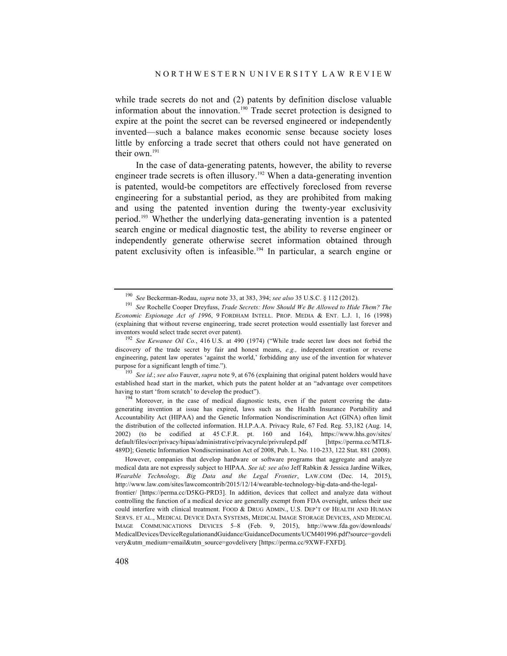while trade secrets do not and (2) patents by definition disclose valuable information about the innovation.190 Trade secret protection is designed to expire at the point the secret can be reversed engineered or independently invented—such a balance makes economic sense because society loses little by enforcing a trade secret that others could not have generated on their own.191

In the case of data-generating patents, however, the ability to reverse engineer trade secrets is often illusory.<sup>192</sup> When a data-generating invention is patented, would-be competitors are effectively foreclosed from reverse engineering for a substantial period, as they are prohibited from making and using the patented invention during the twenty-year exclusivity period.193 Whether the underlying data-generating invention is a patented search engine or medical diagnostic test, the ability to reverse engineer or independently generate otherwise secret information obtained through patent exclusivity often is infeasible.194 In particular, a search engine or

<sup>190</sup> *See* Beckerman-Rodau, *supra* note 33, at 383, 394; *see also* 35 U.S.C. § 112 (2012).

<sup>191</sup> *See* Rochelle Cooper Dreyfuss, *Trade Secrets: How Should We Be Allowed to Hide Them? The Economic Espionage Act of 1996*, 9 FORDHAM INTELL. PROP. MEDIA & ENT. L.J. 1, 16 (1998) (explaining that without reverse engineering, trade secret protection would essentially last forever and inventors would select trade secret over patent).

<sup>192</sup> *See Kewanee Oil Co.*, 416 U.S. at 490 (1974) ("While trade secret law does not forbid the discovery of the trade secret by fair and honest means, *e.g.,* independent creation or reverse engineering, patent law operates 'against the world,' forbidding any use of the invention for whatever purpose for a significant length of time.").

<sup>193</sup> *See id*.; *see also* Fauver, *supra* note 9, at 676 (explaining that original patent holders would have established head start in the market, which puts the patent holder at an "advantage over competitors having to start 'from scratch' to develop the product'').<br><sup>194</sup> Moreover, in the case of medical diagnostic tests, even if the patent covering the data-

generating invention at issue has expired, laws such as the Health Insurance Portability and Accountability Act (HIPAA) and the Genetic Information Nondiscrimination Act (GINA) often limit the distribution of the collected information. H.I.P.A.A. Privacy Rule, 67 Fed. Reg. 53,182 (Aug. 14, 2002) (to be codified at 45 C.F.R. pt. 160 and 164), https://www.hhs.gov/sites/ default/files/ocr/privacy/hipaa/administrative/privacyrule/privrulepd.pdf [https://perma.cc/MTL8- 489D]; Genetic Information Nondiscrimination Act of 2008, Pub. L. No. 110-233, 122 Stat. 881 (2008).

However, companies that develop hardware or software programs that aggregate and analyze medical data are not expressly subject to HIPAA. *See id; see also* Jeff Rabkin & Jessica Jardine Wilkes, *Wearable Technology, Big Data and the Legal Frontier*, LAW.COM (Dec. 14, 2015), http://www.law.com/sites/lawcomcontrib/2015/12/14/wearable-technology-big-data-and-the-legalfrontier/ [https://perma.cc/D5KG-PRD3]. In addition, devices that collect and analyze data without controlling the function of a medical device are generally exempt from FDA oversight, unless their use could interfere with clinical treatment. FOOD & DRUG ADMIN., U.S. DEP'T OF HEALTH AND HUMAN SERVS. ET AL., MEDICAL DEVICE DATA SYSTEMS, MEDICAL IMAGE STORAGE DEVICES, AND MEDICAL IMAGE COMMUNICATIONS DEVICES 5–8 (Feb. 9, 2015), http://www.fda.gov/downloads/ MedicalDevices/DeviceRegulationandGuidance/GuidanceDocuments/UCM401996.pdf?source=govdeli very&utm\_medium=email&utm\_source=govdelivery [https://perma.cc/9XWF-FXFD].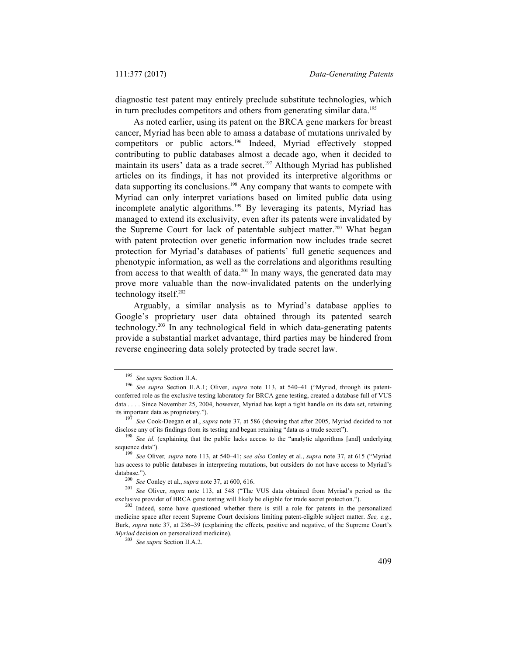diagnostic test patent may entirely preclude substitute technologies, which in turn precludes competitors and others from generating similar data.<sup>195</sup>

As noted earlier, using its patent on the BRCA gene markers for breast cancer, Myriad has been able to amass a database of mutations unrivaled by competitors or public actors.196 Indeed, Myriad effectively stopped contributing to public databases almost a decade ago, when it decided to maintain its users' data as a trade secret.<sup>197</sup> Although Myriad has published articles on its findings, it has not provided its interpretive algorithms or data supporting its conclusions.<sup>198</sup> Any company that wants to compete with Myriad can only interpret variations based on limited public data using incomplete analytic algorithms.<sup>199</sup> By leveraging its patents, Myriad has managed to extend its exclusivity, even after its patents were invalidated by the Supreme Court for lack of patentable subject matter.<sup>200</sup> What began with patent protection over genetic information now includes trade secret protection for Myriad's databases of patients' full genetic sequences and phenotypic information, as well as the correlations and algorithms resulting from access to that wealth of data.<sup>201</sup> In many ways, the generated data may prove more valuable than the now-invalidated patents on the underlying technology itself.202

Arguably, a similar analysis as to Myriad's database applies to Google's proprietary user data obtained through its patented search technology.203 In any technological field in which data-generating patents provide a substantial market advantage, third parties may be hindered from reverse engineering data solely protected by trade secret law.

<sup>195</sup> *See supra* Section II.A.

<sup>196</sup> *See supra* Section II.A.1; Oliver, *supra* note 113, at 540–41 ("Myriad, through its patentconferred role as the exclusive testing laboratory for BRCA gene testing, created a database full of VUS data . . . . Since November 25, 2004, however, Myriad has kept a tight handle on its data set, retaining its important data as proprietary."). 197 *See* Cook-Deegan et al., *supra* note 37, at 586 (showing that after 2005, Myriad decided to not

disclose any of its findings from its testing and began retaining "data as a trade secret").

<sup>&</sup>lt;sup>198</sup> See id. (explaining that the public lacks access to the "analytic algorithms [and] underlying sequence data").

<sup>199</sup> *See* Oliver*, supra* note 113, at 540–41; *see also* Conley et al., *supra* note 37, at 615 ("Myriad has access to public databases in interpreting mutations, but outsiders do not have access to Myriad's database.").

<sup>200</sup> *See* Conley et al., *supra* note 37, at 600, 616.

<sup>201</sup> *See* Oliver, *supra* note 113, at 548 ("The VUS data obtained from Myriad's period as the exclusive provider of BRCA gene testing will likely be eligible for trade secret protection.").

 $202$  Indeed, some have questioned whether there is still a role for patents in the personalized medicine space after recent Supreme Court decisions limiting patent-eligible subject matter. *See, e.g.*, Burk, *supra* note 37, at 236–39 (explaining the effects, positive and negative, of the Supreme Court's *Myriad* decision on personalized medicine).

<sup>203</sup> *See supra* Section II.A.2.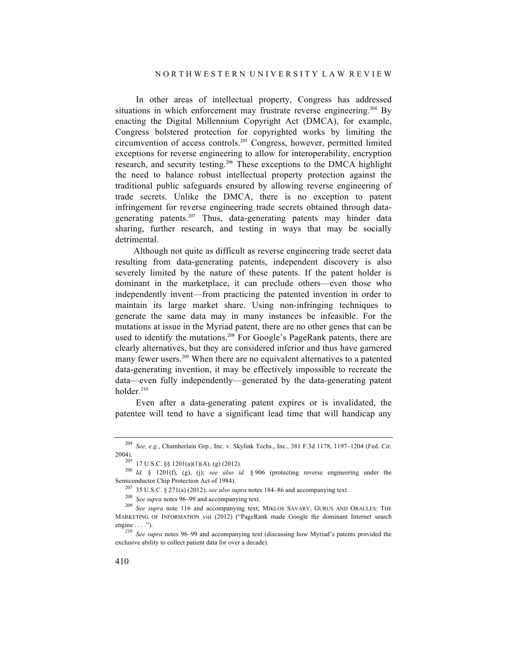In other areas of intellectual property, Congress has addressed situations in which enforcement may frustrate reverse engineering.<sup>204</sup> By enacting the Digital Millennium Copyright Act (DMCA), for example, Congress bolstered protection for copyrighted works by limiting the circumvention of access controls.205 Congress, however, permitted limited exceptions for reverse engineering to allow for interoperability, encryption research, and security testing.206 These exceptions to the DMCA highlight the need to balance robust intellectual property protection against the traditional public safeguards ensured by allowing reverse engineering of trade secrets. Unlike the DMCA, there is no exception to patent infringement for reverse engineering trade secrets obtained through datagenerating patents.<sup>207</sup> Thus, data-generating patents may hinder data sharing, further research, and testing in ways that may be socially detrimental.

Although not quite as difficult as reverse engineering trade secret data resulting from data-generating patents, independent discovery is also severely limited by the nature of these patents. If the patent holder is dominant in the marketplace, it can preclude others—even those who independently invent—from practicing the patented invention in order to maintain its large market share. Using non-infringing techniques to generate the same data may in many instances be infeasible. For the mutations at issue in the Myriad patent, there are no other genes that can be used to identify the mutations.<sup>208</sup> For Google's PageRank patents, there are clearly alternatives, but they are considered inferior and thus have garnered many fewer users.<sup>209</sup> When there are no equivalent alternatives to a patented data-generating invention, it may be effectively impossible to recreate the data—even fully independently—generated by the data-generating patent holder. $210$ 

Even after a data-generating patent expires or is invalidated, the patentee will tend to have a significant lead time that will handicap any

<sup>204</sup> *See, e.g.*, Chamberlain Grp., Inc. v. Skylink Techs., Inc., 381 F.3d 1178, 1197–1204 (Fed. Cir. 2004).

 $^{205}$  17 U.S.C. §§ 1201(a)(1)(A), (g) (2012).

<sup>206</sup> *Id.* § 1201(f), (g), (j); *see also id.* § 906 (protecting reverse engineering under the Semiconductor Chip Protection Act of 1984).

<sup>207</sup> 35 U.S.C. § 271(a) (2012); *see also supra* notes 184–86 and accompanying text.

<sup>208</sup> *See supra* notes 96–99 and accompanying text.

<sup>209</sup> *See supra* note 116 and accompanying text; MIKLOS SAVARY, GURUS AND ORACLES: THE MARKETING OF INFORMATION viii (2012) ("PageRank made Google the dominant Internet search engine . . . .").

<sup>210</sup> *See supra* notes 96–99 and accompanying text (discussing how Myriad's patents provided the exclusive ability to collect patient data for over a decade).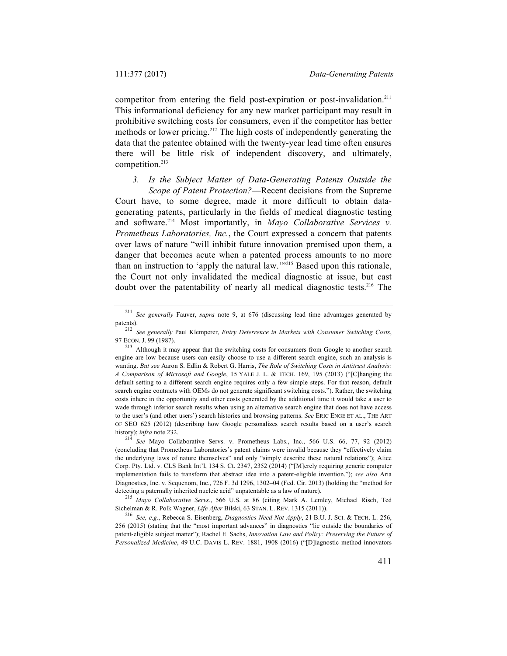competitor from entering the field post-expiration or post-invalidation.<sup>211</sup> This informational deficiency for any new market participant may result in prohibitive switching costs for consumers, even if the competitor has better methods or lower pricing.<sup>212</sup> The high costs of independently generating the data that the patentee obtained with the twenty-year lead time often ensures there will be little risk of independent discovery, and ultimately, competition.<sup>213</sup>

*3. Is the Subject Matter of Data-Generating Patents Outside the Scope of Patent Protection?*—Recent decisions from the Supreme Court have, to some degree, made it more difficult to obtain datagenerating patents, particularly in the fields of medical diagnostic testing and software.<sup>214</sup> Most importantly, in *Mayo Collaborative Services v. Prometheus Laboratories, Inc.*, the Court expressed a concern that patents over laws of nature "will inhibit future innovation premised upon them, a danger that becomes acute when a patented process amounts to no more than an instruction to 'apply the natural law.'"215 Based upon this rationale, the Court not only invalidated the medical diagnostic at issue, but cast doubt over the patentability of nearly all medical diagnostic tests.<sup>216</sup> The

<sup>215</sup> *Mayo Collaborative Servs.*, 566 U.S. at 86 (citing Mark A. Lemley, Michael Risch, Ted Sichelman & R. Polk Wagner, *Life After* Bilski, 63 STAN. L. REV. 1315 (2011)).

<sup>216</sup> *See, e.g.*, Rebecca S. Eisenberg, *Diagnostics Need Not Apply*, 21 B.U. J. SCI. & TECH. L. 256, 256 (2015) (stating that the "most important advances" in diagnostics "lie outside the boundaries of patent-eligible subject matter"); Rachel E. Sachs, *Innovation Law and Policy: Preserving the Future of Personalized Medicine*, 49 U.C. DAVIS L. REV. 1881, 1908 (2016) ("[D]iagnostic method innovators

<sup>211</sup> *See generally* Fauver, *supra* note 9, at 676 (discussing lead time advantages generated by patents).

<sup>212</sup> *See generally* Paul Klemperer, *Entry Deterrence in Markets with Consumer Switching Costs*, 97 ECON. J. 99 (1987).

<sup>&</sup>lt;sup>213</sup> Although it may appear that the switching costs for consumers from Google to another search engine are low because users can easily choose to use a different search engine, such an analysis is wanting. *But see* Aaron S. Edlin & Robert G. Harris, *The Role of Switching Costs in Antitrust Analysis: A Comparison of Microsoft and Google*, 15 YALE J. L. & TECH. 169, 195 (2013) ("[C]hanging the default setting to a different search engine requires only a few simple steps. For that reason, default search engine contracts with OEMs do not generate significant switching costs."). Rather, the switching costs inhere in the opportunity and other costs generated by the additional time it would take a user to wade through inferior search results when using an alternative search engine that does not have access to the user's (and other users') search histories and browsing patterns. *See* ERIC ENGE ET AL., THE ART OF SEO 625 (2012) (describing how Google personalizes search results based on a user's search history); *infra* note 232.

<sup>214</sup> *See* Mayo Collaborative Servs. v. Prometheus Labs., Inc., 566 U.S. 66, 77, 92 (2012) (concluding that Prometheus Laboratories's patent claims were invalid because they "effectively claim the underlying laws of nature themselves" and only "simply describe these natural relations"); Alice Corp. Pty. Ltd. v. CLS Bank Int'l, 134 S. Ct. 2347, 2352 (2014) ("[M]erely requiring generic computer implementation fails to transform that abstract idea into a patent-eligible invention."); *see also* Aria Diagnostics, Inc. v. Sequenom, Inc., 726 F. 3d 1296, 1302–04 (Fed. Cir. 2013) (holding the "method for detecting a paternally inherited nucleic acid" unpatentable as a law of nature).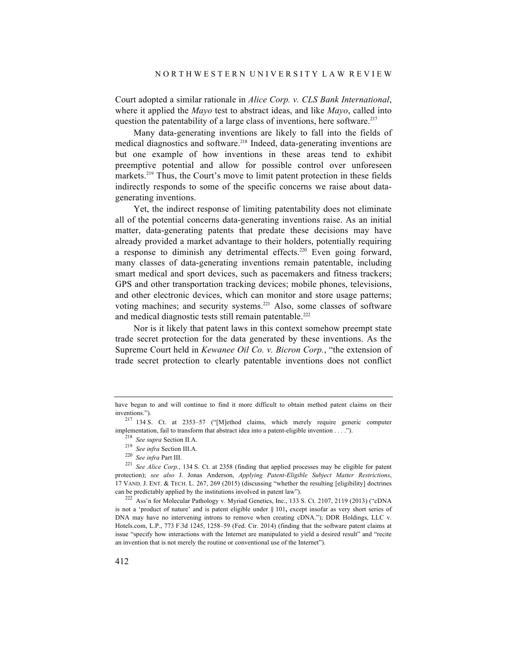#### N O R T H W E S T E R N U N I V E R S I T Y L A W R E V I E W

Court adopted a similar rationale in *Alice Corp. v. CLS Bank International*, where it applied the *Mayo* test to abstract ideas, and like *Mayo*, called into question the patentability of a large class of inventions, here software.<sup>217</sup>

Many data-generating inventions are likely to fall into the fields of medical diagnostics and software.<sup>218</sup> Indeed, data-generating inventions are but one example of how inventions in these areas tend to exhibit preemptive potential and allow for possible control over unforeseen markets.<sup>219</sup> Thus, the Court's move to limit patent protection in these fields indirectly responds to some of the specific concerns we raise about datagenerating inventions.

Yet, the indirect response of limiting patentability does not eliminate all of the potential concerns data-generating inventions raise. As an initial matter, data-generating patents that predate these decisions may have already provided a market advantage to their holders, potentially requiring a response to diminish any detrimental effects.<sup>220</sup> Even going forward, many classes of data-generating inventions remain patentable, including smart medical and sport devices, such as pacemakers and fitness trackers; GPS and other transportation tracking devices; mobile phones, televisions, and other electronic devices, which can monitor and store usage patterns; voting machines; and security systems.<sup>221</sup> Also, some classes of software and medical diagnostic tests still remain patentable.<sup>222</sup>

Nor is it likely that patent laws in this context somehow preempt state trade secret protection for the data generated by these inventions. As the Supreme Court held in *Kewanee Oil Co. v. Bicron Corp.*, "the extension of trade secret protection to clearly patentable inventions does not conflict

<sup>220</sup> *See infra* Part III.

have begun to and will continue to find it more difficult to obtain method patent claims on their inventions.").

<sup>217</sup> 134 S. Ct. at 2353–57 ("[M]ethod claims, which merely require generic computer implementation, fail to transform that abstract idea into a patent-eligible invention . . . .").

<sup>218</sup> *See supra* Section II.A.

<sup>219</sup> *See infra* Section III.A.

<sup>221</sup> *See Alice Corp.*, 134 S. Ct. at 2358 (finding that applied processes may be eligible for patent protection); *see also* J. Jonas Anderson, *Applying Patent-Eligible Subject Matter Restrictions*, 17 VAND. J. ENT. & TECH. L. 267, 269 (2015) (discussing "whether the resulting [eligibility] doctrines can be predictably applied by the institutions involved in patent law").

<sup>&</sup>lt;sup>222</sup> Ass'n for Molecular Pathology v. Myriad Genetics, Inc., 133 S. Ct. 2107, 2119 (2013) ("cDNA is not a 'product of nature' and is patent eligible under § 101**,** except insofar as very short series of DNA may have no intervening introns to remove when creating cDNA."); DDR Holdings, LLC v. Hotels.com, L.P., 773 F.3d 1245, 1258–59 (Fed. Cir. 2014) (finding that the software patent claims at issue "specify how interactions with the Internet are manipulated to yield a desired result" and "recite an invention that is not merely the routine or conventional use of the Internet").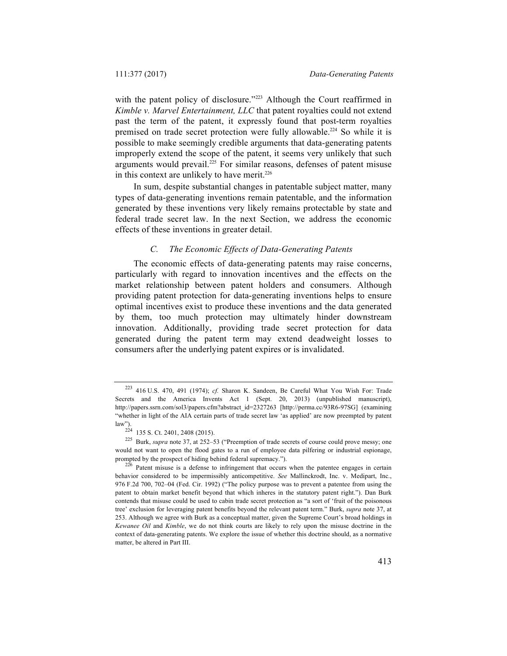with the patent policy of disclosure."<sup>223</sup> Although the Court reaffirmed in *Kimble v. Marvel Entertainment, LLC* that patent royalties could not extend past the term of the patent, it expressly found that post-term royalties premised on trade secret protection were fully allowable.<sup>224</sup> So while it is possible to make seemingly credible arguments that data-generating patents improperly extend the scope of the patent, it seems very unlikely that such arguments would prevail.<sup> $225$ </sup> For similar reasons, defenses of patent misuse in this context are unlikely to have merit.<sup>226</sup>

In sum, despite substantial changes in patentable subject matter, many types of data-generating inventions remain patentable, and the information generated by these inventions very likely remains protectable by state and federal trade secret law. In the next Section, we address the economic effects of these inventions in greater detail.

### *C. The Economic Effects of Data-Generating Patents*

The economic effects of data-generating patents may raise concerns, particularly with regard to innovation incentives and the effects on the market relationship between patent holders and consumers. Although providing patent protection for data-generating inventions helps to ensure optimal incentives exist to produce these inventions and the data generated by them, too much protection may ultimately hinder downstream innovation. Additionally, providing trade secret protection for data generated during the patent term may extend deadweight losses to consumers after the underlying patent expires or is invalidated.

<sup>223</sup> 416 U.S. 470, 491 (1974); *cf.* Sharon K. Sandeen, Be Careful What You Wish For: Trade Secrets and the America Invents Act 1 (Sept. 20, 2013) (unpublished manuscript), http://papers.ssrn.com/sol3/papers.cfm?abstract\_id=2327263 [http://perma.cc/93R6-97SG] (examining "whether in light of the AIA certain parts of trade secret law 'as applied' are now preempted by patent law").

 $224$  135 S. Ct. 2401, 2408 (2015).

<sup>225</sup> Burk, *supra* note 37, at 252–53 ("Preemption of trade secrets of course could prove messy; one would not want to open the flood gates to a run of employee data pilfering or industrial espionage, prompted by the prospect of hiding behind federal supremacy.").

 $226$  Patent misuse is a defense to infringement that occurs when the patentee engages in certain behavior considered to be impermissibly anticompetitive. *See* Mallinckrodt, Inc. v. Medipart, Inc., 976 F.2d 700, 702–04 (Fed. Cir. 1992) ("The policy purpose was to prevent a patentee from using the patent to obtain market benefit beyond that which inheres in the statutory patent right."). Dan Burk contends that misuse could be used to cabin trade secret protection as "a sort of 'fruit of the poisonous tree' exclusion for leveraging patent benefits beyond the relevant patent term." Burk, *supra* note 37, at 253. Although we agree with Burk as a conceptual matter, given the Supreme Court's broad holdings in *Kewanee Oil* and *Kimble*, we do not think courts are likely to rely upon the misuse doctrine in the context of data-generating patents. We explore the issue of whether this doctrine should, as a normative matter, be altered in Part III.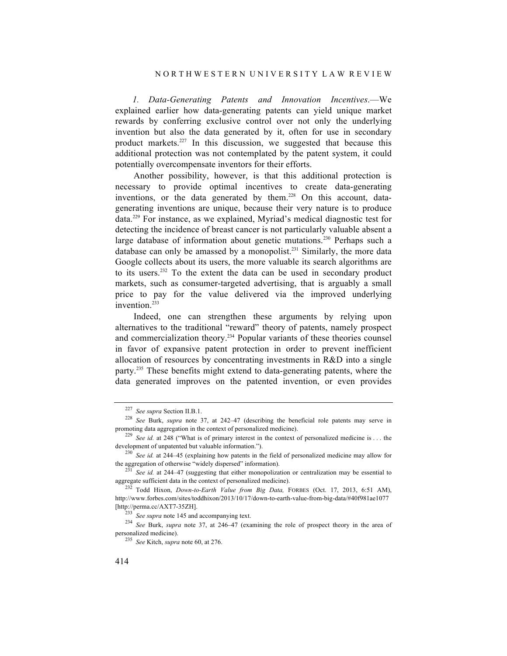#### N O R T H W E S T E R N U N I V E R S I T Y L A W R E V I E W

*1. Data-Generating Patents and Innovation Incentives*.—We explained earlier how data-generating patents can yield unique market rewards by conferring exclusive control over not only the underlying invention but also the data generated by it, often for use in secondary product markets.<sup>227</sup> In this discussion, we suggested that because this additional protection was not contemplated by the patent system, it could potentially overcompensate inventors for their efforts.

Another possibility, however, is that this additional protection is necessary to provide optimal incentives to create data-generating inventions, or the data generated by them.<sup>228</sup> On this account, datagenerating inventions are unique, because their very nature is to produce data.229 For instance, as we explained, Myriad's medical diagnostic test for detecting the incidence of breast cancer is not particularly valuable absent a large database of information about genetic mutations.<sup>230</sup> Perhaps such a database can only be amassed by a monopolist.<sup>231</sup> Similarly, the more data Google collects about its users, the more valuable its search algorithms are to its users.232 To the extent the data can be used in secondary product markets, such as consumer-targeted advertising, that is arguably a small price to pay for the value delivered via the improved underlying invention.<sup>233</sup>

Indeed, one can strengthen these arguments by relying upon alternatives to the traditional "reward" theory of patents, namely prospect and commercialization theory.234 Popular variants of these theories counsel in favor of expansive patent protection in order to prevent inefficient allocation of resources by concentrating investments in R&D into a single party.235 These benefits might extend to data-generating patents, where the data generated improves on the patented invention, or even provides

<sup>227</sup> *See supra* Section II.B.1.

<sup>228</sup> *See* Burk, *supra* note 37, at 242–47 (describing the beneficial role patents may serve in promoting data aggregation in the context of personalized medicine).

<sup>229</sup> *See id.* at 248 ("What is of primary interest in the context of personalized medicine is . . . the development of unpatented but valuable information.").

<sup>&</sup>lt;sup>230</sup> *See id.* at 244–45 (explaining how patents in the field of personalized medicine may allow for the aggregation of otherwise "widely dispersed" information).

See id. at 244–47 (suggesting that either monopolization or centralization may be essential to aggregate sufficient data in the context of personalized medicine).

<sup>&</sup>lt;sup>2</sup> Todd Hixon, *Down-to-Earth Value from Big Data*, FORBES (Oct. 17, 2013, 6:51 AM), http://www.forbes.com/sites/toddhixon/2013/10/17/down-to-earth-value-from-big-data/#40f981ae1077 [http://perma.cc/AXT7-35ZH].

<sup>&</sup>lt;sup>233</sup> *See supra* note 145 and accompanying text.

<sup>234</sup> *See* Burk, *supra* note 37, at 246–47 (examining the role of prospect theory in the area of personalized medicine).

<sup>235</sup> *See* Kitch, *supra* note 60, at 276.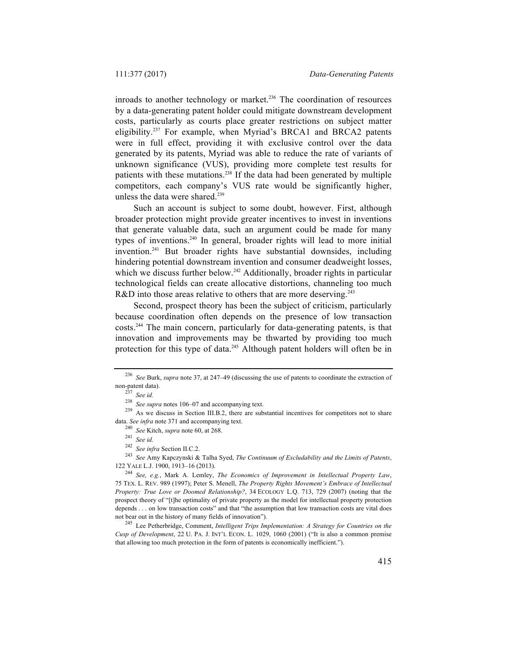inroads to another technology or market.<sup>236</sup> The coordination of resources by a data-generating patent holder could mitigate downstream development costs, particularly as courts place greater restrictions on subject matter eligibility.237 For example, when Myriad's BRCA1 and BRCA2 patents were in full effect, providing it with exclusive control over the data generated by its patents, Myriad was able to reduce the rate of variants of unknown significance (VUS), providing more complete test results for patients with these mutations.<sup>238</sup> If the data had been generated by multiple competitors, each company's VUS rate would be significantly higher, unless the data were shared.<sup>239</sup>

Such an account is subject to some doubt, however. First, although broader protection might provide greater incentives to invest in inventions that generate valuable data, such an argument could be made for many types of inventions.<sup>240</sup> In general, broader rights will lead to more initial invention.241 But broader rights have substantial downsides, including hindering potential downstream invention and consumer deadweight losses, which we discuss further below.<sup>242</sup> Additionally, broader rights in particular technological fields can create allocative distortions, channeling too much  $R&D$  into those areas relative to others that are more deserving.<sup>243</sup>

Second, prospect theory has been the subject of criticism, particularly because coordination often depends on the presence of low transaction costs.244 The main concern, particularly for data-generating patents, is that innovation and improvements may be thwarted by providing too much protection for this type of data.<sup>245</sup> Although patent holders will often be in

<sup>243</sup> *See* Amy Kapczynski & Talha Syed, *The Continuum of Excludability and the Limits of Patents*, 122 YALE L.J. 1900, 1913–16 (2013).

<sup>245</sup> Lee Petherbridge, Comment, *Intelligent Trips Implementation: A Strategy for Countries on the Cusp of Development*, 22 U. PA. J. INT'L ECON. L. 1029, 1060 (2001) ("It is also a common premise that allowing too much protection in the form of patents is economically inefficient.").

<sup>236</sup> *See* Burk, *supra* note 37, at 247–49 (discussing the use of patents to coordinate the extraction of non-patent data).

<sup>237</sup> *See id.*

<sup>238</sup> *See supra* notes 106–07 and accompanying text.

<sup>&</sup>lt;sup>239</sup> As we discuss in Section III.B.2, there are substantial incentives for competitors not to share data. *See infra* note 371 and accompanying text.

<sup>240</sup> *See* Kitch, *supra* note 60, at 268.

<sup>241</sup> *See id*.

<sup>242</sup> *See infra* Section II.C.2.

<sup>244</sup> *See, e.g.*, Mark A. Lemley, *The Economics of Improvement in Intellectual Property Law*, 75 TEX. L. REV. 989 (1997); Peter S. Menell, *The Property Rights Movement's Embrace of Intellectual Property: True Love or Doomed Relationship?*, 34 ECOLOGY L.Q. 713, 729 (2007) (noting that the prospect theory of "[t]he optimality of private property as the model for intellectual property protection depends . . . on low transaction costs" and that "the assumption that low transaction costs are vital does not bear out in the history of many fields of innovation").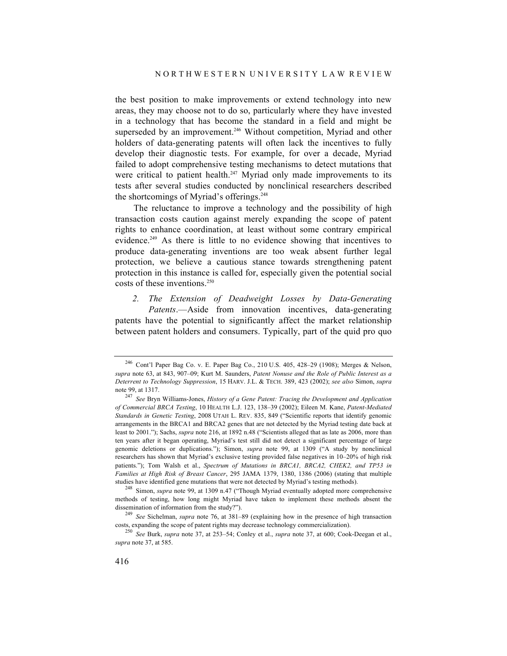the best position to make improvements or extend technology into new areas, they may choose not to do so, particularly where they have invested in a technology that has become the standard in a field and might be superseded by an improvement.<sup>246</sup> Without competition, Myriad and other holders of data-generating patents will often lack the incentives to fully develop their diagnostic tests. For example, for over a decade, Myriad failed to adopt comprehensive testing mechanisms to detect mutations that were critical to patient health.<sup>247</sup> Myriad only made improvements to its tests after several studies conducted by nonclinical researchers described the shortcomings of Myriad's offerings.<sup>248</sup>

The reluctance to improve a technology and the possibility of high transaction costs caution against merely expanding the scope of patent rights to enhance coordination, at least without some contrary empirical evidence.<sup>249</sup> As there is little to no evidence showing that incentives to produce data-generating inventions are too weak absent further legal protection, we believe a cautious stance towards strengthening patent protection in this instance is called for, especially given the potential social costs of these inventions.<sup>250</sup>

*2. The Extension of Deadweight Losses by Data-Generating Patents*.—Aside from innovation incentives, data-generating patents have the potential to significantly affect the market relationship between patent holders and consumers. Typically, part of the quid pro quo

<sup>246</sup> Cont'l Paper Bag Co. v. E. Paper Bag Co., 210 U.S. 405, 428–29 (1908); Merges & Nelson, *supra* note 63, at 843, 907–09; Kurt M. Saunders, *Patent Nonuse and the Role of Public Interest as a Deterrent to Technology Suppression*, 15 HARV. J.L. & TECH. 389, 423 (2002); *see also* Simon, *supra*  note 99, at 1317. 247 *See* Bryn Williams-Jones, *History of a Gene Patent: Tracing the Development and Application* 

*of Commercial BRCA Testing*, 10 HEALTH L.J. 123, 138–39 (2002); Eileen M. Kane, *Patent-Mediated Standards in Genetic Testing*, 2008 UTAH L. REV. 835, 849 ("Scientific reports that identify genomic arrangements in the BRCA1 and BRCA2 genes that are not detected by the Myriad testing date back at least to 2001."); Sachs, *supra* note 216, at 1892 n.48 ("Scientists alleged that as late as 2006, more than ten years after it began operating, Myriad's test still did not detect a significant percentage of large genomic deletions or duplications."); Simon, *supra* note 99, at 1309 ("A study by nonclinical researchers has shown that Myriad's exclusive testing provided false negatives in 10–20% of high risk patients."); Tom Walsh et al., *Spectrum of Mutations in BRCA1, BRCA2, CHEK2, and TP53 in Families at High Risk of Breast Cancer*, 295 JAMA 1379, 1380, 1386 (2006) (stating that multiple studies have identified gene mutations that were not detected by Myriad's testing methods).

<sup>&</sup>lt;sup>248</sup> Simon, *supra* note 99, at 1309 n.47 ("Though Myriad eventually adopted more comprehensive methods of testing, how long might Myriad have taken to implement these methods absent the dissemination of information from the study?").

<sup>249</sup> *See* Sichelman, *supra* note 76, at 381–89 (explaining how in the presence of high transaction costs, expanding the scope of patent rights may decrease technology commercialization).

<sup>250</sup> *See* Burk, *supra* note 37, at 253–54; Conley et al., *supra* note 37, at 600; Cook-Deegan et al., *supra* note 37, at 585.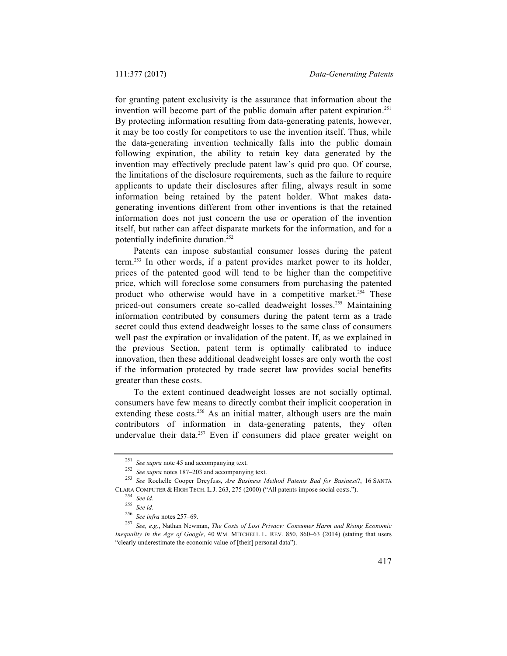for granting patent exclusivity is the assurance that information about the invention will become part of the public domain after patent expiration.<sup>251</sup> By protecting information resulting from data-generating patents, however, it may be too costly for competitors to use the invention itself. Thus, while the data-generating invention technically falls into the public domain following expiration, the ability to retain key data generated by the invention may effectively preclude patent law's quid pro quo. Of course, the limitations of the disclosure requirements, such as the failure to require applicants to update their disclosures after filing, always result in some information being retained by the patent holder. What makes datagenerating inventions different from other inventions is that the retained information does not just concern the use or operation of the invention itself, but rather can affect disparate markets for the information, and for a potentially indefinite duration.252

Patents can impose substantial consumer losses during the patent term.253 In other words, if a patent provides market power to its holder, prices of the patented good will tend to be higher than the competitive price, which will foreclose some consumers from purchasing the patented product who otherwise would have in a competitive market.<sup>254</sup> These priced-out consumers create so-called deadweight losses.<sup>255</sup> Maintaining information contributed by consumers during the patent term as a trade secret could thus extend deadweight losses to the same class of consumers well past the expiration or invalidation of the patent. If, as we explained in the previous Section, patent term is optimally calibrated to induce innovation, then these additional deadweight losses are only worth the cost if the information protected by trade secret law provides social benefits greater than these costs.

To the extent continued deadweight losses are not socially optimal, consumers have few means to directly combat their implicit cooperation in extending these costs.<sup>256</sup> As an initial matter, although users are the main contributors of information in data-generating patents, they often undervalue their data.<sup>257</sup> Even if consumers did place greater weight on

<sup>251</sup> *See supra* note 45 and accompanying text. 252 *See supra* notes 187–203 and accompanying text.

<sup>253</sup> *See* Rochelle Cooper Dreyfuss, *Are Business Method Patents Bad for Business*?, 16 SANTA CLARA COMPUTER & HIGH TECH. L.J. 263, 275 (2000) ("All patents impose social costs.").<br><sup>254</sup> See id.

<sup>254</sup> *See id*. 255 *See id*.

<sup>256</sup> *See infra* notes 257–69.

<sup>257</sup> *See, e.g.*, Nathan Newman, *The Costs of Lost Privacy: Consumer Harm and Rising Economic Inequality in the Age of Google*, 40 WM. MITCHELL L. REV. 850, 860–63 (2014) (stating that users "clearly underestimate the economic value of [their] personal data").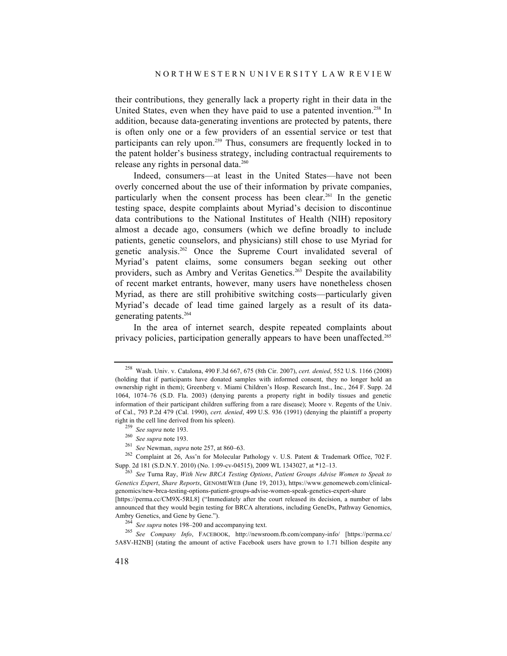their contributions, they generally lack a property right in their data in the United States, even when they have paid to use a patented invention.<sup>258</sup> In addition, because data-generating inventions are protected by patents, there is often only one or a few providers of an essential service or test that participants can rely upon.<sup>259</sup> Thus, consumers are frequently locked in to the patent holder's business strategy, including contractual requirements to release any rights in personal data.<sup>260</sup>

Indeed, consumers—at least in the United States—have not been overly concerned about the use of their information by private companies, particularly when the consent process has been clear.<sup>261</sup> In the genetic testing space, despite complaints about Myriad's decision to discontinue data contributions to the National Institutes of Health (NIH) repository almost a decade ago, consumers (which we define broadly to include patients, genetic counselors, and physicians) still chose to use Myriad for genetic analysis.<sup>262</sup> Once the Supreme Court invalidated several of Myriad's patent claims, some consumers began seeking out other providers, such as Ambry and Veritas Genetics.<sup>263</sup> Despite the availability of recent market entrants, however, many users have nonetheless chosen Myriad, as there are still prohibitive switching costs—particularly given Myriad's decade of lead time gained largely as a result of its datagenerating patents.264

In the area of internet search, despite repeated complaints about privacy policies, participation generally appears to have been unaffected.<sup>265</sup>

<sup>258</sup> Wash. Univ. v. Catalona, 490 F.3d 667, 675 (8th Cir. 2007), *cert. denied*, 552 U.S. 1166 (2008) (holding that if participants have donated samples with informed consent, they no longer hold an ownership right in them); Greenberg v. Miami Children's Hosp. Research Inst., Inc., 264 F. Supp. 2d 1064, 1074–76 (S.D. Fla. 2003) (denying parents a property right in bodily tissues and genetic information of their participant children suffering from a rare disease); Moore v. Regents of the Univ. of Cal., 793 P.2d 479 (Cal. 1990), *cert. denied*, 499 U.S. 936 (1991) (denying the plaintiff a property right in the cell line derived from his spleen). 259 *See supra* note 193.

<sup>260</sup> *See supra* note 193.

<sup>261</sup> *See* Newman, *supra* note 257, at 860–63.

<sup>262</sup> Complaint at 26, Ass'n for Molecular Pathology v. U.S. Patent & Trademark Office, 702 F. Supp. 2d 181 (S.D.N.Y. 2010) (No. 1:09-cv-04515), 2009 WL 1343027, at \*12–13.

<sup>263</sup> *See* Turna Ray, *With New BRCA Testing Options*, *Patient Groups Advise Women to Speak to Genetics Expert*, *Share Reports*, GENOMEWEB (June 19, 2013), https://www.genomeweb.com/clinicalgenomics/new-brca-testing-options-patient-groups-advise-women-speak-genetics-expert-share [https://perma.cc/CM9X-5RL8] ("Immediately after the court released its decision, a number of labs

announced that they would begin testing for BRCA alterations, including GeneDx, Pathway Genomics, Ambry Genetics, and Gene by Gene.").

<sup>264</sup> *See supra* notes 198–200 and accompanying text.

<sup>265</sup> *See Company Info*, FACEBOOK, http://newsroom.fb.com/company-info/ [https://perma.cc/ 5A8V-H2NB] (stating the amount of active Facebook users have grown to 1.71 billion despite any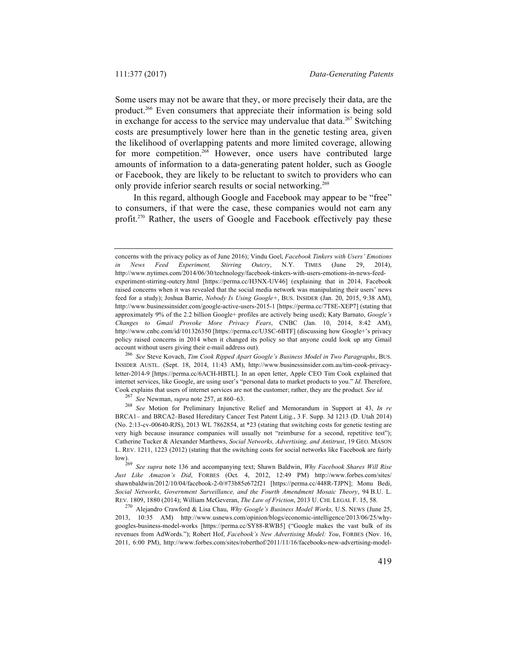Some users may not be aware that they, or more precisely their data, are the product.266 Even consumers that appreciate their information is being sold in exchange for access to the service may undervalue that data.<sup>267</sup> Switching costs are presumptively lower here than in the genetic testing area, given the likelihood of overlapping patents and more limited coverage, allowing for more competition.<sup>268</sup> However, once users have contributed large amounts of information to a data-generating patent holder, such as Google or Facebook, they are likely to be reluctant to switch to providers who can only provide inferior search results or social networking.<sup>269</sup>

In this regard, although Google and Facebook may appear to be "free" to consumers, if that were the case, these companies would not earn any profit.270 Rather, the users of Google and Facebook effectively pay these

<sup>266</sup> *See* Steve Kovach, *Tim Cook Ripped Apart Google's Business Model in Two Paragraphs*, BUS. INSIDER AUSTL. (Sept. 18, 2014, 11:43 AM), http://www.businessinsider.com.au/tim-cook-privacyletter-2014-9 [https://perma.cc/6ACH-HBTL]. In an open letter, Apple CEO Tim Cook explained that internet services, like Google, are using user's "personal data to market products to you." *Id.* Therefore, Cook explains that users of internet services are not the customer; rather, they are the product. *See id.*

<sup>267</sup> *See* Newman, *supra* note 257, at 860–63.

concerns with the privacy policy as of June 2016); Vindu Goel, *Facebook Tinkers with Users' Emotions in News Feed Experiment, Stirring Outcry*, N.Y. TIMES (June 29, 2014), http://www.nytimes.com/2014/06/30/technology/facebook-tinkers-with-users-emotions-in-news-feedexperiment-stirring-outcry.html [https://perma.cc/H3NX-UV46] (explaining that in 2014, Facebook raised concerns when it was revealed that the social media network was manipulating their users' news feed for a study); Joshua Barrie, *Nobody Is Using Google+*, BUS. INSIDER (Jan. 20, 2015, 9:38 AM), http://www.businessinsider.com/google-active-users-2015-1 [https://perma.cc/7T8E-XEP7] (stating that approximately 9% of the 2.2 billion Google+ profiles are actively being used); Katy Barnato, *Google's Changes to Gmail Provoke More Privacy Fears*, CNBC (Jan. 10, 2014, 8:42 AM), http://www.cnbc.com/id/101326350 [https://perma.cc/U3SC-6BTF] (discussing how Google+'s privacy policy raised concerns in 2014 when it changed its policy so that anyone could look up any Gmail account without users giving their e-mail address out).

<sup>268</sup> *See* Motion for Preliminary Injunctive Relief and Memorandum in Support at 43, *In re* BRCA1– and BRCA2–Based Hereditary Cancer Test Patent Litig., 3 F. Supp. 3d 1213 (D. Utah 2014) (No. 2:13-cv-00640-RJS), 2013 WL 7862854, at \*23 (stating that switching costs for genetic testing are very high because insurance companies will usually not "reimburse for a second, repetitive test"); Catherine Tucker & Alexander Marthews, *Social Networks, Advertising, and Antitrust*, 19 GEO. MASON L. REV. 1211, 1223 (2012) (stating that the switching costs for social networks like Facebook are fairly low).269 *See supra* note 136 and accompanying text; Shawn Baldwin, *Why Facebook Shares Will Rise* 

*Just Like Amazon's Did*, FORBES (Oct. 4, 2012, 12:49 PM) http://www.forbes.com/sites/ shawnbaldwin/2012/10/04/facebook-2-0/#73b85e672f21 [https://perma.cc/448R-TJPN]; Monu Bedi, *Social Networks, Government Surveillance, and the Fourth Amendment Mosaic Theory*, 94 B.U. L. REV. 1809, 1880 (2014); William McGeveran, *The Law of Friction*, 2013 U. CHI. LEGAL F. 15, 58.

<sup>270</sup> Alejandro Crawford & Lisa Chau, *Why Google's Business Model Works,* U.S. NEWS (June 25, 2013, 10:35 AM) http://www.usnews.com/opinion/blogs/economic-intelligence/2013/06/25/whygoogles-business-model-works [https://perma.cc/SY88-RWB5] ("Google makes the vast bulk of its revenues from AdWords."); Robert Hof, *Facebook's New Advertising Model: You*, FORBES (Nov. 16, 2011, 6:00 PM), http://www.forbes.com/sites/roberthof/2011/11/16/facebooks-new-advertising-model-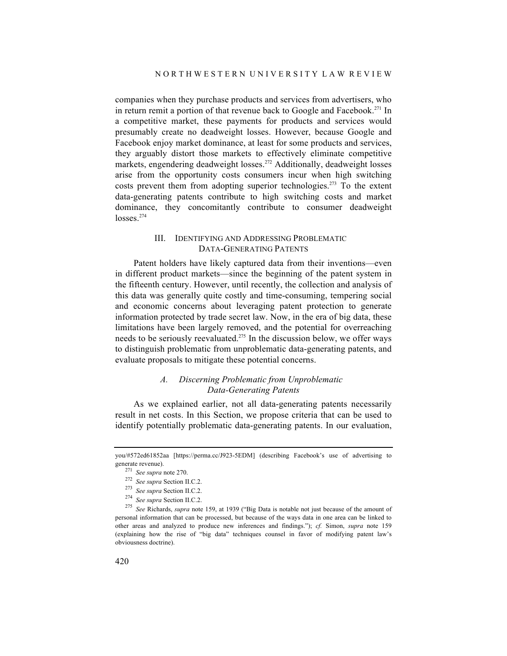companies when they purchase products and services from advertisers, who in return remit a portion of that revenue back to Google and Facebook.<sup>271</sup> In a competitive market, these payments for products and services would presumably create no deadweight losses. However, because Google and Facebook enjoy market dominance, at least for some products and services, they arguably distort those markets to effectively eliminate competitive markets, engendering deadweight losses.<sup>272</sup> Additionally, deadweight losses arise from the opportunity costs consumers incur when high switching costs prevent them from adopting superior technologies.<sup>273</sup> To the extent data-generating patents contribute to high switching costs and market dominance, they concomitantly contribute to consumer deadweight  $losses.<sup>274</sup>$ 

## III. IDENTIFYING AND ADDRESSING PROBLEMATIC DATA-GENERATING PATENTS

Patent holders have likely captured data from their inventions—even in different product markets—since the beginning of the patent system in the fifteenth century. However, until recently, the collection and analysis of this data was generally quite costly and time-consuming, tempering social and economic concerns about leveraging patent protection to generate information protected by trade secret law. Now, in the era of big data, these limitations have been largely removed, and the potential for overreaching needs to be seriously reevaluated.<sup>275</sup> In the discussion below, we offer ways to distinguish problematic from unproblematic data-generating patents, and evaluate proposals to mitigate these potential concerns.

## *A. Discerning Problematic from Unproblematic Data-Generating Patents*

As we explained earlier, not all data-generating patents necessarily result in net costs. In this Section, we propose criteria that can be used to identify potentially problematic data-generating patents. In our evaluation,

you/#572ed61852aa [https://perma.cc/J923-5EDM] (describing Facebook's use of advertising to generate revenue).

<sup>271</sup> *See supra* note 270.

<sup>272</sup> *See supra* Section II.C.2.

<sup>273</sup> *See supra* Section II.C.2.

<sup>274</sup> *See supra* Section II.C.2.

<sup>275</sup> *See* Richards, *supra* note 159, at 1939 ("Big Data is notable not just because of the amount of personal information that can be processed, but because of the ways data in one area can be linked to other areas and analyzed to produce new inferences and findings."); *cf.* Simon, *supra* note 159 (explaining how the rise of "big data" techniques counsel in favor of modifying patent law's obviousness doctrine).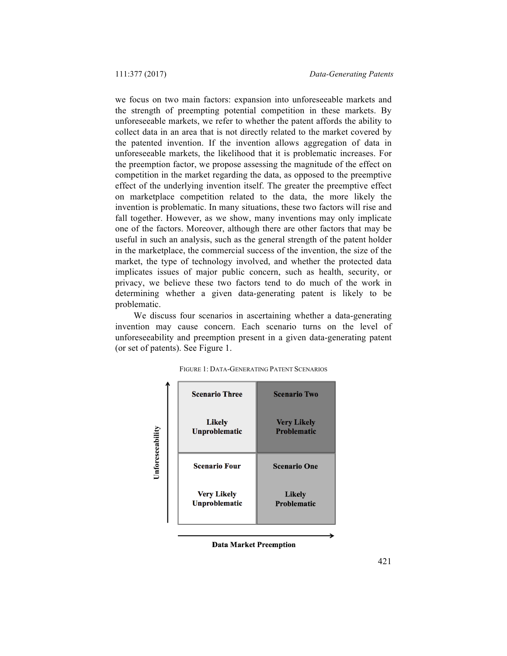we focus on two main factors: expansion into unforeseeable markets and the strength of preempting potential competition in these markets. By unforeseeable markets, we refer to whether the patent affords the ability to collect data in an area that is not directly related to the market covered by the patented invention. If the invention allows aggregation of data in unforeseeable markets, the likelihood that it is problematic increases. For the preemption factor, we propose assessing the magnitude of the effect on competition in the market regarding the data, as opposed to the preemptive effect of the underlying invention itself. The greater the preemptive effect on marketplace competition related to the data, the more likely the invention is problematic. In many situations, these two factors will rise and fall together. However, as we show, many inventions may only implicate one of the factors. Moreover, although there are other factors that may be useful in such an analysis, such as the general strength of the patent holder in the marketplace, the commercial success of the invention, the size of the market, the type of technology involved, and whether the protected data implicates issues of major public concern, such as health, security, or privacy, we believe these two factors tend to do much of the work in determining whether a given data-generating patent is likely to be problematic.

We discuss four scenarios in ascertaining whether a data-generating invention may cause concern. Each scenario turns on the level of unforeseeability and preemption present in a given data-generating patent (or set of patents). See Figure 1.



FIGURE 1: DATA-GENERATING PATENT SCENARIOS

**Data Market Preemption**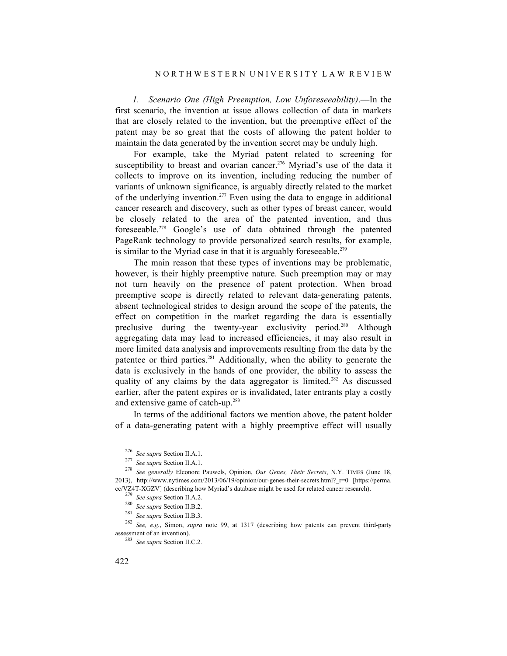#### N O R T H W E S T E R N U N I V E R S I T Y L A W R E V I E W

*1. Scenario One (High Preemption, Low Unforeseeability)*.—In the first scenario, the invention at issue allows collection of data in markets that are closely related to the invention, but the preemptive effect of the patent may be so great that the costs of allowing the patent holder to maintain the data generated by the invention secret may be unduly high.

For example, take the Myriad patent related to screening for susceptibility to breast and ovarian cancer.<sup>276</sup> Myriad's use of the data it collects to improve on its invention, including reducing the number of variants of unknown significance, is arguably directly related to the market of the underlying invention.<sup>277</sup> Even using the data to engage in additional cancer research and discovery, such as other types of breast cancer, would be closely related to the area of the patented invention, and thus foreseeable.278 Google's use of data obtained through the patented PageRank technology to provide personalized search results, for example, is similar to the Myriad case in that it is arguably foreseeable.<sup>279</sup>

The main reason that these types of inventions may be problematic, however, is their highly preemptive nature. Such preemption may or may not turn heavily on the presence of patent protection. When broad preemptive scope is directly related to relevant data-generating patents, absent technological strides to design around the scope of the patents, the effect on competition in the market regarding the data is essentially preclusive during the twenty-year exclusivity period.<sup>280</sup> Although aggregating data may lead to increased efficiencies, it may also result in more limited data analysis and improvements resulting from the data by the patentee or third parties.<sup>281</sup> Additionally, when the ability to generate the data is exclusively in the hands of one provider, the ability to assess the quality of any claims by the data aggregator is limited.<sup>282</sup> As discussed earlier, after the patent expires or is invalidated, later entrants play a costly and extensive game of catch-up.<sup>283</sup>

In terms of the additional factors we mention above, the patent holder of a data-generating patent with a highly preemptive effect will usually

<sup>276</sup> *See supra* Section II.A.1.

<sup>277</sup> *See supra* Section II.A.1.

<sup>278</sup> *See generally* Eleonore Pauwels, Opinion, *Our Genes, Their Secrets*, N.Y. TIMES (June 18, 2013), http://www.nytimes.com/2013/06/19/opinion/our-genes-their-secrets.html?\_r=0 [https://perma. cc/VZ4T-XGZV] (describing how Myriad's database might be used for related cancer research).

<sup>279</sup> *See supra* Section II.A.2.

<sup>280</sup> *See supra* Section II.B.2.

<sup>281</sup> *See supra* Section II.B.3.

<sup>282</sup> *See, e.g.*, Simon, *supra* note 99, at 1317 (describing how patents can prevent third-party assessment of an invention).

<sup>283</sup> *See supra* Section II.C.2.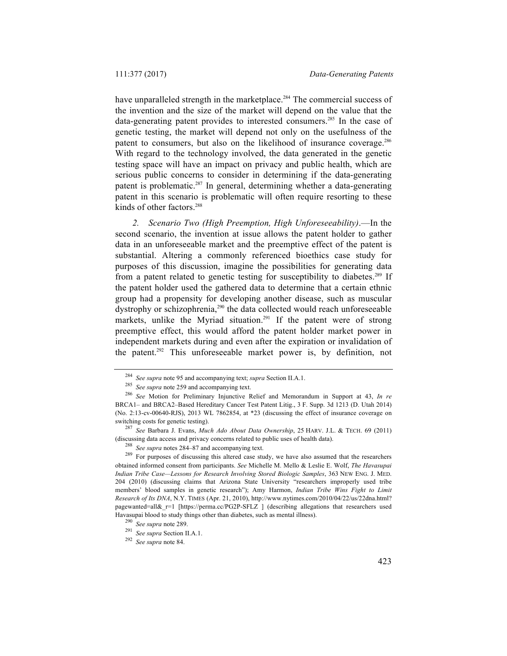have unparalleled strength in the marketplace.<sup>284</sup> The commercial success of the invention and the size of the market will depend on the value that the data-generating patent provides to interested consumers.<sup>285</sup> In the case of genetic testing, the market will depend not only on the usefulness of the patent to consumers, but also on the likelihood of insurance coverage.<sup>286</sup> With regard to the technology involved, the data generated in the genetic testing space will have an impact on privacy and public health, which are serious public concerns to consider in determining if the data-generating patent is problematic.287 In general, determining whether a data-generating patent in this scenario is problematic will often require resorting to these kinds of other factors.<sup>288</sup>

*2. Scenario Two (High Preemption, High Unforeseeability)*.—In the second scenario, the invention at issue allows the patent holder to gather data in an unforeseeable market and the preemptive effect of the patent is substantial. Altering a commonly referenced bioethics case study for purposes of this discussion, imagine the possibilities for generating data from a patent related to genetic testing for susceptibility to diabetes.<sup>289</sup> If the patent holder used the gathered data to determine that a certain ethnic group had a propensity for developing another disease, such as muscular dystrophy or schizophrenia,<sup>290</sup> the data collected would reach unforeseeable markets, unlike the Myriad situation.<sup>291</sup> If the patent were of strong preemptive effect, this would afford the patent holder market power in independent markets during and even after the expiration or invalidation of the patent.<sup>292</sup> This unforeseeable market power is, by definition, not

<sup>284</sup> *See supra* note 95 and accompanying text; *supra* Section II.A.1.

<sup>285</sup> *See supra* note 259 and accompanying text.

<sup>286</sup> *See* Motion for Preliminary Injunctive Relief and Memorandum in Support at 43, *In re*  BRCA1– and BRCA2–Based Hereditary Cancer Test Patent Litig., 3 F. Supp. 3d 1213 (D. Utah 2014) (No. 2:13-cv-00640-RJS), 2013 WL 7862854, at \*23 (discussing the effect of insurance coverage on switching costs for genetic testing).

<sup>287</sup> *See* Barbara J. Evans, *Much Ado About Data Ownership*, 25 HARV. J.L. & TECH. 69 (2011) (discussing data access and privacy concerns related to public uses of health data).<br><sup>288</sup> See supra notes 284–87 and accompanying text.

<sup>&</sup>lt;sup>289</sup> For purposes of discussing this altered case study, we have also assumed that the researchers obtained informed consent from participants. *See* Michelle M. Mello & Leslie E. Wolf, *The Havasupai Indian Tribe Case—Lessons for Research Involving Stored Biologic Samples*, 363 NEW ENG. J. MED. 204 (2010) (discussing claims that Arizona State University "researchers improperly used tribe members' blood samples in genetic research"); Amy Harmon, *Indian Tribe Wins Fight to Limit Research of Its DNA*, N.Y. TIMES (Apr. 21, 2010), http://www.nytimes.com/2010/04/22/us/22dna.html? pagewanted=all&\_r=1 [https://perma.cc/PG2P-SFLZ ] (describing allegations that researchers used Havasupai blood to study things other than diabetes, such as mental illness).

<sup>290</sup> *See supra* note 289. 291 *See supra* Section II.A.1.

<sup>292</sup> *See supra* note 84.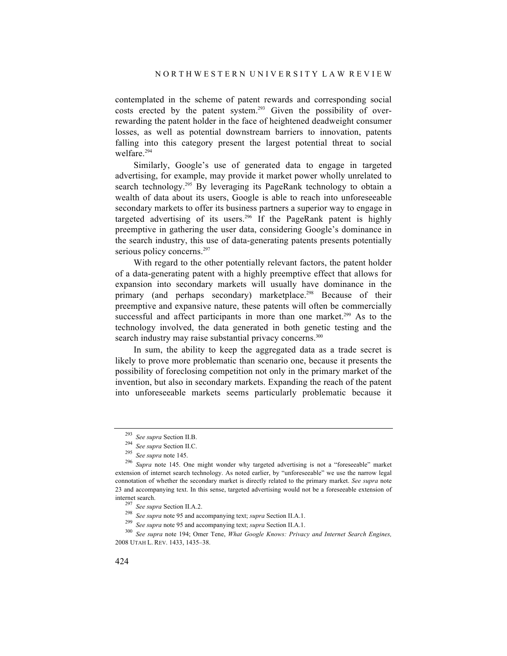contemplated in the scheme of patent rewards and corresponding social costs erected by the patent system.<sup>293</sup> Given the possibility of overrewarding the patent holder in the face of heightened deadweight consumer losses, as well as potential downstream barriers to innovation, patents falling into this category present the largest potential threat to social welfare<sup>294</sup>

Similarly, Google's use of generated data to engage in targeted advertising, for example, may provide it market power wholly unrelated to search technology.<sup>295</sup> By leveraging its PageRank technology to obtain a wealth of data about its users, Google is able to reach into unforeseeable secondary markets to offer its business partners a superior way to engage in targeted advertising of its users.<sup>296</sup> If the PageRank patent is highly preemptive in gathering the user data, considering Google's dominance in the search industry, this use of data-generating patents presents potentially serious policy concerns.<sup>297</sup>

With regard to the other potentially relevant factors, the patent holder of a data-generating patent with a highly preemptive effect that allows for expansion into secondary markets will usually have dominance in the primary (and perhaps secondary) marketplace.<sup>298</sup> Because of their preemptive and expansive nature, these patents will often be commercially successful and affect participants in more than one market.<sup>299</sup> As to the technology involved, the data generated in both genetic testing and the search industry may raise substantial privacy concerns.<sup>300</sup>

In sum, the ability to keep the aggregated data as a trade secret is likely to prove more problematic than scenario one, because it presents the possibility of foreclosing competition not only in the primary market of the invention, but also in secondary markets. Expanding the reach of the patent into unforeseeable markets seems particularly problematic because it

<sup>300</sup> *See supra* note 194; Omer Tene, *What Google Knows: Privacy and Internet Search Engines,*  2008 UTAH L. REV. 1433, 1435–38.

<sup>293</sup> *See supra* Section II.B. 294 *See supra* Section II.C.

<sup>295</sup> *See supra* note 145.

<sup>296</sup> *Supra* note 145. One might wonder why targeted advertising is not a "foreseeable" market extension of internet search technology. As noted earlier, by "unforeseeable" we use the narrow legal connotation of whether the secondary market is directly related to the primary market. *See supra* note 23 and accompanying text. In this sense, targeted advertising would not be a foreseeable extension of internet search.

<sup>297</sup> *See supra* Section II.A.2.

<sup>298</sup> *See supra* note 95 and accompanying text; *supra* Section II.A.1.

<sup>299</sup> *See supra* note 95 and accompanying text; *supra* Section II.A.1.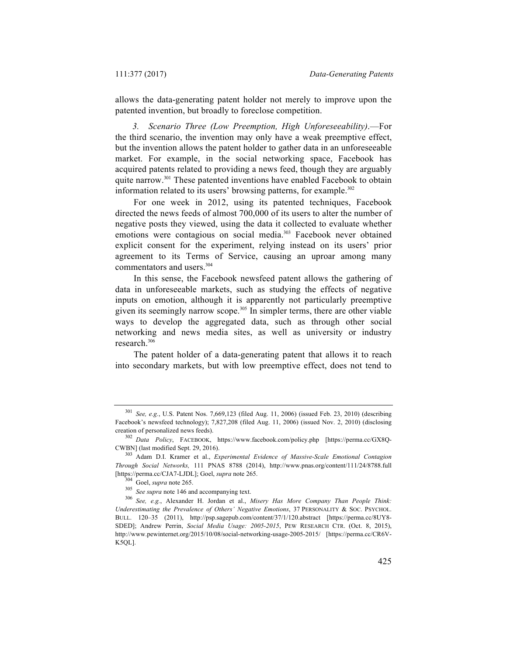allows the data-generating patent holder not merely to improve upon the patented invention, but broadly to foreclose competition.

*3. Scenario Three (Low Preemption, High Unforeseeability)*.—For the third scenario, the invention may only have a weak preemptive effect, but the invention allows the patent holder to gather data in an unforeseeable market. For example, in the social networking space, Facebook has acquired patents related to providing a news feed, though they are arguably quite narrow.<sup>301</sup> These patented inventions have enabled Facebook to obtain information related to its users' browsing patterns, for example.<sup>302</sup>

For one week in 2012, using its patented techniques, Facebook directed the news feeds of almost 700,000 of its users to alter the number of negative posts they viewed, using the data it collected to evaluate whether emotions were contagious on social media.<sup>303</sup> Facebook never obtained explicit consent for the experiment, relying instead on its users' prior agreement to its Terms of Service, causing an uproar among many commentators and users.<sup>304</sup>

In this sense, the Facebook newsfeed patent allows the gathering of data in unforeseeable markets, such as studying the effects of negative inputs on emotion, although it is apparently not particularly preemptive given its seemingly narrow scope.<sup>305</sup> In simpler terms, there are other viable ways to develop the aggregated data, such as through other social networking and news media sites, as well as university or industry research.306

The patent holder of a data-generating patent that allows it to reach into secondary markets, but with low preemptive effect, does not tend to

<sup>301</sup> *See, e.g.*, U.S. Patent Nos. 7,669,123 (filed Aug. 11, 2006) (issued Feb. 23, 2010) (describing Facebook's newsfeed technology); 7,827,208 (filed Aug. 11, 2006) (issued Nov. 2, 2010) (disclosing creation of personalized news feeds).

<sup>302</sup> *Data Policy*, FACEBOOK, https://www.facebook.com/policy.php [https://perma.cc/GX8Q-CWBN] (last modified Sept. 29, 2016). 303 Adam D.I. Kramer et al., *Experimental Evidence of Massive-Scale Emotional Contagion* 

*Through Social Networks,* 111 PNAS 8788 (2014), http://www.pnas.org/content/111/24/8788.full [https://perma.cc/CJA7-LJDL]; Goel, *supra* note 265.

<sup>&</sup>lt;sup>304</sup> Goel, *supra* note 265.<br><sup>305</sup> See supra note 146 and accompanying text.

<sup>&</sup>lt;sup>306</sup> See, e.g., Alexander H. Jordan et al., Misery Has More Company Than People Think: *Underestimating the Prevalence of Others' Negative Emotions*, 37 PERSONALITY & SOC. PSYCHOL. BULL. 120–35 (2011), http://psp.sagepub.com/content/37/1/120.abstract [https://perma.cc/8UY8- SDED]; Andrew Perrin, *Social Media Usage: 2005-2015*, PEW RESEARCH CTR. (Oct. 8, 2015), http://www.pewinternet.org/2015/10/08/social-networking-usage-2005-2015/ [https://perma.cc/CR6V-K5QL].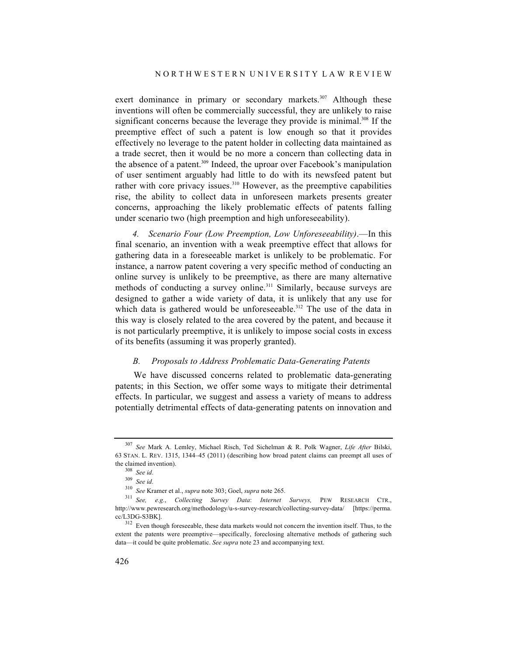exert dominance in primary or secondary markets.<sup>307</sup> Although these inventions will often be commercially successful, they are unlikely to raise significant concerns because the leverage they provide is minimal.<sup>308</sup> If the preemptive effect of such a patent is low enough so that it provides effectively no leverage to the patent holder in collecting data maintained as a trade secret, then it would be no more a concern than collecting data in the absence of a patent.<sup>309</sup> Indeed, the uproar over Facebook's manipulation of user sentiment arguably had little to do with its newsfeed patent but rather with core privacy issues.<sup>310</sup> However, as the preemptive capabilities rise, the ability to collect data in unforeseen markets presents greater concerns, approaching the likely problematic effects of patents falling under scenario two (high preemption and high unforeseeability).

*4. Scenario Four (Low Preemption, Low Unforeseeability)*.—In this final scenario, an invention with a weak preemptive effect that allows for gathering data in a foreseeable market is unlikely to be problematic. For instance, a narrow patent covering a very specific method of conducting an online survey is unlikely to be preemptive, as there are many alternative methods of conducting a survey online.<sup>311</sup> Similarly, because surveys are designed to gather a wide variety of data, it is unlikely that any use for which data is gathered would be unforeseeable.<sup>312</sup> The use of the data in this way is closely related to the area covered by the patent, and because it is not particularly preemptive, it is unlikely to impose social costs in excess of its benefits (assuming it was properly granted).

### *B. Proposals to Address Problematic Data-Generating Patents*

We have discussed concerns related to problematic data-generating patents; in this Section, we offer some ways to mitigate their detrimental effects. In particular, we suggest and assess a variety of means to address potentially detrimental effects of data-generating patents on innovation and

<sup>307</sup> *See* Mark A. Lemley, Michael Risch, Ted Sichelman & R. Polk Wagner, *Life After* Bilski, 63 STAN. L. REV. 1315, 1344–45 (2011) (describing how broad patent claims can preempt all uses of the claimed invention).

<sup>308</sup> *See id*.

<sup>309</sup> *See id*.

<sup>310</sup> *See* Kramer et al., *supra* note 303; Goel, *supra* note 265.

<sup>311</sup> *See, e.g.*, *Collecting Survey Data*: *Internet Surveys,* PEW RESEARCH CTR., http://www.pewresearch.org/methodology/u-s-survey-research/collecting-survey-data/ [https://perma. cc/L3DG-S3BK].

<sup>&</sup>lt;sup>312</sup> Even though foreseeable, these data markets would not concern the invention itself. Thus, to the extent the patents were preemptive—specifically, foreclosing alternative methods of gathering such data—it could be quite problematic. *See supra* note 23 and accompanying text.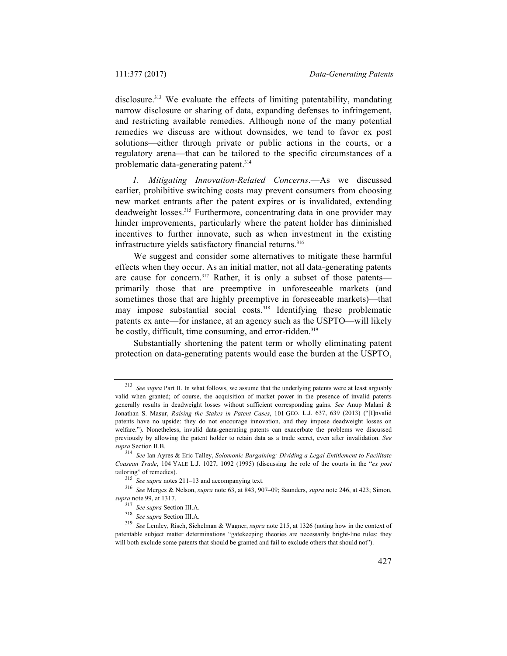disclosure.<sup>313</sup> We evaluate the effects of limiting patentability, mandating narrow disclosure or sharing of data, expanding defenses to infringement, and restricting available remedies. Although none of the many potential remedies we discuss are without downsides, we tend to favor ex post solutions—either through private or public actions in the courts, or a regulatory arena—that can be tailored to the specific circumstances of a problematic data-generating patent.<sup>314</sup>

*1. Mitigating Innovation-Related Concerns*.—As we discussed earlier, prohibitive switching costs may prevent consumers from choosing new market entrants after the patent expires or is invalidated, extending deadweight losses.<sup>315</sup> Furthermore, concentrating data in one provider may hinder improvements, particularly where the patent holder has diminished incentives to further innovate, such as when investment in the existing infrastructure yields satisfactory financial returns.<sup>316</sup>

We suggest and consider some alternatives to mitigate these harmful effects when they occur. As an initial matter, not all data-generating patents are cause for concern.<sup>317</sup> Rather, it is only a subset of those patents primarily those that are preemptive in unforeseeable markets (and sometimes those that are highly preemptive in foreseeable markets)—that may impose substantial social costs.<sup>318</sup> Identifying these problematic patents ex ante—for instance, at an agency such as the USPTO—will likely be costly, difficult, time consuming, and error-ridden.<sup>319</sup>

Substantially shortening the patent term or wholly eliminating patent protection on data-generating patents would ease the burden at the USPTO,

<sup>313</sup> *See supra* Part II. In what follows, we assume that the underlying patents were at least arguably valid when granted; of course, the acquisition of market power in the presence of invalid patents generally results in deadweight losses without sufficient corresponding gains. *See* Anup Malani & Jonathan S. Masur, *Raising the Stakes in Patent Cases*, 101 GEO. L.J. 637, 639 (2013) ("[I]nvalid patents have no upside: they do not encourage innovation, and they impose deadweight losses on welfare."). Nonetheless, invalid data-generating patents can exacerbate the problems we discussed previously by allowing the patent holder to retain data as a trade secret, even after invalidation. *See supra* Section II.B.

<sup>314</sup> *See* Ian Ayres & Eric Talley, *Solomonic Bargaining: Dividing a Legal Entitlement to Facilitate Coasean Trade*, 104 YALE L.J. 1027, 1092 (1995) (discussing the role of the courts in the "*ex post* tailoring" of remedies).

<sup>315</sup> *See supra* notes 211–13 and accompanying text.

<sup>316</sup> *See* Merges & Nelson, *supra* note 63, at 843, 907–09; Saunders, *supra* note 246, at 423; Simon, *supra* note 99, at 1317.

<sup>317</sup> *See supra* Section III.A.

<sup>318</sup> *See supra* Section III.A.

<sup>319</sup> *See* Lemley, Risch, Sichelman & Wagner, *supra* note 215, at 1326 (noting how in the context of patentable subject matter determinations "gatekeeping theories are necessarily bright-line rules: they will both exclude some patents that should be granted and fail to exclude others that should not").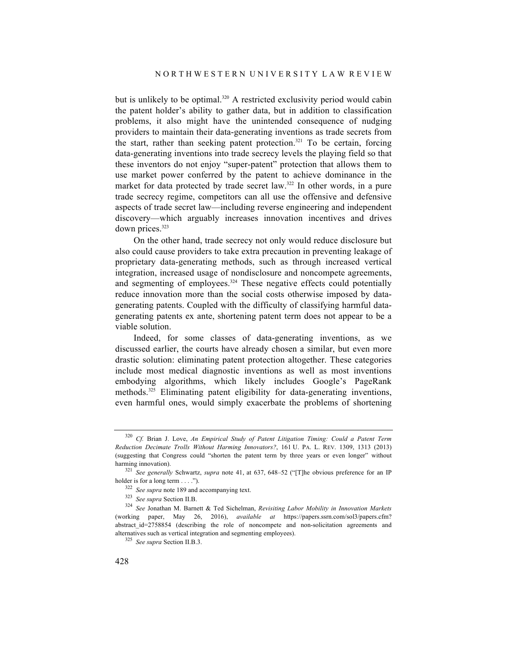but is unlikely to be optimal.<sup>320</sup> A restricted exclusivity period would cabin the patent holder's ability to gather data, but in addition to classification problems, it also might have the unintended consequence of nudging providers to maintain their data-generating inventions as trade secrets from the start, rather than seeking patent protection.<sup>321</sup> To be certain, forcing data-generating inventions into trade secrecy levels the playing field so that these inventors do not enjoy "super-patent" protection that allows them to use market power conferred by the patent to achieve dominance in the market for data protected by trade secret law.<sup>322</sup> In other words, in a pure trade secrecy regime, competitors can all use the offensive and defensive aspects of trade secret law—including reverse engineering and independent discovery—which arguably increases innovation incentives and drives down prices. $323$ 

On the other hand, trade secrecy not only would reduce disclosure but also could cause providers to take extra precaution in preventing leakage of proprietary data-generating methods, such as through increased vertical integration, increased usage of nondisclosure and noncompete agreements, and segmenting of employees. $324$  These negative effects could potentially reduce innovation more than the social costs otherwise imposed by datagenerating patents. Coupled with the difficulty of classifying harmful datagenerating patents ex ante, shortening patent term does not appear to be a viable solution.

Indeed, for some classes of data-generating inventions, as we discussed earlier, the courts have already chosen a similar, but even more drastic solution: eliminating patent protection altogether. These categories include most medical diagnostic inventions as well as most inventions embodying algorithms, which likely includes Google's PageRank methods.<sup>325</sup> Eliminating patent eligibility for data-generating inventions, even harmful ones, would simply exacerbate the problems of shortening

<sup>320</sup> *Cf.* Brian J. Love, *An Empirical Study of Patent Litigation Timing: Could a Patent Term Reduction Decimate Trolls Without Harming Innovators?*, 161 U. PA. L. REV. 1309, 1313 (2013) (suggesting that Congress could "shorten the patent term by three years or even longer" without harming innovation).

<sup>321</sup> *See generally* Schwartz, *supra* note 41, at 637, 648–52 ("[T]he obvious preference for an IP holder is for a long term . . . .").

<sup>322</sup> *See supra* note 189 and accompanying text. 323 *See supra* Section II.B.

<sup>324</sup> *See* Jonathan M. Barnett & Ted Sichelman, *Revisiting Labor Mobility in Innovation Markets* (working paper, May 26, 2016), *available at* https://papers.ssrn.com/sol3/papers.cfm? abstract id=2758854 (describing the role of noncompete and non-solicitation agreements and alternatives such as vertical integration and segmenting employees). 325 *See supra* Section II.B.3.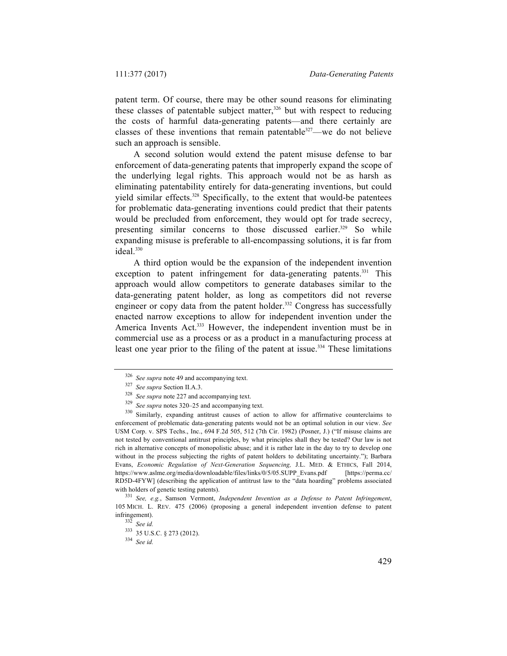patent term. Of course, there may be other sound reasons for eliminating these classes of patentable subject matter, $326$  but with respect to reducing the costs of harmful data-generating patents—and there certainly are classes of these inventions that remain patentable  $327$ —we do not believe such an approach is sensible.

A second solution would extend the patent misuse defense to bar enforcement of data-generating patents that improperly expand the scope of the underlying legal rights. This approach would not be as harsh as eliminating patentability entirely for data-generating inventions, but could yield similar effects.<sup>328</sup> Specifically, to the extent that would-be patentees for problematic data-generating inventions could predict that their patents would be precluded from enforcement, they would opt for trade secrecy, presenting similar concerns to those discussed earlier.<sup>329</sup> So while expanding misuse is preferable to all-encompassing solutions, it is far from ideal.<sup>330</sup>

A third option would be the expansion of the independent invention exception to patent infringement for data-generating patents.<sup>331</sup> This approach would allow competitors to generate databases similar to the data-generating patent holder, as long as competitors did not reverse engineer or copy data from the patent holder.<sup>332</sup> Congress has successfully enacted narrow exceptions to allow for independent invention under the America Invents Act.<sup>333</sup> However, the independent invention must be in commercial use as a process or as a product in a manufacturing process at least one year prior to the filing of the patent at issue.<sup>334</sup> These limitations

<sup>326</sup> *See supra* note 49 and accompanying text.

<sup>327</sup> *See supra* Section II.A.3.

<sup>328</sup> *See supra* note 227 and accompanying text.

<sup>329</sup> *See supra* notes 320–25 and accompanying text.

<sup>330</sup> Similarly, expanding antitrust causes of action to allow for affirmative counterclaims to enforcement of problematic data-generating patents would not be an optimal solution in our view. *See* USM Corp. v. SPS Techs., Inc., 694 F.2d 505, 512 (7th Cir. 1982) (Posner, J.) ("If misuse claims are not tested by conventional antitrust principles, by what principles shall they be tested? Our law is not rich in alternative concepts of monopolistic abuse; and it is rather late in the day to try to develop one without in the process subjecting the rights of patent holders to debilitating uncertainty."); Barbara Evans, *Economic Regulation of Next-Generation Sequencing,* J.L. MED. & ETHICS, Fall 2014, https://www.aslme.org/media/downloadable/files/links/0/5/05.SUPP\_Evans.pdf [https://perma.cc/ RD5D-4FYW] (describing the application of antitrust law to the "data hoarding" problems associated with holders of genetic testing patents).

<sup>331</sup> *See, e.g.*, Samson Vermont, *Independent Invention as a Defense to Patent Infringement*, 105 MICH. L. REV. 475 (2006) (proposing a general independent invention defense to patent infringement).

<sup>332</sup> *See id.*

<sup>333</sup> 35 U.S.C. § 273 (2012).

<sup>334</sup> *See id.*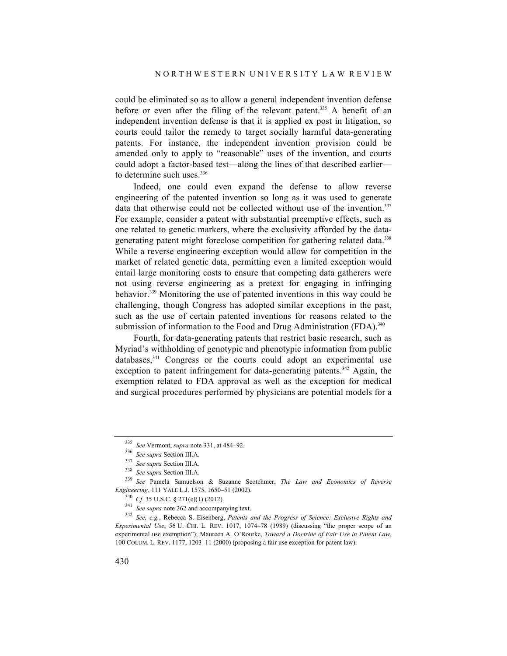could be eliminated so as to allow a general independent invention defense before or even after the filing of the relevant patent.<sup>335</sup> A benefit of an independent invention defense is that it is applied ex post in litigation, so courts could tailor the remedy to target socially harmful data-generating patents. For instance, the independent invention provision could be amended only to apply to "reasonable" uses of the invention, and courts could adopt a factor-based test—along the lines of that described earlier to determine such uses.<sup>336</sup>

Indeed, one could even expand the defense to allow reverse engineering of the patented invention so long as it was used to generate data that otherwise could not be collected without use of the invention.<sup>337</sup> For example, consider a patent with substantial preemptive effects, such as one related to genetic markers, where the exclusivity afforded by the datagenerating patent might foreclose competition for gathering related data.<sup>338</sup> While a reverse engineering exception would allow for competition in the market of related genetic data, permitting even a limited exception would entail large monitoring costs to ensure that competing data gatherers were not using reverse engineering as a pretext for engaging in infringing behavior.339 Monitoring the use of patented inventions in this way could be challenging, though Congress has adopted similar exceptions in the past, such as the use of certain patented inventions for reasons related to the submission of information to the Food and Drug Administration (FDA).<sup>340</sup>

Fourth, for data-generating patents that restrict basic research, such as Myriad's withholding of genotypic and phenotypic information from public databases,<sup>341</sup> Congress or the courts could adopt an experimental use exception to patent infringement for data-generating patents.<sup>342</sup> Again, the exemption related to FDA approval as well as the exception for medical and surgical procedures performed by physicians are potential models for a

<sup>335</sup> *See* Vermont, *supra* note 331, at 484–92.

<sup>336</sup> *See supra* Section III.A.

<sup>337</sup> *See supra* Section III.A.

<sup>338</sup> *See supra* Section III.A.

<sup>339</sup> *See* Pamela Samuelson & Suzanne Scotchmer, *The Law and Economics of Reverse Engineering*, 111 YALE L.J. 1575, 1650–51 (2002).

<sup>340</sup> *Cf*. 35 U.S.C. § 271(e)(1) (2012).

<sup>341</sup> *See supra* note 262 and accompanying text.

<sup>342</sup> *See, e.g.*, Rebecca S. Eisenberg, *Patents and the Progress of Science: Exclusive Rights and Experimental Use*, 56 U. CHI. L. REV. 1017, 1074–78 (1989) (discussing "the proper scope of an experimental use exemption"); Maureen A. O'Rourke, *Toward a Doctrine of Fair Use in Patent Law*, 100 COLUM. L. REV. 1177, 1203–11 (2000) (proposing a fair use exception for patent law).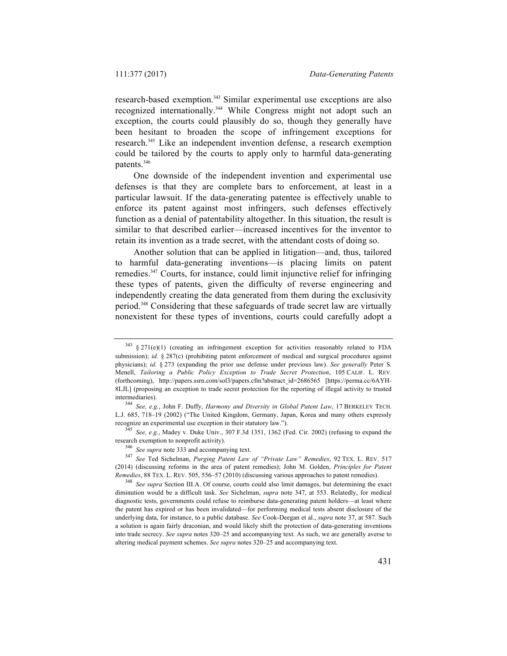research-based exemption.<sup>343</sup> Similar experimental use exceptions are also recognized internationally.344 While Congress might not adopt such an exception, the courts could plausibly do so, though they generally have been hesitant to broaden the scope of infringement exceptions for research.345 Like an independent invention defense, a research exemption could be tailored by the courts to apply only to harmful data-generating patents.346

One downside of the independent invention and experimental use defenses is that they are complete bars to enforcement, at least in a particular lawsuit. If the data-generating patentee is effectively unable to enforce its patent against most infringers, such defenses effectively function as a denial of patentability altogether. In this situation, the result is similar to that described earlier—increased incentives for the inventor to retain its invention as a trade secret, with the attendant costs of doing so.

Another solution that can be applied in litigation—and, thus, tailored to harmful data-generating inventions—is placing limits on patent remedies.347 Courts, for instance, could limit injunctive relief for infringing these types of patents, given the difficulty of reverse engineering and independently creating the data generated from them during the exclusivity period.348 Considering that these safeguards of trade secret law are virtually nonexistent for these types of inventions, courts could carefully adopt a

 $343 \& 271(e)(1)$  (creating an infringement exception for activities reasonably related to FDA submission); *id.* § 287(c) (prohibiting patent enforcement of medical and surgical procedures against physicians); *id.* § 273 (expanding the prior use defense under previous law). *See generally* Peter S. Menell, *Tailoring a Public Policy Exception to Trade Secret Protection*, 105 CALIF. L. REV. (forthcoming), http://papers.ssrn.com/sol3/papers.cfm?abstract\_id=2686565 [https://perma.cc/6AYH-8LJL] (proposing an exception to trade secret protection for the reporting of illegal activity to trusted intermediaries).

<sup>344</sup> *See, e.g.*, John F. Duffy, *Harmony and Diversity in Global Patent Law*, 17 BERKELEY TECH. L.J. 685, 718–19 (2002) ("The United Kingdom, Germany, Japan, Korea and many others expressly recognize an experimental use exception in their statutory law.").

<sup>345</sup> *See, e.g.*, Madey v. Duke Univ., 307 F.3d 1351, 1362 (Fed. Cir. 2002) (refusing to expand the research exemption to nonprofit activity).

<sup>346</sup> *See supra* note 333 and accompanying text.

<sup>347</sup> *See* Ted Sichelman, *Purging Patent Law of "Private Law" Remedies*, 92 TEX. L. REV. 517 (2014) (discussing reforms in the area of patent remedies); John M. Golden, *Principles for Patent Remedies*, 88 TEX. L. REV. 505, 556–57 (2010) (discussing various approaches to patent remedies).

<sup>348</sup> *See supra* Section III.A. Of course, courts could also limit damages, but determining the exact diminution would be a difficult task. *See* Sichelman, *supra* note 347, at 553. Relatedly, for medical diagnostic tests, governments could refuse to reimburse data-generating patent holders—at least where the patent has expired or has been invalidated—for performing medical tests absent disclosure of the underlying data, for instance, to a public database. *See* Cook-Deegan et al., *supra* note 37, at 587. Such a solution is again fairly draconian, and would likely shift the protection of data-generating inventions into trade secrecy. *See supra* notes 320–25 and accompanying text. As such, we are generally averse to altering medical payment schemes. *See supra* notes 320–25 and accompanying text.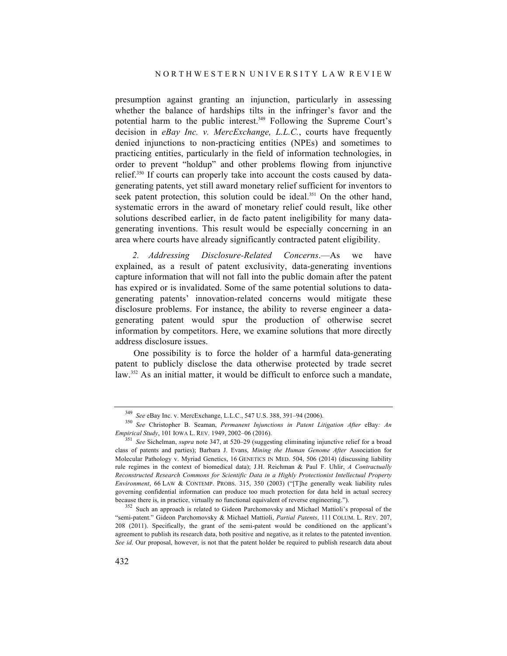presumption against granting an injunction, particularly in assessing whether the balance of hardships tilts in the infringer's favor and the potential harm to the public interest.<sup>349</sup> Following the Supreme Court's decision in *eBay Inc. v. MercExchange, L.L.C.*, courts have frequently denied injunctions to non-practicing entities (NPEs) and sometimes to practicing entities, particularly in the field of information technologies, in order to prevent "holdup" and other problems flowing from injunctive relief.350 If courts can properly take into account the costs caused by datagenerating patents, yet still award monetary relief sufficient for inventors to seek patent protection, this solution could be ideal.<sup>351</sup> On the other hand, systematic errors in the award of monetary relief could result, like other solutions described earlier, in de facto patent ineligibility for many datagenerating inventions. This result would be especially concerning in an area where courts have already significantly contracted patent eligibility.

*2. Addressing Disclosure-Related Concerns*.—As we have explained, as a result of patent exclusivity, data-generating inventions capture information that will not fall into the public domain after the patent has expired or is invalidated. Some of the same potential solutions to datagenerating patents' innovation-related concerns would mitigate these disclosure problems. For instance, the ability to reverse engineer a datagenerating patent would spur the production of otherwise secret information by competitors. Here, we examine solutions that more directly address disclosure issues.

One possibility is to force the holder of a harmful data-generating patent to publicly disclose the data otherwise protected by trade secret law.<sup>352</sup> As an initial matter, it would be difficult to enforce such a mandate,

<sup>349</sup> *See* eBay Inc. v. MercExchange, L.L.C., 547 U.S. 388, 391–94 (2006).

<sup>350</sup> *See* Christopher B. Seaman, *Permanent Injunctions in Patent Litigation After* eBay*: An Empirical Study*, 101 IOWA L. REV. 1949, 2002–06 (2016).

<sup>351</sup> *See* Sichelman, *supra* note 347, at 520–29 (suggesting eliminating injunctive relief for a broad class of patents and parties); Barbara J. Evans, *Mining the Human Genome After* Association for Molecular Pathology v. Myriad Genetics, 16 GENETICS IN MED. 504, 506 (2014) (discussing liability rule regimes in the context of biomedical data); J.H. Reichman & Paul F. Uhlir, *A Contractually Reconstructed Research Commons for Scientific Data in a Highly Protectionist Intellectual Property Environment*, 66 LAW & CONTEMP. PROBS. 315, 350 (2003) ("[T]he generally weak liability rules governing confidential information can produce too much protection for data held in actual secrecy because there is, in practice, virtually no functional equivalent of reverse engineering.").

<sup>&</sup>lt;sup>352</sup> Such an approach is related to Gideon Parchomovsky and Michael Mattioli's proposal of the "semi-patent." Gideon Parchomovsky & Michael Mattioli, *Partial Patents*, 111 COLUM. L. REV. 207, 208 (2011). Specifically, the grant of the semi-patent would be conditioned on the applicant's agreement to publish its research data, both positive and negative, as it relates to the patented invention. *See id*. Our proposal, however, is not that the patent holder be required to publish research data about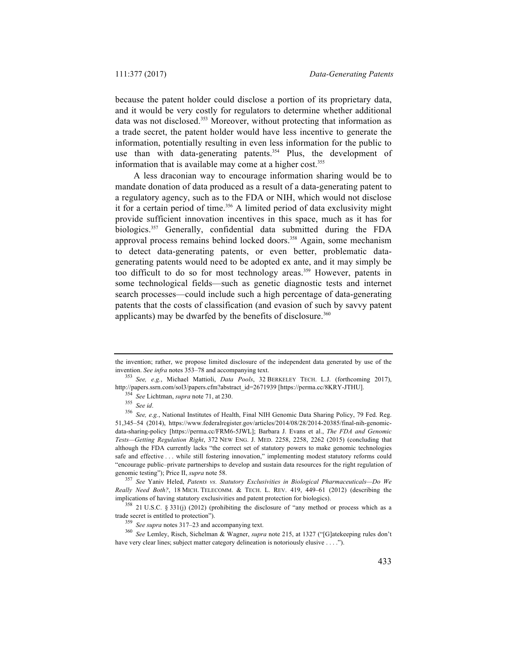because the patent holder could disclose a portion of its proprietary data, and it would be very costly for regulators to determine whether additional data was not disclosed.<sup>353</sup> Moreover, without protecting that information as a trade secret, the patent holder would have less incentive to generate the information, potentially resulting in even less information for the public to use than with data-generating patents.<sup>354</sup> Plus, the development of information that is available may come at a higher cost.<sup>355</sup>

A less draconian way to encourage information sharing would be to mandate donation of data produced as a result of a data-generating patent to a regulatory agency, such as to the FDA or NIH, which would not disclose it for a certain period of time.<sup>356</sup> A limited period of data exclusivity might provide sufficient innovation incentives in this space, much as it has for biologics.357 Generally, confidential data submitted during the FDA approval process remains behind locked doors.<sup>358</sup> Again, some mechanism to detect data-generating patents, or even better, problematic datagenerating patents would need to be adopted ex ante, and it may simply be too difficult to do so for most technology areas.<sup>359</sup> However, patents in some technological fields—such as genetic diagnostic tests and internet search processes—could include such a high percentage of data-generating patents that the costs of classification (and evasion of such by savvy patent applicants) may be dwarfed by the benefits of disclosure.<sup>360</sup>

<sup>357</sup> *See* Yaniv Heled, *Patents vs. Statutory Exclusivities in Biological Pharmaceuticals—Do We Really Need Both?*, 18 MICH. TELECOMM. & TECH. L. REV. 419, 449–61 (2012) (describing the implications of having statutory exclusivities and patent protection for biologics).

 $358$  21 U.S.C. § 331(j) (2012) (prohibiting the disclosure of "any method or process which as a trade secret is entitled to protection").<br><sup>359</sup> See supra notes 317–23 and accompanying text.

<sup>360</sup> See Lemley, Risch, Sichelman & Wagner, *supra* note 215, at 1327 ("[G]atekeeping rules don't have very clear lines; subject matter category delineation is notoriously elusive . . . .").

the invention; rather, we propose limited disclosure of the independent data generated by use of the invention. *See infra* notes 353–78 and accompanying text.

<sup>353</sup> *See, e.g.*, Michael Mattioli, *Data Pools*, 32 BERKELEY TECH. L.J. (forthcoming 2017), http://papers.ssrn.com/sol3/papers.cfm?abstract\_id=2671939 [https://perma.cc/8KRY-JTHU].

<sup>354</sup> *See* Lichtman, *supra* note 71, at 230.

<sup>355</sup> *See id*.

<sup>356</sup> *See, e.g.*, National Institutes of Health, Final NIH Genomic Data Sharing Policy, 79 Fed. Reg. 51,345–54 (2014), https://www.federalregister.gov/articles/2014/08/28/2014-20385/final-nih-genomicdata-sharing-policy [https://perma.cc/FRM6-5JWL]; Barbara J. Evans et al., *The FDA and Genomic Tests—Getting Regulation Right*, 372 NEW ENG. J. MED. 2258, 2258, 2262 (2015) (concluding that although the FDA currently lacks "the correct set of statutory powers to make genomic technologies safe and effective . . . while still fostering innovation," implementing modest statutory reforms could "encourage public–private partnerships to develop and sustain data resources for the right regulation of genomic testing"); Price II, *supra* note 58.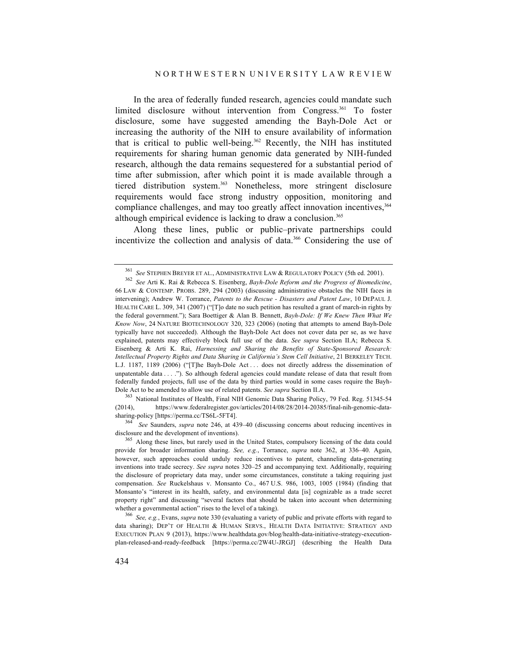In the area of federally funded research, agencies could mandate such limited disclosure without intervention from Congress.<sup>361</sup> To foster disclosure, some have suggested amending the Bayh-Dole Act or increasing the authority of the NIH to ensure availability of information that is critical to public well-being.<sup>362</sup> Recently, the NIH has instituted requirements for sharing human genomic data generated by NIH-funded research, although the data remains sequestered for a substantial period of time after submission, after which point it is made available through a tiered distribution system.<sup>363</sup> Nonetheless, more stringent disclosure requirements would face strong industry opposition, monitoring and compliance challenges, and may too greatly affect innovation incentives, <sup>364</sup> although empirical evidence is lacking to draw a conclusion.<sup>365</sup>

Along these lines, public or public–private partnerships could incentivize the collection and analysis of data.<sup>366</sup> Considering the use of

<sup>363</sup> National Institutes of Health, Final NIH Genomic Data Sharing Policy, 79 Fed. Reg. 51345-54 (2014), https://www.federalregister.gov/articles/2014/08/28/2014-20385/final-nih-genomic-data-

sharing-policy [https://perma.cc/TS6L-5FT4]. 364 *See* Saunders, *supra* note 246, at 439–40 (discussing concerns about reducing incentives in disclosure and the development of inventions).<br><sup>365</sup> Along these lines, but rarely used in the United States, compulsory licensing of the data could

<sup>366</sup> *See, e.g.*, Evans, *supra* note 330 (evaluating a variety of public and private efforts with regard to data sharing); DEP'T OF HEALTH & HUMAN SERVS., HEALTH DATA INITIATIVE: STRATEGY AND EXECUTION PLAN 9 (2013), https://www.healthdata.gov/blog/health-data-initiative-strategy-executionplan-released-and-ready-feedback [https://perma.cc/2W4U-JRGJ] (describing the Health Data

<sup>361</sup> *See* STEPHEN BREYER ET AL., ADMINISTRATIVE LAW & REGULATORY POLICY (5th ed. 2001).

<sup>362</sup> *See* Arti K. Rai & Rebecca S. Eisenberg, *Bayh-Dole Reform and the Progress of Biomedicine*, 66 LAW & CONTEMP. PROBS. 289, 294 (2003) (discussing administrative obstacles the NIH faces in intervening); Andrew W. Torrance, *Patents to the Rescue - Disasters and Patent Law*, 10 DEPAUL J. HEALTH CARE L. 309, 341 (2007) ("[T]o date no such petition has resulted a grant of march-in rights by the federal government."); Sara Boettiger & Alan B. Bennett, *Bayh-Dole: If We Knew Then What We Know Now*, 24 NATURE BIOTECHNOLOGY 320, 323 (2006) (noting that attempts to amend Bayh-Dole typically have not succeeded). Although the Bayh-Dole Act does not cover data per se, as we have explained, patents may effectively block full use of the data. *See supra* Section II.A; Rebecca S. Eisenberg & Arti K. Rai, *Harnessing and Sharing the Benefits of State-Sponsored Research: Intellectual Property Rights and Data Sharing in California's Stem Cell Initiative*, 21 BERKELEY TECH. L.J. 1187, 1189 (2006) ("[T]he Bayh-Dole Act . . . does not directly address the dissemination of unpatentable data . . . ."). So although federal agencies could mandate release of data that result from federally funded projects, full use of the data by third parties would in some cases require the Bayh-Dole Act to be amended to allow use of related patents. *See supra* Section II.A.

provide for broader information sharing. *See, e.g.*, Torrance, *supra* note 362, at 336–40. Again, however, such approaches could unduly reduce incentives to patent, channeling data-generating inventions into trade secrecy. *See supra* notes 320–25 and accompanying text. Additionally, requiring the disclosure of proprietary data may, under some circumstances, constitute a taking requiring just compensation. *See* Ruckelshaus v. Monsanto Co., 467 U.S. 986, 1003, 1005 (1984) (finding that Monsanto's "interest in its health, safety, and environmental data [is] cognizable as a trade secret property right" and discussing "several factors that should be taken into account when determining whether a governmental action" rises to the level of a taking).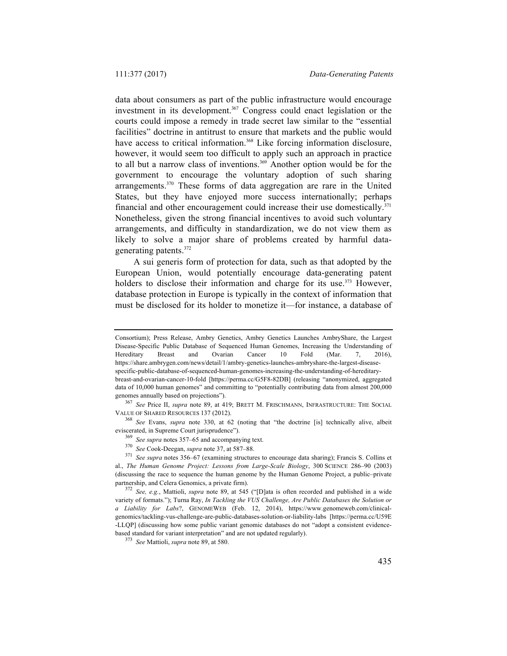data about consumers as part of the public infrastructure would encourage investment in its development.<sup>367</sup> Congress could enact legislation or the courts could impose a remedy in trade secret law similar to the "essential facilities" doctrine in antitrust to ensure that markets and the public would have access to critical information.<sup>368</sup> Like forcing information disclosure, however, it would seem too difficult to apply such an approach in practice to all but a narrow class of inventions.<sup>369</sup> Another option would be for the government to encourage the voluntary adoption of such sharing arrangements.370 These forms of data aggregation are rare in the United States, but they have enjoyed more success internationally; perhaps financial and other encouragement could increase their use domestically. $371$ Nonetheless, given the strong financial incentives to avoid such voluntary arrangements, and difficulty in standardization, we do not view them as likely to solve a major share of problems created by harmful datagenerating patents.372

A sui generis form of protection for data, such as that adopted by the European Union, would potentially encourage data-generating patent holders to disclose their information and charge for its use. $373$  However, database protection in Europe is typically in the context of information that must be disclosed for its holder to monetize it—for instance, a database of

VALUE OF SHARED RESOURCES 137 (2012). 368 *See* Evans, *supra* note 330, at 62 (noting that "the doctrine [is] technically alive, albeit eviscerated, in Supreme Court jurisprudence").

<sup>370</sup> *See* Cook-Deegan, *supra* note 37, at 587–88.

Consortium); Press Release, Ambry Genetics, Ambry Genetics Launches AmbryShare, the Largest Disease-Specific Public Database of Sequenced Human Genomes, Increasing the Understanding of Hereditary Breast and Ovarian Cancer 10 Fold (Mar. 7, 2016), https://share.ambrygen.com/news/detail/1/ambry-genetics-launches-ambryshare-the-largest-diseasespecific-public-database-of-sequenced-human-genomes-increasing-the-understanding-of-hereditarybreast-and-ovarian-cancer-10-fold [https://perma.cc/G5F8-82DB] (releasing "anonymized, aggregated data of 10,000 human genomes" and committing to "potentially contributing data from almost 200,000

genomes annually based on projections"). <sup>367</sup> *See* Price II, *supra* note 89, at 419; BRETT M. FRISCHMANN, INFRASTRUCTURE: THE SOCIAL

<sup>369</sup> *See supra* notes 357–65 and accompanying text.

<sup>371</sup> *See supra* notes 356–67 (examining structures to encourage data sharing); Francis S. Collins et al., *The Human Genome Project: Lessons from Large-Scale Biology*, 300 SCIENCE 286–90 (2003) (discussing the race to sequence the human genome by the Human Genome Project, a public–private partnership, and Celera Genomics, a private firm).

<sup>372</sup> *See, e.g.*, Mattioli, *supra* note 89, at 545 ("[D]ata is often recorded and published in a wide variety of formats."); Turna Ray, *In Tackling the VUS Challenge, Are Public Databases the Solution or a Liability for Labs*?, GENOMEWEB (Feb. 12, 2014), https://www.genomeweb.com/clinicalgenomics/tackling-vus-challenge-are-public-databases-solution-or-liability-labs [https://perma.cc/U59E -LLQP] (discussing how some public variant genomic databases do not "adopt a consistent evidencebased standard for variant interpretation" and are not updated regularly).

<sup>373</sup> *See* Mattioli, *supra* note 89, at 580.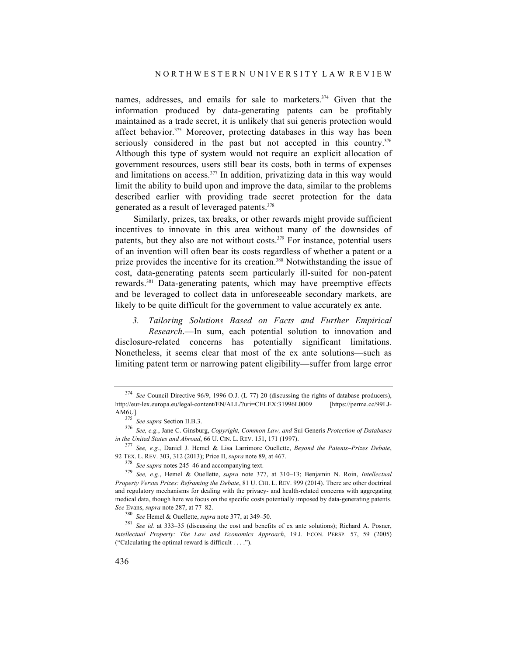names, addresses, and emails for sale to marketers.<sup>374</sup> Given that the information produced by data-generating patents can be profitably maintained as a trade secret, it is unlikely that sui generis protection would affect behavior.<sup>375</sup> Moreover, protecting databases in this way has been seriously considered in the past but not accepted in this country.<sup>376</sup> Although this type of system would not require an explicit allocation of government resources, users still bear its costs, both in terms of expenses and limitations on access. $377$  In addition, privatizing data in this way would limit the ability to build upon and improve the data, similar to the problems described earlier with providing trade secret protection for the data generated as a result of leveraged patents.<sup>378</sup>

Similarly, prizes, tax breaks, or other rewards might provide sufficient incentives to innovate in this area without many of the downsides of patents, but they also are not without costs.<sup>379</sup> For instance, potential users of an invention will often bear its costs regardless of whether a patent or a prize provides the incentive for its creation.<sup>380</sup> Notwithstanding the issue of cost, data-generating patents seem particularly ill-suited for non-patent rewards.381 Data-generating patents, which may have preemptive effects and be leveraged to collect data in unforeseeable secondary markets, are likely to be quite difficult for the government to value accurately ex ante.

*3. Tailoring Solutions Based on Facts and Further Empirical Research*.—In sum, each potential solution to innovation and disclosure-related concerns has potentially significant limitations. Nonetheless, it seems clear that most of the ex ante solutions—such as limiting patent term or narrowing patent eligibility—suffer from large error

<sup>380</sup> *See* Hemel & Ouellette, *supra* note 377, at 349–50.

<sup>381</sup> *See id.* at 333–35 (discussing the cost and benefits of ex ante solutions); Richard A. Posner, *Intellectual Property: The Law and Economics Approach*, 19 J. ECON. PERSP. 57, 59 (2005) ("Calculating the optimal reward is difficult . . . .").

<sup>374</sup> *See* Council Directive 96/9, 1996 O.J. (L 77) 20 (discussing the rights of database producers), http://eur-lex.europa.eu/legal-content/EN/ALL/?uri=CELEX:31996L0009 [https://perma.cc/99LJ-AM6U].

<sup>375</sup> *See supra* Section II.B.3.

<sup>376</sup> *See, e.g.*, Jane C. Ginsburg, *Copyright, Common Law, and* Sui Generis *Protection of Databases in the United States and Abroad*, 66 U. CIN. L. REV. 151, 171 (1997). 377 *See, e.g.*, Daniel J. Hemel & Lisa Larrimore Ouellette, *Beyond the Patents–Prizes Debate*,

<sup>92</sup> TEX. L. REV. 303, 312 (2013); Price II, *supra* note 89, at 467.

<sup>378</sup> *See supra* notes 245–46 and accompanying text.

<sup>379</sup> *See, e.g.*, Hemel & Ouellette, *supra* note 377, at 310–13; Benjamin N. Roin, *Intellectual Property Versus Prizes: Reframing the Debate*, 81 U. CHI. L. REV. 999 (2014). There are other doctrinal and regulatory mechanisms for dealing with the privacy- and health-related concerns with aggregating medical data, though here we focus on the specific costs potentially imposed by data-generating patents. *See* Evans, *supra* note 287, at 77–82.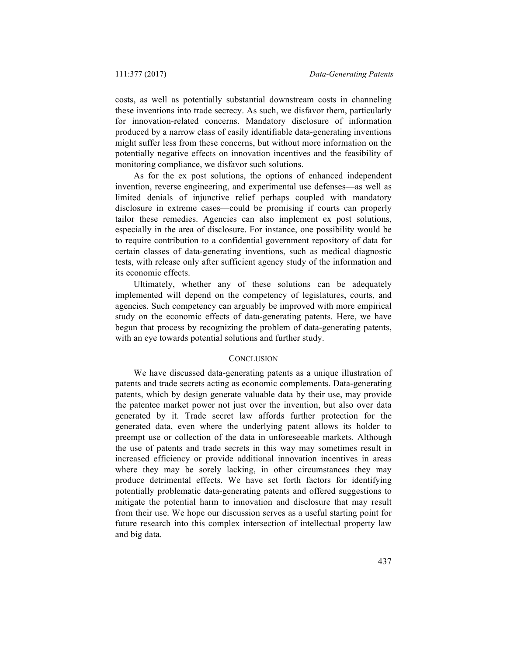costs, as well as potentially substantial downstream costs in channeling these inventions into trade secrecy. As such, we disfavor them, particularly for innovation-related concerns. Mandatory disclosure of information produced by a narrow class of easily identifiable data-generating inventions might suffer less from these concerns, but without more information on the potentially negative effects on innovation incentives and the feasibility of monitoring compliance, we disfavor such solutions.

As for the ex post solutions, the options of enhanced independent invention, reverse engineering, and experimental use defenses—as well as limited denials of injunctive relief perhaps coupled with mandatory disclosure in extreme cases—could be promising if courts can properly tailor these remedies. Agencies can also implement ex post solutions, especially in the area of disclosure. For instance, one possibility would be to require contribution to a confidential government repository of data for certain classes of data-generating inventions, such as medical diagnostic tests, with release only after sufficient agency study of the information and its economic effects.

Ultimately, whether any of these solutions can be adequately implemented will depend on the competency of legislatures, courts, and agencies. Such competency can arguably be improved with more empirical study on the economic effects of data-generating patents. Here, we have begun that process by recognizing the problem of data-generating patents, with an eye towards potential solutions and further study.

#### **CONCLUSION**

We have discussed data-generating patents as a unique illustration of patents and trade secrets acting as economic complements. Data-generating patents, which by design generate valuable data by their use, may provide the patentee market power not just over the invention, but also over data generated by it. Trade secret law affords further protection for the generated data, even where the underlying patent allows its holder to preempt use or collection of the data in unforeseeable markets. Although the use of patents and trade secrets in this way may sometimes result in increased efficiency or provide additional innovation incentives in areas where they may be sorely lacking, in other circumstances they may produce detrimental effects. We have set forth factors for identifying potentially problematic data-generating patents and offered suggestions to mitigate the potential harm to innovation and disclosure that may result from their use. We hope our discussion serves as a useful starting point for future research into this complex intersection of intellectual property law and big data.